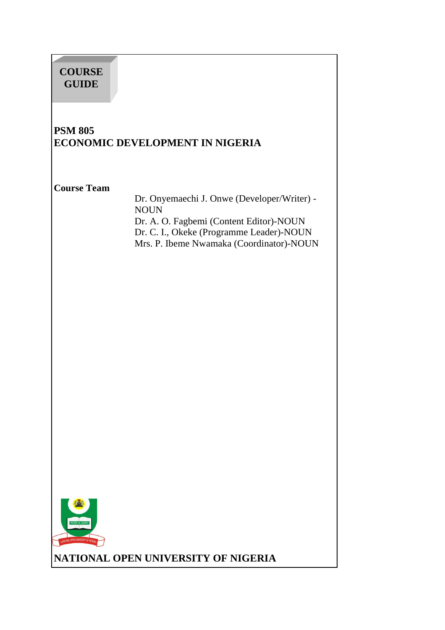# **COURSE GUIDE**

## **PSM 805 ECONOMIC DEVELOPMENT IN NIGERIA**

#### **Course Team**

 Dr. Onyemaechi J. Onwe (Developer/Writer) - NOUN Dr. A. O. Fagbemi (Content Editor)-NOUN Dr. C. I., Okeke (Programme Leader)-NOUN Mrs. P. Ibeme Nwamaka (Coordinator)-NOUN



**NATIONAL OPEN UNIVERSITY OF NIGERIA**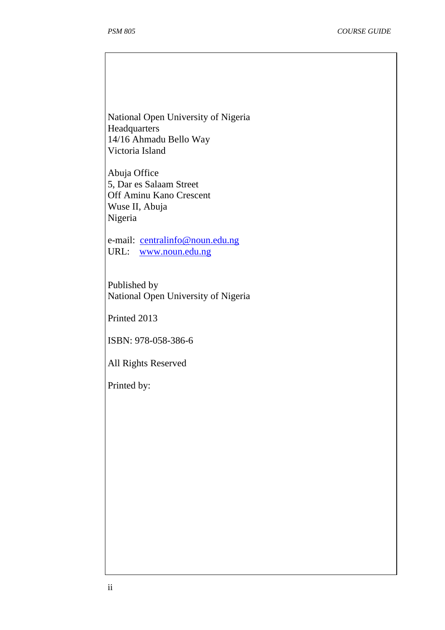National Open University of Nigeria **Headquarters** 14/16 Ahmadu Bello Way Victoria Island

Abuja Office 5, Dar es Salaam Street Off Aminu Kano Crescent Wuse II, Abuja Nigeria

e-mail: centralinfo@noun.edu.ng URL: www.noun.edu.ng

Published by National Open University of Nigeria

Printed 2013

ISBN: 978-058-386-6

All Rights Reserved

Printed by: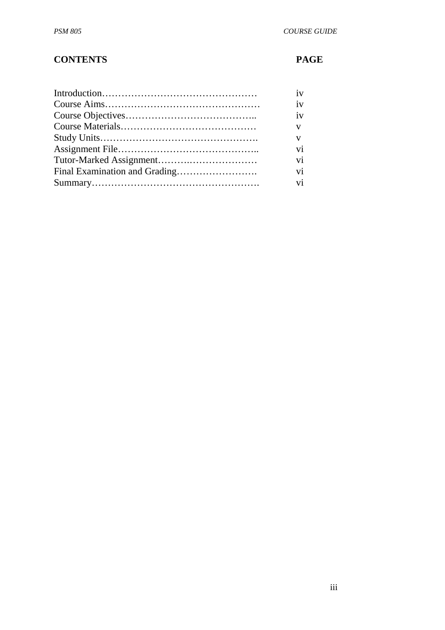## **CONTENTS PAGE**

| iv                       |
|--------------------------|
| iv                       |
| iv                       |
| V                        |
| V                        |
| vi                       |
| vi                       |
| vi                       |
| $\overline{\mathbf{vi}}$ |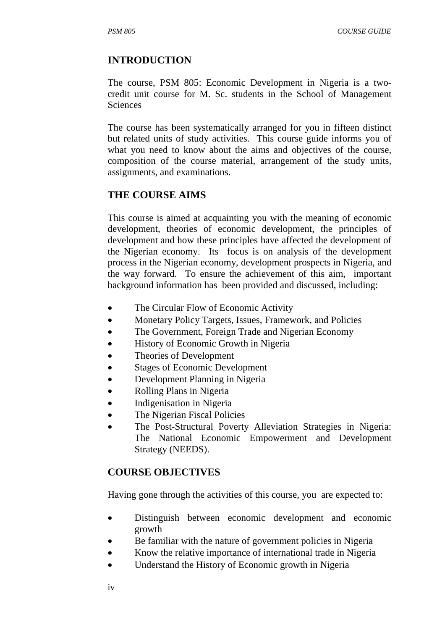#### **INTRODUCTION**

The course, PSM 805: Economic Development in Nigeria is a twocredit unit course for M. Sc. students in the School of Management Sciences

The course has been systematically arranged for you in fifteen distinct but related units of study activities. This course guide informs you of what you need to know about the aims and objectives of the course, composition of the course material, arrangement of the study units, assignments, and examinations.

#### **THE COURSE AIMS**

This course is aimed at acquainting you with the meaning of economic development, theories of economic development, the principles of development and how these principles have affected the development of the Nigerian economy. Its focus is on analysis of the development process in the Nigerian economy, development prospects in Nigeria, and the way forward. To ensure the achievement of this aim, important background information has been provided and discussed, including:

- The Circular Flow of Economic Activity
- Monetary Policy Targets, Issues, Framework, and Policies
- The Government, Foreign Trade and Nigerian Economy
- History of Economic Growth in Nigeria
- Theories of Development
- Stages of Economic Development
- Development Planning in Nigeria
- Rolling Plans in Nigeria
- Indigenisation in Nigeria
- The Nigerian Fiscal Policies
- The Post-Structural Poverty Alleviation Strategies in Nigeria: The National Economic Empowerment and Development Strategy (NEEDS).

#### **COURSE OBJECTIVES**

Having gone through the activities of this course, you are expected to:

- Distinguish between economic development and economic growth
- Be familiar with the nature of government policies in Nigeria
- Know the relative importance of international trade in Nigeria
- Understand the History of Economic growth in Nigeria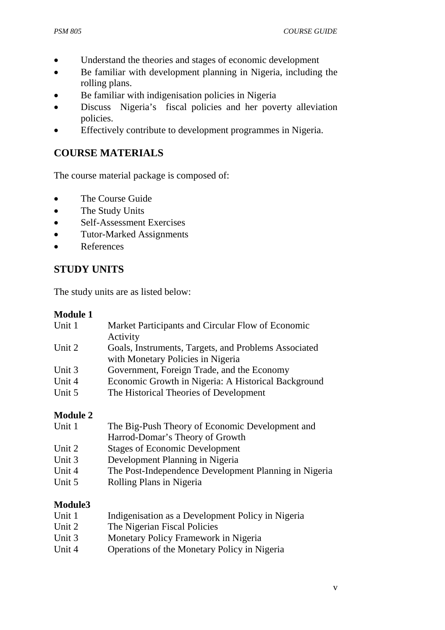- Understand the theories and stages of economic development
- Be familiar with development planning in Nigeria, including the rolling plans.
- Be familiar with indigenisation policies in Nigeria
- Discuss Nigeria's fiscal policies and her poverty alleviation policies.
- Effectively contribute to development programmes in Nigeria.

## **COURSE MATERIALS**

The course material package is composed of:

- The Course Guide
- The Study Units
- Self-Assessment Exercises
- Tutor-Marked Assignments
- References

## **STUDY UNITS**

The study units are as listed below:

#### **Module 1**

| Unit 1 | Market Participants and Circular Flow of Economic    |
|--------|------------------------------------------------------|
|        | Activity                                             |
| Unit 2 | Goals, Instruments, Targets, and Problems Associated |
|        | with Monetary Policies in Nigeria                    |
| Unit 3 | Government, Foreign Trade, and the Economy           |
| Unit 4 | Economic Growth in Nigeria: A Historical Background  |
| Unit 5 | The Historical Theories of Development               |
|        |                                                      |

#### **Module 2**

| Unit 1 | The Big-Push Theory of Economic Development and       |
|--------|-------------------------------------------------------|
|        | Harrod-Domar's Theory of Growth                       |
| Unit 2 | <b>Stages of Economic Development</b>                 |
| Unit 3 | Development Planning in Nigeria                       |
| Unit 4 | The Post-Independence Development Planning in Nigeria |
| Unit 5 | Rolling Plans in Nigeria                              |

#### **Module3**

- Unit 1 Indigenisation as a Development Policy in Nigeria
- Unit 2 The Nigerian Fiscal Policies
- Unit 3 Monetary Policy Framework in Nigeria
- Unit 4 Operations of the Monetary Policy in Nigeria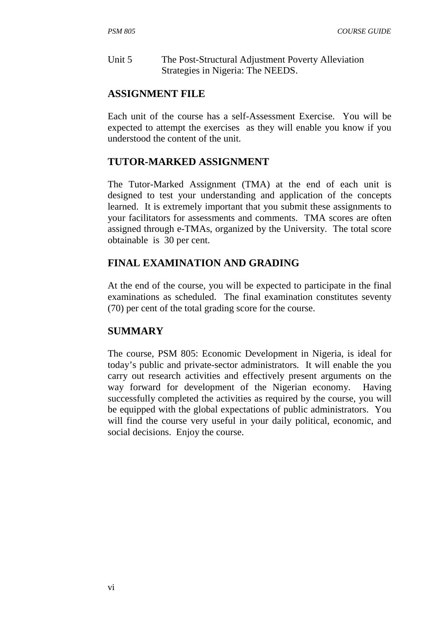Unit 5 The Post-Structural Adjustment Poverty Alleviation Strategies in Nigeria: The NEEDS.

### **ASSIGNMENT FILE**

Each unit of the course has a self-Assessment Exercise. You will be expected to attempt the exercises as they will enable you know if you understood the content of the unit.

## **TUTOR-MARKED ASSIGNMENT**

The Tutor-Marked Assignment (TMA) at the end of each unit is designed to test your understanding and application of the concepts learned. It is extremely important that you submit these assignments to your facilitators for assessments and comments. TMA scores are often assigned through e-TMAs, organized by the University. The total score obtainable is 30 per cent.

## **FINAL EXAMINATION AND GRADING**

At the end of the course, you will be expected to participate in the final examinations as scheduled. The final examination constitutes seventy (70) per cent of the total grading score for the course.

### **SUMMARY**

The course, PSM 805: Economic Development in Nigeria, is ideal for today's public and private-sector administrators. It will enable the you carry out research activities and effectively present arguments on the way forward for development of the Nigerian economy. Having successfully completed the activities as required by the course, you will be equipped with the global expectations of public administrators. You will find the course very useful in your daily political, economic, and social decisions. Enjoy the course.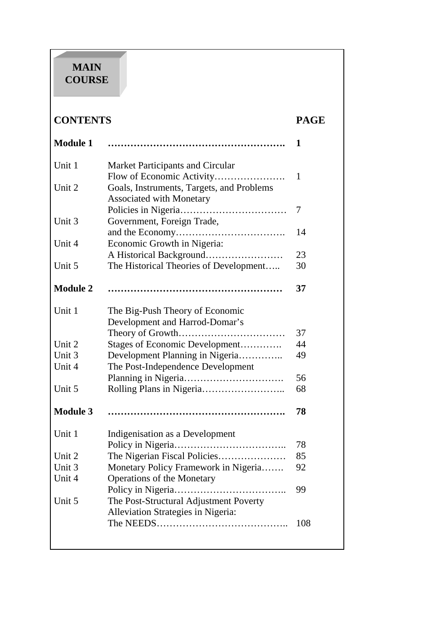# **MAIN COURSE**

# **CONTENTS PAGE**

| <b>Module 1</b> |                                           | 1            |
|-----------------|-------------------------------------------|--------------|
| Unit 1          | Market Participants and Circular          |              |
|                 |                                           | $\mathbf{1}$ |
| Unit 2          | Goals, Instruments, Targets, and Problems |              |
|                 | <b>Associated with Monetary</b>           |              |
|                 |                                           | 7            |
| Unit 3          | Government, Foreign Trade,                |              |
|                 |                                           | 14           |
| Unit 4          | Economic Growth in Nigeria:               |              |
|                 | A Historical Background                   | 23           |
| Unit 5          | The Historical Theories of Development    | 30           |
| <b>Module 2</b> |                                           | 37           |
| Unit 1          | The Big-Push Theory of Economic           |              |
|                 | Development and Harrod-Domar's            |              |
|                 |                                           | 37           |
| Unit 2          | Stages of Economic Development            | 44           |
| Unit 3          | Development Planning in Nigeria           | 49           |
| Unit 4          | The Post-Independence Development         |              |
|                 |                                           | 56           |
| Unit 5          |                                           | 68           |
| <b>Module 3</b> |                                           | 78           |
| Unit 1          | Indigenisation as a Development           |              |
|                 | Policy in Nigeria                         | 78           |
| Unit 2          | The Nigerian Fiscal Policies              | 85           |
| Unit 3          | Monetary Policy Framework in Nigeria      | 92           |
| Unit 4          | <b>Operations of the Monetary</b>         |              |
|                 | Policy in Nigeria                         | 99           |
| Unit 5          | The Post-Structural Adjustment Poverty    |              |
|                 | Alleviation Strategies in Nigeria:        |              |
|                 |                                           | 108          |
|                 |                                           |              |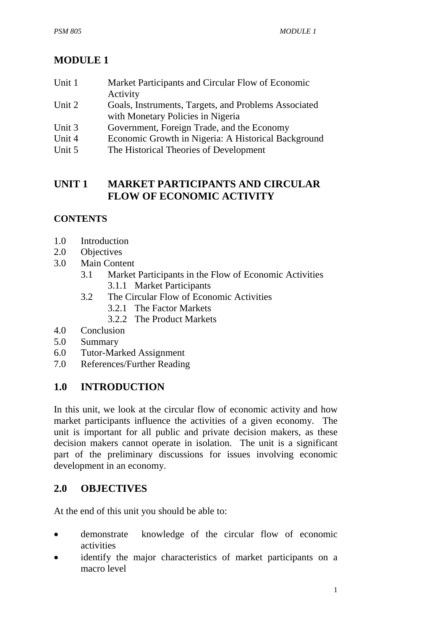# **MODULE 1**

| Unit 1 | Market Participants and Circular Flow of Economic    |
|--------|------------------------------------------------------|
|        | Activity                                             |
| Unit 2 | Goals, Instruments, Targets, and Problems Associated |
|        | with Monetary Policies in Nigeria                    |
| Unit 3 | Government, Foreign Trade, and the Economy           |
| Unit 4 | Economic Growth in Nigeria: A Historical Background  |
| Unit 5 | The Historical Theories of Development               |
|        |                                                      |

## **UNIT 1 MARKET PARTICIPANTS AND CIRCULAR FLOW OF ECONOMIC ACTIVITY**

## **CONTENTS**

- 1.0 Introduction
- 2.0 Objectives
- 3.0 Main Content
	- 3.1 Market Participants in the Flow of Economic Activities 3.1.1 Market Participants
	- 3.2 The Circular Flow of Economic Activities
		- 3.2.1 The Factor Markets
		- 3.2.2 The Product Markets
- 4.0 Conclusion
- 5.0 Summary
- 6.0 Tutor-Marked Assignment
- 7.0 References/Further Reading

## **1.0 INTRODUCTION**

In this unit, we look at the circular flow of economic activity and how market participants influence the activities of a given economy. The unit is important for all public and private decision makers, as these decision makers cannot operate in isolation. The unit is a significant part of the preliminary discussions for issues involving economic development in an economy.

## **2.0 OBJECTIVES**

At the end of this unit you should be able to:

- demonstrate knowledge of the circular flow of economic activities
- identify the major characteristics of market participants on a macro level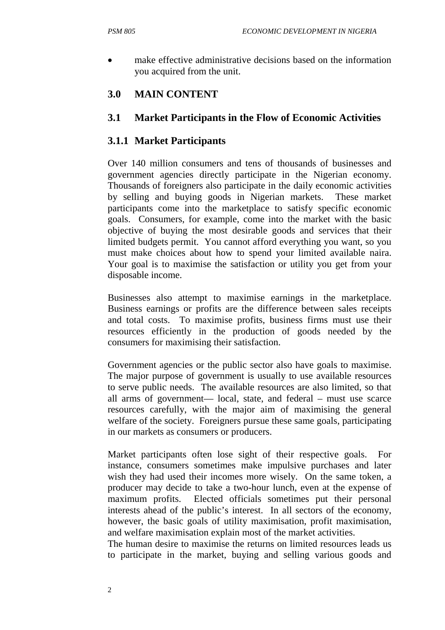make effective administrative decisions based on the information you acquired from the unit.

## **3.0 MAIN CONTENT**

## **3.1 Market Participants in the Flow of Economic Activities**

## **3.1.1 Market Participants**

Over 140 million consumers and tens of thousands of businesses and government agencies directly participate in the Nigerian economy. Thousands of foreigners also participate in the daily economic activities by selling and buying goods in Nigerian markets. These market participants come into the marketplace to satisfy specific economic goals. Consumers, for example, come into the market with the basic objective of buying the most desirable goods and services that their limited budgets permit. You cannot afford everything you want, so you must make choices about how to spend your limited available naira. Your goal is to maximise the satisfaction or utility you get from your disposable income.

Businesses also attempt to maximise earnings in the marketplace. Business earnings or profits are the difference between sales receipts and total costs. To maximise profits, business firms must use their resources efficiently in the production of goods needed by the consumers for maximising their satisfaction.

Government agencies or the public sector also have goals to maximise. The major purpose of government is usually to use available resources to serve public needs. The available resources are also limited, so that all arms of government— local, state, and federal – must use scarce resources carefully, with the major aim of maximising the general welfare of the society. Foreigners pursue these same goals, participating in our markets as consumers or producers.

Market participants often lose sight of their respective goals. For instance, consumers sometimes make impulsive purchases and later wish they had used their incomes more wisely. On the same token, a producer may decide to take a two-hour lunch, even at the expense of maximum profits. Elected officials sometimes put their personal interests ahead of the public's interest. In all sectors of the economy, however, the basic goals of utility maximisation, profit maximisation, and welfare maximisation explain most of the market activities.

The human desire to maximise the returns on limited resources leads us to participate in the market, buying and selling various goods and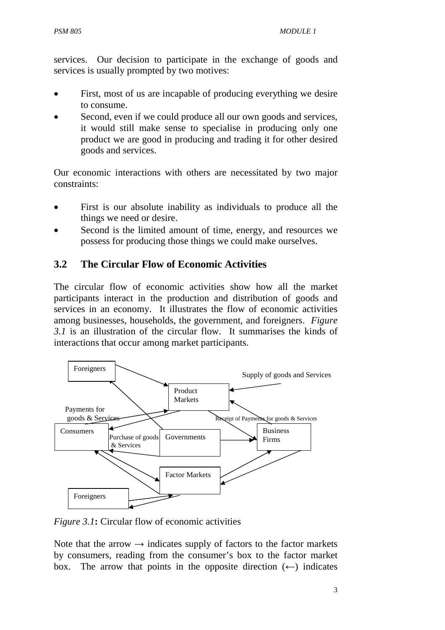services. Our decision to participate in the exchange of goods and services is usually prompted by two motives:

- First, most of us are incapable of producing everything we desire to consume.
- Second, even if we could produce all our own goods and services, it would still make sense to specialise in producing only one product we are good in producing and trading it for other desired goods and services.

Our economic interactions with others are necessitated by two major constraints:

- First is our absolute inability as individuals to produce all the things we need or desire.
- Second is the limited amount of time, energy, and resources we possess for producing those things we could make ourselves.

## **3.2 The Circular Flow of Economic Activities**

The circular flow of economic activities show how all the market participants interact in the production and distribution of goods and services in an economy. It illustrates the flow of economic activities among businesses, households, the government, and foreigners. *Figure 3.1* is an illustration of the circular flow. It summarises the kinds of interactions that occur among market participants.



*Figure 3.1***:** Circular flow of economic activities

Note that the arrow  $\rightarrow$  indicates supply of factors to the factor markets by consumers, reading from the consumer's box to the factor market box. The arrow that points in the opposite direction  $(\leftarrow)$  indicates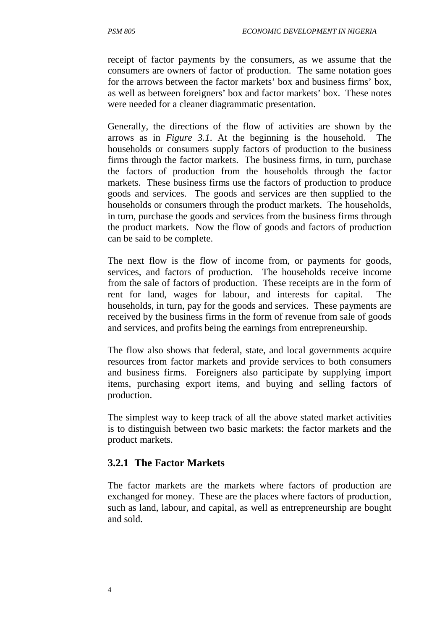receipt of factor payments by the consumers, as we assume that the consumers are owners of factor of production. The same notation goes for the arrows between the factor markets' box and business firms' box, as well as between foreigners' box and factor markets' box. These notes were needed for a cleaner diagrammatic presentation.

Generally, the directions of the flow of activities are shown by the arrows as in *Figure 3.1*. At the beginning is the household. The households or consumers supply factors of production to the business firms through the factor markets. The business firms, in turn, purchase the factors of production from the households through the factor markets. These business firms use the factors of production to produce goods and services. The goods and services are then supplied to the households or consumers through the product markets. The households, in turn, purchase the goods and services from the business firms through the product markets. Now the flow of goods and factors of production can be said to be complete.

The next flow is the flow of income from, or payments for goods, services, and factors of production. The households receive income from the sale of factors of production. These receipts are in the form of rent for land, wages for labour, and interests for capital. The households, in turn, pay for the goods and services. These payments are received by the business firms in the form of revenue from sale of goods and services, and profits being the earnings from entrepreneurship.

The flow also shows that federal, state, and local governments acquire resources from factor markets and provide services to both consumers and business firms. Foreigners also participate by supplying import items, purchasing export items, and buying and selling factors of production.

The simplest way to keep track of all the above stated market activities is to distinguish between two basic markets: the factor markets and the product markets.

### **3.2.1 The Factor Markets**

The factor markets are the markets where factors of production are exchanged for money. These are the places where factors of production, such as land, labour, and capital, as well as entrepreneurship are bought and sold.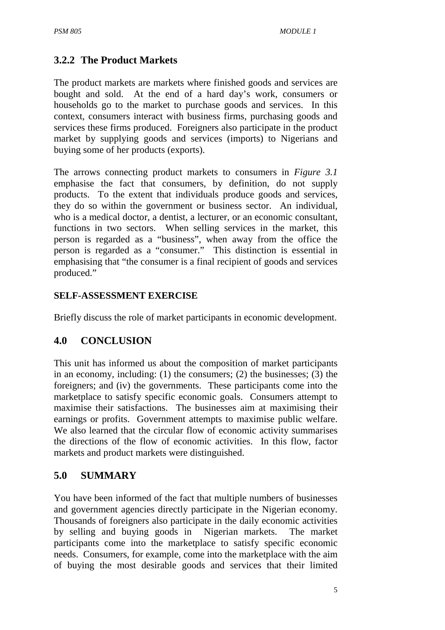## **3.2.2 The Product Markets**

The product markets are markets where finished goods and services are bought and sold. At the end of a hard day's work, consumers or households go to the market to purchase goods and services. In this context, consumers interact with business firms, purchasing goods and services these firms produced. Foreigners also participate in the product market by supplying goods and services (imports) to Nigerians and buying some of her products (exports).

The arrows connecting product markets to consumers in *Figure 3.1* emphasise the fact that consumers, by definition, do not supply products. To the extent that individuals produce goods and services, they do so within the government or business sector. An individual, who is a medical doctor, a dentist, a lecturer, or an economic consultant, functions in two sectors. When selling services in the market, this person is regarded as a "business", when away from the office the person is regarded as a "consumer." This distinction is essential in emphasising that "the consumer is a final recipient of goods and services produced."

#### **SELF-ASSESSMENT EXERCISE**

Briefly discuss the role of market participants in economic development.

### **4.0 CONCLUSION**

This unit has informed us about the composition of market participants in an economy, including: (1) the consumers; (2) the businesses; (3) the foreigners; and (iv) the governments. These participants come into the marketplace to satisfy specific economic goals. Consumers attempt to maximise their satisfactions. The businesses aim at maximising their earnings or profits. Government attempts to maximise public welfare. We also learned that the circular flow of economic activity summarises the directions of the flow of economic activities. In this flow, factor markets and product markets were distinguished.

### **5.0 SUMMARY**

You have been informed of the fact that multiple numbers of businesses and government agencies directly participate in the Nigerian economy. Thousands of foreigners also participate in the daily economic activities by selling and buying goods in Nigerian markets. The market participants come into the marketplace to satisfy specific economic needs. Consumers, for example, come into the marketplace with the aim of buying the most desirable goods and services that their limited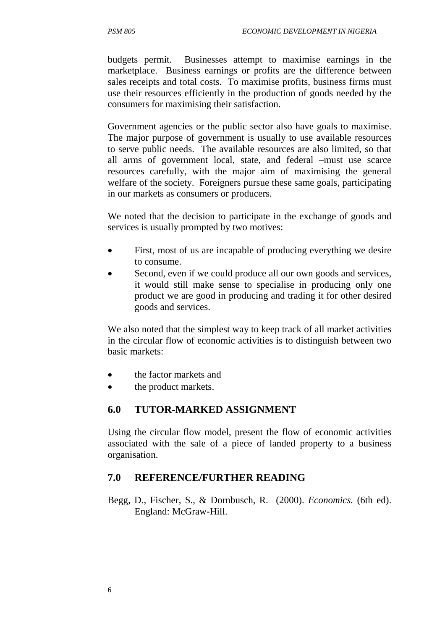budgets permit. Businesses attempt to maximise earnings in the marketplace. Business earnings or profits are the difference between sales receipts and total costs. To maximise profits, business firms must use their resources efficiently in the production of goods needed by the consumers for maximising their satisfaction.

Government agencies or the public sector also have goals to maximise. The major purpose of government is usually to use available resources to serve public needs. The available resources are also limited, so that all arms of government local, state, and federal –must use scarce resources carefully, with the major aim of maximising the general welfare of the society. Foreigners pursue these same goals, participating in our markets as consumers or producers.

We noted that the decision to participate in the exchange of goods and services is usually prompted by two motives:

- First, most of us are incapable of producing everything we desire to consume.
- Second, even if we could produce all our own goods and services, it would still make sense to specialise in producing only one product we are good in producing and trading it for other desired goods and services.

We also noted that the simplest way to keep track of all market activities in the circular flow of economic activities is to distinguish between two basic markets:

- the factor markets and
- the product markets.

## **6.0 TUTOR-MARKED ASSIGNMENT**

Using the circular flow model, present the flow of economic activities associated with the sale of a piece of landed property to a business organisation.

## **7.0 REFERENCE/FURTHER READING**

Begg, D., Fischer, S., & Dornbusch, R. (2000). *Economics.* (6th ed). England: McGraw-Hill.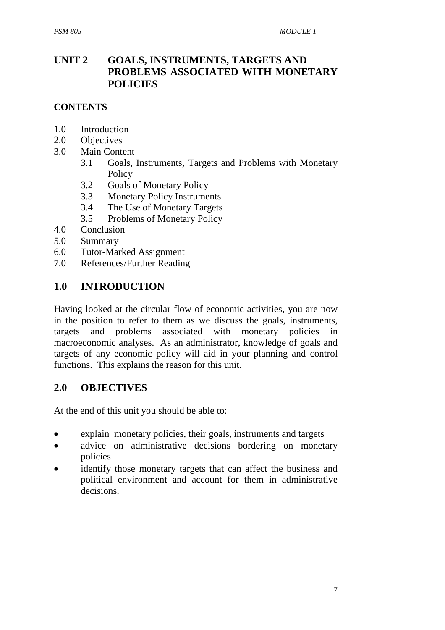## **UNIT 2 GOALS, INSTRUMENTS, TARGETS AND PROBLEMS ASSOCIATED WITH MONETARY POLICIES**

#### **CONTENTS**

- 1.0 Introduction
- 2.0 Objectives
- 3.0 Main Content
	- 3.1 Goals, Instruments, Targets and Problems with Monetary **Policy**
	- 3.2 Goals of Monetary Policy
	- 3.3 Monetary Policy Instruments
	- 3.4 The Use of Monetary Targets
	- 3.5 Problems of Monetary Policy
- 4.0 Conclusion
- 5.0 Summary
- 6.0 Tutor-Marked Assignment
- 7.0 References/Further Reading

#### **1.0 INTRODUCTION**

Having looked at the circular flow of economic activities, you are now in the position to refer to them as we discuss the goals, instruments, targets and problems associated with monetary policies in macroeconomic analyses. As an administrator, knowledge of goals and targets of any economic policy will aid in your planning and control functions. This explains the reason for this unit.

#### **2.0 OBJECTIVES**

At the end of this unit you should be able to:

- explain monetary policies, their goals, instruments and targets
- advice on administrative decisions bordering on monetary policies
- identify those monetary targets that can affect the business and political environment and account for them in administrative decisions.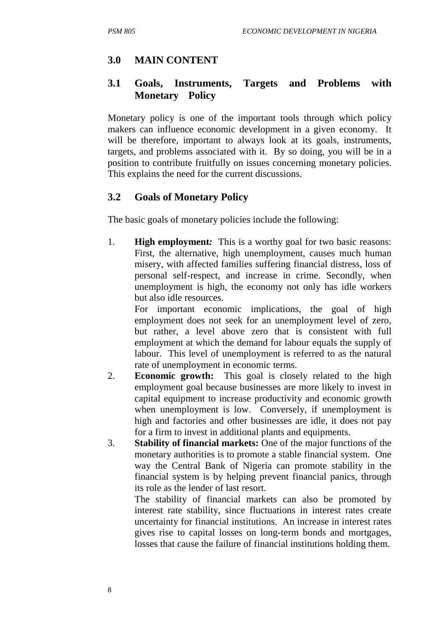## **3.0 MAIN CONTENT**

#### **3.1 Goals, Instruments, Targets and Problems with Monetary Policy**

Monetary policy is one of the important tools through which policy makers can influence economic development in a given economy. It will be therefore, important to always look at its goals, instruments, targets, and problems associated with it. By so doing, you will be in a position to contribute fruitfully on issues concerning monetary policies. This explains the need for the current discussions.

#### **3.2 Goals of Monetary Policy**

The basic goals of monetary policies include the following:

1. **High employment***:* This is a worthy goal for two basic reasons: First, the alternative, high unemployment, causes much human misery, with affected families suffering financial distress, loss of personal self-respect, and increase in crime. Secondly, when unemployment is high, the economy not only has idle workers but also idle resources.

 For important economic implications, the goal of high employment does not seek for an unemployment level of zero, but rather, a level above zero that is consistent with full employment at which the demand for labour equals the supply of labour. This level of unemployment is referred to as the natural rate of unemployment in economic terms.

- 2. **Economic growth:** This goal is closely related to the high employment goal because businesses are more likely to invest in capital equipment to increase productivity and economic growth when unemployment is low. Conversely, if unemployment is high and factories and other businesses are idle, it does not pay for a firm to invest in additional plants and equipments.
- 3. **Stability of financial markets:** One of the major functions of the monetary authorities is to promote a stable financial system. One way the Central Bank of Nigeria can promote stability in the financial system is by helping prevent financial panics, through its role as the lender of last resort.

 The stability of financial markets can also be promoted by interest rate stability, since fluctuations in interest rates create uncertainty for financial institutions. An increase in interest rates gives rise to capital losses on long-term bonds and mortgages, losses that cause the failure of financial institutions holding them.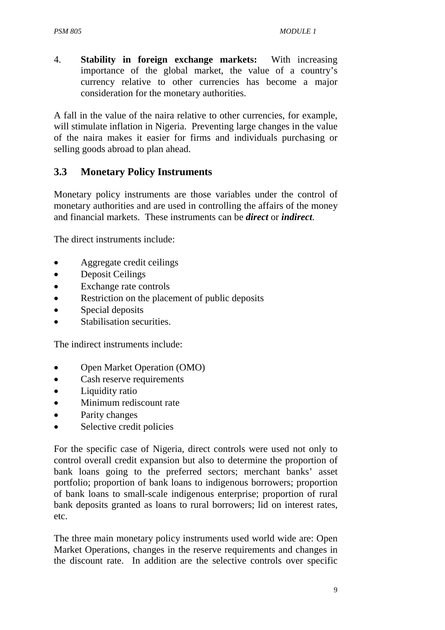4. **Stability in foreign exchange markets:**With increasing importance of the global market, the value of a country's currency relative to other currencies has become a major consideration for the monetary authorities.

A fall in the value of the naira relative to other currencies, for example, will stimulate inflation in Nigeria. Preventing large changes in the value of the naira makes it easier for firms and individuals purchasing or selling goods abroad to plan ahead.

#### **3.3 Monetary Policy Instruments**

Monetary policy instruments are those variables under the control of monetary authorities and are used in controlling the affairs of the money and financial markets. These instruments can be *direct* or *indirect*.

The direct instruments include:

- Aggregate credit ceilings
- Deposit Ceilings
- Exchange rate controls
- Restriction on the placement of public deposits
- Special deposits
- Stabilisation securities.

The indirect instruments include:

- Open Market Operation (OMO)
- Cash reserve requirements
- Liquidity ratio
- Minimum rediscount rate
- Parity changes
- Selective credit policies

For the specific case of Nigeria, direct controls were used not only to control overall credit expansion but also to determine the proportion of bank loans going to the preferred sectors; merchant banks' asset portfolio; proportion of bank loans to indigenous borrowers; proportion of bank loans to small-scale indigenous enterprise; proportion of rural bank deposits granted as loans to rural borrowers; lid on interest rates, etc.

The three main monetary policy instruments used world wide are: Open Market Operations, changes in the reserve requirements and changes in the discount rate. In addition are the selective controls over specific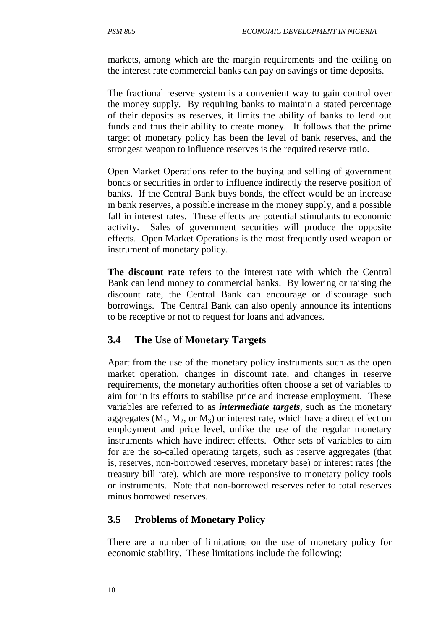markets, among which are the margin requirements and the ceiling on the interest rate commercial banks can pay on savings or time deposits.

The fractional reserve system is a convenient way to gain control over the money supply. By requiring banks to maintain a stated percentage of their deposits as reserves, it limits the ability of banks to lend out funds and thus their ability to create money. It follows that the prime target of monetary policy has been the level of bank reserves, and the strongest weapon to influence reserves is the required reserve ratio.

Open Market Operations refer to the buying and selling of government bonds or securities in order to influence indirectly the reserve position of banks. If the Central Bank buys bonds, the effect would be an increase in bank reserves, a possible increase in the money supply, and a possible fall in interest rates. These effects are potential stimulants to economic activity. Sales of government securities will produce the opposite effects. Open Market Operations is the most frequently used weapon or instrument of monetary policy.

**The discount rate** refers to the interest rate with which the Central Bank can lend money to commercial banks. By lowering or raising the discount rate, the Central Bank can encourage or discourage such borrowings. The Central Bank can also openly announce its intentions to be receptive or not to request for loans and advances.

### **3.4 The Use of Monetary Targets**

Apart from the use of the monetary policy instruments such as the open market operation, changes in discount rate, and changes in reserve requirements, the monetary authorities often choose a set of variables to aim for in its efforts to stabilise price and increase employment. These variables are referred to as *intermediate targets*, such as the monetary aggregates  $(M_1, M_2, \text{or } M_3)$  or interest rate, which have a direct effect on employment and price level, unlike the use of the regular monetary instruments which have indirect effects. Other sets of variables to aim for are the so-called operating targets, such as reserve aggregates (that is, reserves, non-borrowed reserves, monetary base) or interest rates (the treasury bill rate), which are more responsive to monetary policy tools or instruments. Note that non-borrowed reserves refer to total reserves minus borrowed reserves.

#### **3.5 Problems of Monetary Policy**

There are a number of limitations on the use of monetary policy for economic stability. These limitations include the following: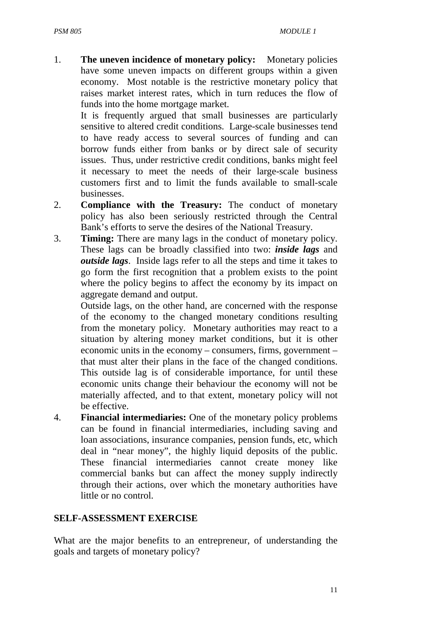1. **The uneven incidence of monetary policy:**Monetary policies have some uneven impacts on different groups within a given economy. Most notable is the restrictive monetary policy that raises market interest rates, which in turn reduces the flow of funds into the home mortgage market.

 It is frequently argued that small businesses are particularly sensitive to altered credit conditions. Large-scale businesses tend to have ready access to several sources of funding and can borrow funds either from banks or by direct sale of security issues. Thus, under restrictive credit conditions, banks might feel it necessary to meet the needs of their large-scale business customers first and to limit the funds available to small-scale businesses.

- 2. **Compliance with the Treasury:** The conduct of monetary policy has also been seriously restricted through the Central Bank's efforts to serve the desires of the National Treasury.
- 3. **Timing:** There are many lags in the conduct of monetary policy. These lags can be broadly classified into two: *inside lags* and *outside lags*. Inside lags refer to all the steps and time it takes to go form the first recognition that a problem exists to the point where the policy begins to affect the economy by its impact on aggregate demand and output.

 Outside lags, on the other hand, are concerned with the response of the economy to the changed monetary conditions resulting from the monetary policy. Monetary authorities may react to a situation by altering money market conditions, but it is other economic units in the economy – consumers, firms, government – that must alter their plans in the face of the changed conditions. This outside lag is of considerable importance, for until these economic units change their behaviour the economy will not be materially affected, and to that extent, monetary policy will not be effective.

4. **Financial intermediaries:** One of the monetary policy problems can be found in financial intermediaries, including saving and loan associations, insurance companies, pension funds, etc, which deal in "near money", the highly liquid deposits of the public. These financial intermediaries cannot create money like commercial banks but can affect the money supply indirectly through their actions, over which the monetary authorities have little or no control.

#### **SELF-ASSESSMENT EXERCISE**

What are the major benefits to an entrepreneur, of understanding the goals and targets of monetary policy?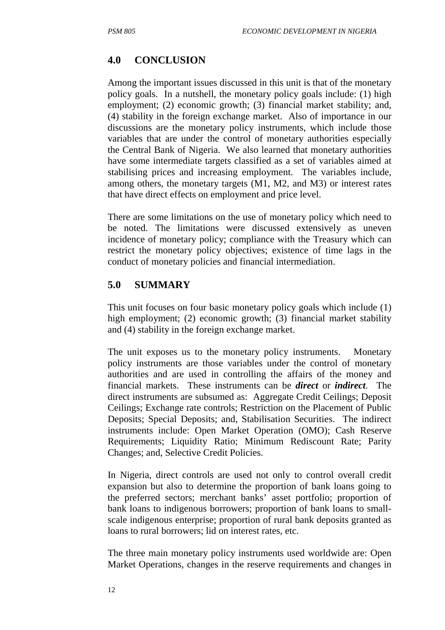### **4.0 CONCLUSION**

Among the important issues discussed in this unit is that of the monetary policy goals. In a nutshell, the monetary policy goals include: (1) high employment; (2) economic growth; (3) financial market stability; and, (4) stability in the foreign exchange market. Also of importance in our discussions are the monetary policy instruments, which include those variables that are under the control of monetary authorities especially the Central Bank of Nigeria. We also learned that monetary authorities have some intermediate targets classified as a set of variables aimed at stabilising prices and increasing employment. The variables include, among others, the monetary targets (M1, M2, and M3) or interest rates that have direct effects on employment and price level.

There are some limitations on the use of monetary policy which need to be noted. The limitations were discussed extensively as uneven incidence of monetary policy; compliance with the Treasury which can restrict the monetary policy objectives; existence of time lags in the conduct of monetary policies and financial intermediation.

#### **5.0 SUMMARY**

This unit focuses on four basic monetary policy goals which include (1) high employment; (2) economic growth; (3) financial market stability and (4) stability in the foreign exchange market.

The unit exposes us to the monetary policy instruments. Monetary policy instruments are those variables under the control of monetary authorities and are used in controlling the affairs of the money and financial markets. These instruments can be *direct* or *indirect*. The direct instruments are subsumed as: Aggregate Credit Ceilings; Deposit Ceilings; Exchange rate controls; Restriction on the Placement of Public Deposits; Special Deposits; and, Stabilisation Securities. The indirect instruments include: Open Market Operation (OMO); Cash Reserve Requirements; Liquidity Ratio; Minimum Rediscount Rate; Parity Changes; and, Selective Credit Policies.

In Nigeria, direct controls are used not only to control overall credit expansion but also to determine the proportion of bank loans going to the preferred sectors; merchant banks' asset portfolio; proportion of bank loans to indigenous borrowers; proportion of bank loans to smallscale indigenous enterprise; proportion of rural bank deposits granted as loans to rural borrowers; lid on interest rates, etc.

The three main monetary policy instruments used worldwide are: Open Market Operations, changes in the reserve requirements and changes in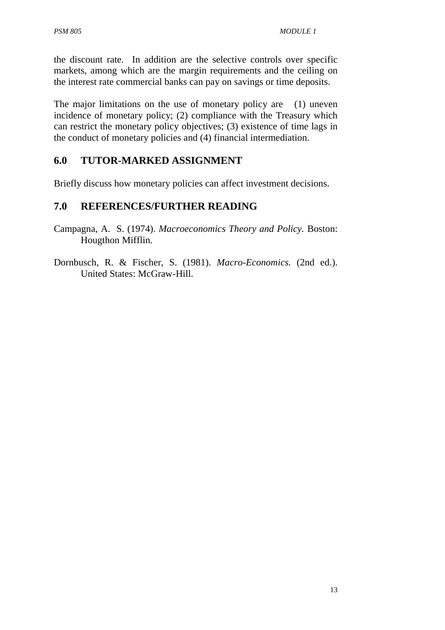the discount rate. In addition are the selective controls over specific markets, among which are the margin requirements and the ceiling on the interest rate commercial banks can pay on savings or time deposits.

The major limitations on the use of monetary policy are (1) uneven incidence of monetary policy; (2) compliance with the Treasury which can restrict the monetary policy objectives; (3) existence of time lags in the conduct of monetary policies and (4) financial intermediation.

## **6.0 TUTOR-MARKED ASSIGNMENT**

Briefly discuss how monetary policies can affect investment decisions.

### **7.0 REFERENCES/FURTHER READING**

- Campagna, A. S. (1974). *Macroeconomics Theory and Policy.* Boston: Hougthon Mifflin.
- Dornbusch, R. & Fischer, S. (1981). *Macro-Economics.* (2nd ed.). United States: McGraw-Hill.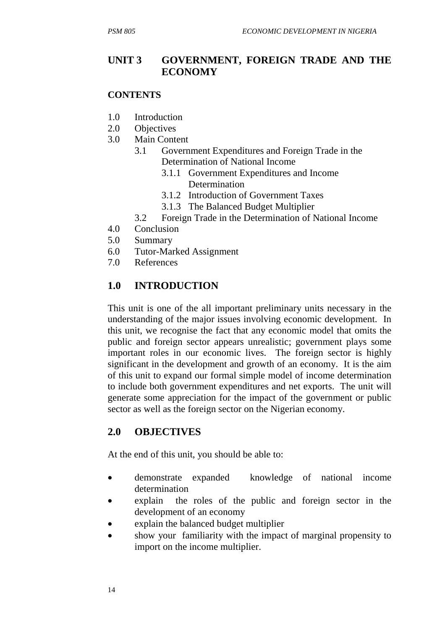#### **UNIT 3 GOVERNMENT, FOREIGN TRADE AND THE ECONOMY**

#### **CONTENTS**

- 1.0 Introduction
- 2.0 Objectives
- 3.0 Main Content
	- 3.1 Government Expenditures and Foreign Trade in the Determination of National Income
		- 3.1.1 Government Expenditures and Income Determination
		- 3.1.2 Introduction of Government Taxes
		- 3.1.3 The Balanced Budget Multiplier
	- 3.2 Foreign Trade in the Determination of National Income
- 4.0 Conclusion
- 5.0 Summary
- 6.0 Tutor-Marked Assignment
- 7.0 References

### **1.0 INTRODUCTION**

This unit is one of the all important preliminary units necessary in the understanding of the major issues involving economic development. In this unit, we recognise the fact that any economic model that omits the public and foreign sector appears unrealistic; government plays some important roles in our economic lives. The foreign sector is highly significant in the development and growth of an economy. It is the aim of this unit to expand our formal simple model of income determination to include both government expenditures and net exports. The unit will generate some appreciation for the impact of the government or public sector as well as the foreign sector on the Nigerian economy.

#### **2.0 OBJECTIVES**

At the end of this unit, you should be able to:

- demonstrate expanded knowledge of national income determination
- explain the roles of the public and foreign sector in the development of an economy
- explain the balanced budget multiplier
- show your familiarity with the impact of marginal propensity to import on the income multiplier.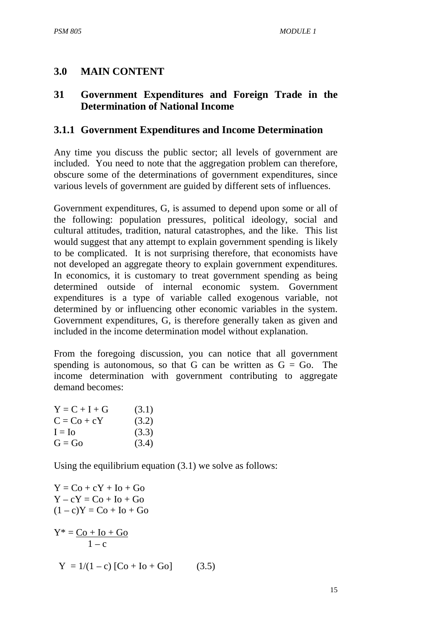## **3.0 MAIN CONTENT**

## **31 Government Expenditures and Foreign Trade in the Determination of National Income**

## **3.1.1 Government Expenditures and Income Determination**

Any time you discuss the public sector; all levels of government are included. You need to note that the aggregation problem can therefore, obscure some of the determinations of government expenditures, since various levels of government are guided by different sets of influences.

Government expenditures, G, is assumed to depend upon some or all of the following: population pressures, political ideology, social and cultural attitudes, tradition, natural catastrophes, and the like. This list would suggest that any attempt to explain government spending is likely to be complicated. It is not surprising therefore, that economists have not developed an aggregate theory to explain government expenditures. In economics, it is customary to treat government spending as being determined outside of internal economic system. Government expenditures is a type of variable called exogenous variable, not determined by or influencing other economic variables in the system. Government expenditures, G, is therefore generally taken as given and included in the income determination model without explanation.

From the foregoing discussion, you can notice that all government spending is autonomous, so that G can be written as  $G = G_0$ . The income determination with government contributing to aggregate demand becomes:

| $Y = C + I + G$ | (3.1) |
|-----------------|-------|
| $C = Co + cY$   | (3.2) |
| $I = Io$        | (3.3) |
| $G = Go$        | (3.4) |

Using the equilibrium equation (3.1) we solve as follows:

```
Y = Co + cY + Io + GoY - cY = Co + Io + Go(1 - c)Y = Co + Io + GoY^* = \underline{Co + Io + Go}1 - cY = 1/(1-c) [Co + Io + Go] (3.5)
```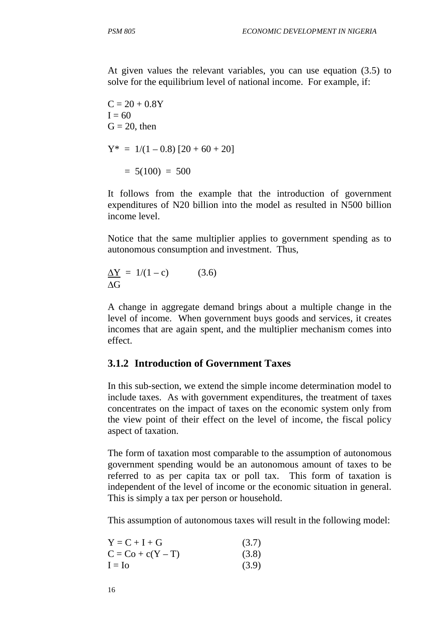At given values the relevant variables, you can use equation (3.5) to solve for the equilibrium level of national income. For example, if:

 $C = 20 + 0.8Y$  $I = 60$  $G = 20$ , then  $Y^* = 1/(1 - 0.8)$   $[20 + 60 + 20]$  $= 5(100) = 500$ 

It follows from the example that the introduction of government expenditures of N20 billion into the model as resulted in N500 billion income level.

Notice that the same multiplier applies to government spending as to autonomous consumption and investment. Thus,

 $\Delta Y = 1/(1-c)$  (3.6) ∆G

A change in aggregate demand brings about a multiple change in the level of income. When government buys goods and services, it creates incomes that are again spent, and the multiplier mechanism comes into effect.

#### **3.1.2 Introduction of Government Taxes**

In this sub-section, we extend the simple income determination model to include taxes. As with government expenditures, the treatment of taxes concentrates on the impact of taxes on the economic system only from the view point of their effect on the level of income, the fiscal policy aspect of taxation.

The form of taxation most comparable to the assumption of autonomous government spending would be an autonomous amount of taxes to be referred to as per capita tax or poll tax. This form of taxation is independent of the level of income or the economic situation in general. This is simply a tax per person or household.

This assumption of autonomous taxes will result in the following model:

| $Y = C + I + G$     | (3.7) |
|---------------------|-------|
| $C = Co + c(Y - T)$ | (3.8) |
| $I = Io$            | (3.9) |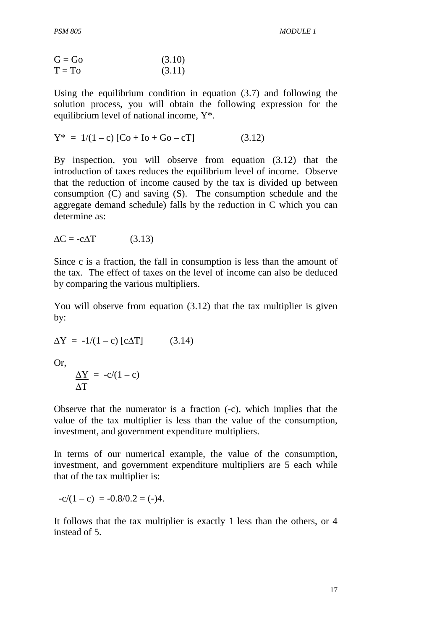$$
G = Go
$$
 (3.10)  
T = To (3.11)

Using the equilibrium condition in equation (3.7) and following the solution process, you will obtain the following expression for the equilibrium level of national income, Y\*.

$$
Y^* = 1/(1 - c) [Co + Io + Go - cT]
$$
 (3.12)

By inspection, you will observe from equation (3.12) that the introduction of taxes reduces the equilibrium level of income. Observe that the reduction of income caused by the tax is divided up between consumption (C) and saving (S). The consumption schedule and the aggregate demand schedule) falls by the reduction in C which you can determine as:

$$
\Delta C = -c\Delta T \qquad (3.13)
$$

Since c is a fraction, the fall in consumption is less than the amount of the tax. The effect of taxes on the level of income can also be deduced by comparing the various multipliers.

You will observe from equation (3.12) that the tax multiplier is given by:

$$
\Delta Y = -1/(1 - c) \left[ c \Delta T \right] \tag{3.14}
$$

Or,

$$
\frac{\Delta Y}{\Delta T} = -c/(1-c)
$$

Observe that the numerator is a fraction (-c), which implies that the value of the tax multiplier is less than the value of the consumption, investment, and government expenditure multipliers.

In terms of our numerical example, the value of the consumption, investment, and government expenditure multipliers are 5 each while that of the tax multiplier is:

$$
-c/(1-c) = -0.8/0.2 = (-)4.
$$

It follows that the tax multiplier is exactly 1 less than the others, or 4 instead of 5.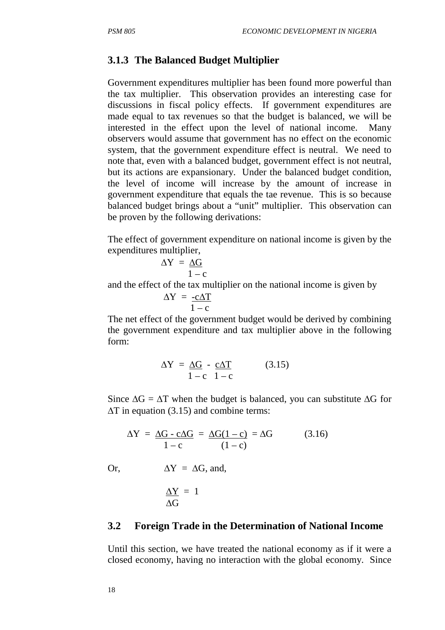#### **3.1.3 The Balanced Budget Multiplier**

Government expenditures multiplier has been found more powerful than the tax multiplier. This observation provides an interesting case for discussions in fiscal policy effects. If government expenditures are made equal to tax revenues so that the budget is balanced, we will be interested in the effect upon the level of national income. Many observers would assume that government has no effect on the economic system, that the government expenditure effect is neutral. We need to note that, even with a balanced budget, government effect is not neutral, but its actions are expansionary. Under the balanced budget condition, the level of income will increase by the amount of increase in government expenditure that equals the tae revenue. This is so because balanced budget brings about a "unit" multiplier. This observation can be proven by the following derivations:

The effect of government expenditure on national income is given by the expenditures multiplier,

$$
\Delta Y = \underline{\Delta G} \over 1 - c
$$

and the effect of the tax multiplier on the national income is given by

$$
\Delta Y = \frac{-c\Delta T}{1 - c}
$$

The net effect of the government budget would be derived by combining the government expenditure and tax multiplier above in the following form:

$$
\Delta Y = \underline{\Delta G} - \underline{c \Delta T} \qquad (3.15)
$$

$$
1 - c \quad 1 - c
$$

Since  $\Delta G = \Delta T$  when the budget is balanced, you can substitute  $\Delta G$  for ∆T in equation (3.15) and combine terms:

$$
\Delta Y = \underline{\Delta G - c\Delta G} = \underline{\Delta G(1 - c)} = \Delta G \qquad (3.16)
$$

Or,  $\Delta Y = \Delta G$ , and,

$$
\frac{\Delta Y}{\Delta G} = 1
$$

#### **3.2 Foreign Trade in the Determination of National Income**

Until this section, we have treated the national economy as if it were a closed economy, having no interaction with the global economy. Since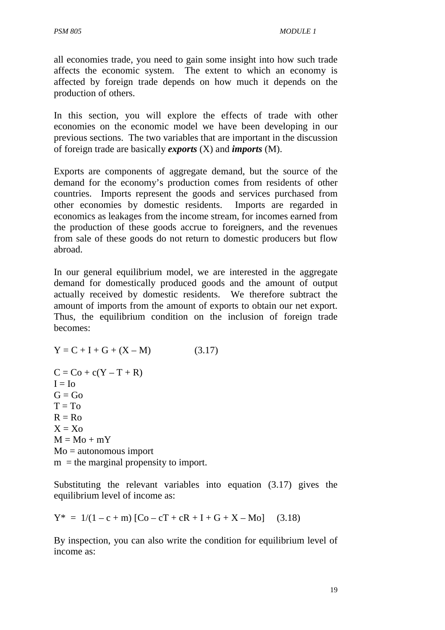all economies trade, you need to gain some insight into how such trade affects the economic system. The extent to which an economy is affected by foreign trade depends on how much it depends on the production of others.

In this section, you will explore the effects of trade with other economies on the economic model we have been developing in our previous sections. The two variables that are important in the discussion of foreign trade are basically *exports* (X) and *imports* (M).

Exports are components of aggregate demand, but the source of the demand for the economy's production comes from residents of other countries. Imports represent the goods and services purchased from other economies by domestic residents. Imports are regarded in economics as leakages from the income stream, for incomes earned from the production of these goods accrue to foreigners, and the revenues from sale of these goods do not return to domestic producers but flow abroad.

In our general equilibrium model, we are interested in the aggregate demand for domestically produced goods and the amount of output actually received by domestic residents. We therefore subtract the amount of imports from the amount of exports to obtain our net export. Thus, the equilibrium condition on the inclusion of foreign trade becomes:

 $Y = C + I + G + (X - M)$  (3.17)  $C = Co + c(Y - T + R)$  $I = I_0$  $G = Go$  $T = To$  $R = R<sub>0</sub>$  $X = X_0$  $M = Mo + mY$ Mo = autonomous import  $m =$  the marginal propensity to import.

Substituting the relevant variables into equation (3.17) gives the equilibrium level of income as:

$$
Y^* = 1/(1 - c + m) [Co - cT + cR + I + G + X - Mo] \quad (3.18)
$$

By inspection, you can also write the condition for equilibrium level of income as: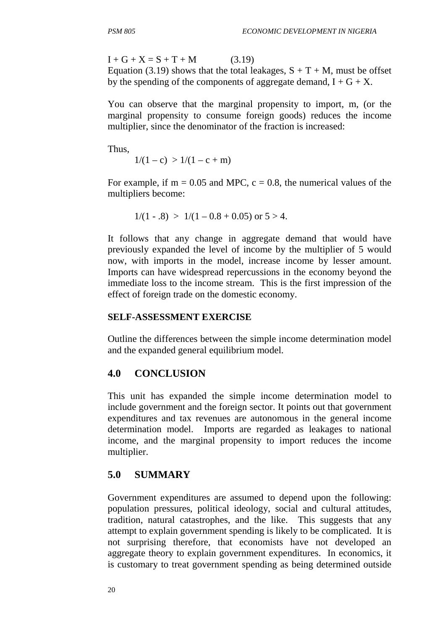$I + G + X = S + T + M$  (3.19) Equation (3.19) shows that the total leakages,  $S + T + M$ , must be offset by the spending of the components of aggregate demand,  $I + G + X$ .

You can observe that the marginal propensity to import, m, (or the marginal propensity to consume foreign goods) reduces the income multiplier, since the denominator of the fraction is increased:

Thus,

 $1/(1-c) > 1/(1-c+m)$ 

For example, if  $m = 0.05$  and MPC,  $c = 0.8$ , the numerical values of the multipliers become:

$$
1/(1-.8) > 1/(1-0.8+0.05)
$$
 or  $5 > 4$ .

It follows that any change in aggregate demand that would have previously expanded the level of income by the multiplier of 5 would now, with imports in the model, increase income by lesser amount. Imports can have widespread repercussions in the economy beyond the immediate loss to the income stream. This is the first impression of the effect of foreign trade on the domestic economy.

#### **SELF-ASSESSMENT EXERCISE**

Outline the differences between the simple income determination model and the expanded general equilibrium model.

### **4.0 CONCLUSION**

This unit has expanded the simple income determination model to include government and the foreign sector. It points out that government expenditures and tax revenues are autonomous in the general income determination model. Imports are regarded as leakages to national income, and the marginal propensity to import reduces the income multiplier.

### **5.0 SUMMARY**

Government expenditures are assumed to depend upon the following: population pressures, political ideology, social and cultural attitudes, tradition, natural catastrophes, and the like. This suggests that any attempt to explain government spending is likely to be complicated. It is not surprising therefore, that economists have not developed an aggregate theory to explain government expenditures. In economics, it is customary to treat government spending as being determined outside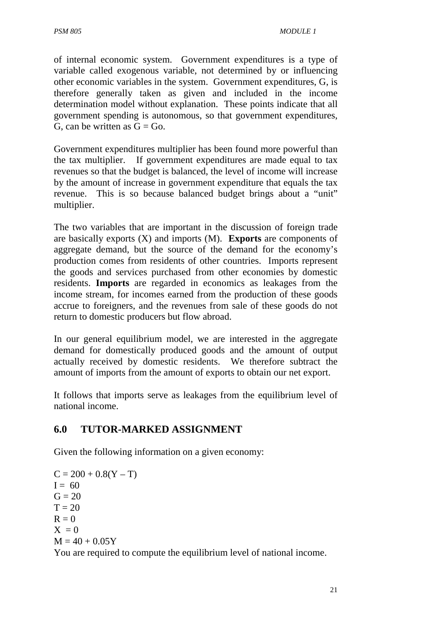of internal economic system. Government expenditures is a type of variable called exogenous variable, not determined by or influencing other economic variables in the system. Government expenditures, G, is therefore generally taken as given and included in the income determination model without explanation. These points indicate that all government spending is autonomous, so that government expenditures, G, can be written as  $G = G_0$ .

Government expenditures multiplier has been found more powerful than the tax multiplier. If government expenditures are made equal to tax revenues so that the budget is balanced, the level of income will increase by the amount of increase in government expenditure that equals the tax revenue. This is so because balanced budget brings about a "unit" multiplier.

The two variables that are important in the discussion of foreign trade are basically exports (X) and imports (M). **Exports** are components of aggregate demand, but the source of the demand for the economy's production comes from residents of other countries. Imports represent the goods and services purchased from other economies by domestic residents. **Imports** are regarded in economics as leakages from the income stream, for incomes earned from the production of these goods accrue to foreigners, and the revenues from sale of these goods do not return to domestic producers but flow abroad.

In our general equilibrium model, we are interested in the aggregate demand for domestically produced goods and the amount of output actually received by domestic residents. We therefore subtract the amount of imports from the amount of exports to obtain our net export.

It follows that imports serve as leakages from the equilibrium level of national income.

## **6.0 TUTOR-MARKED ASSIGNMENT**

Given the following information on a given economy:

 $C = 200 + 0.8(Y - T)$  $I = 60$  $G = 20$  $T = 20$  $R = 0$  $X = 0$  $M = 40 + 0.05Y$ You are required to compute the equilibrium level of national income.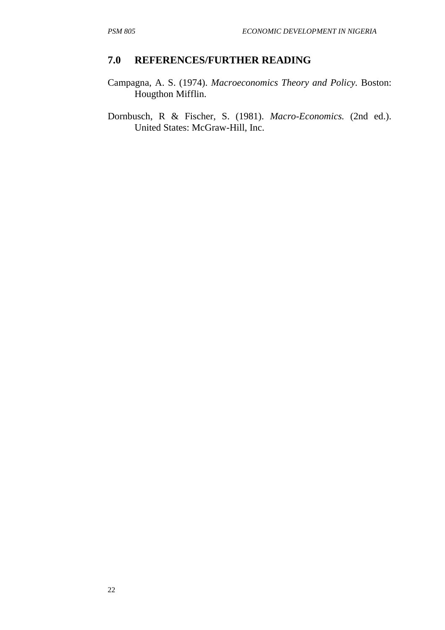#### **7.0 REFERENCES/FURTHER READING**

- Campagna, A. S. (1974). *Macroeconomics Theory and Policy.* Boston: Hougthon Mifflin.
- Dornbusch, R & Fischer, S. (1981). *Macro-Economics.* (2nd ed.). United States: McGraw-Hill, Inc.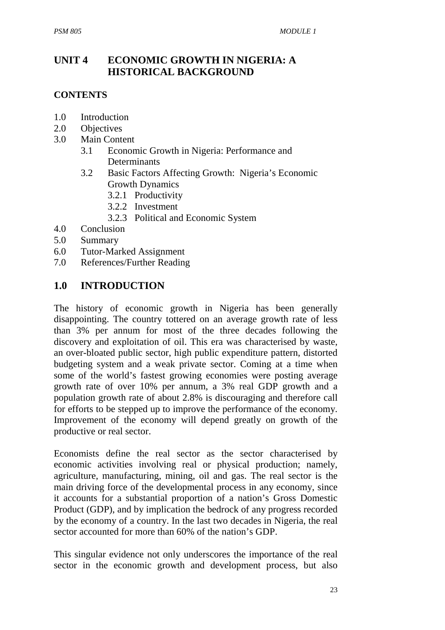## **UNIT 4 ECONOMIC GROWTH IN NIGERIA: A HISTORICAL BACKGROUND**

#### **CONTENTS**

- 1.0 Introduction
- 2.0 Objectives
- 3.0 Main Content
	- 3.1 Economic Growth in Nigeria: Performance and **Determinants**
	- 3.2 Basic Factors Affecting Growth: Nigeria's Economic Growth Dynamics
		- 3.2.1 Productivity
		- 3.2.2 Investment
		- 3.2.3 Political and Economic System
- 4.0 Conclusion
- 5.0 Summary
- 6.0 Tutor-Marked Assignment
- 7.0 References/Further Reading

#### **1.0 INTRODUCTION**

The history of economic growth in Nigeria has been generally disappointing. The country tottered on an average growth rate of less than 3% per annum for most of the three decades following the discovery and exploitation of oil. This era was characterised by waste, an over-bloated public sector, high public expenditure pattern, distorted budgeting system and a weak private sector. Coming at a time when some of the world's fastest growing economies were posting average growth rate of over 10% per annum, a 3% real GDP growth and a population growth rate of about 2.8% is discouraging and therefore call for efforts to be stepped up to improve the performance of the economy. Improvement of the economy will depend greatly on growth of the productive or real sector.

Economists define the real sector as the sector characterised by economic activities involving real or physical production; namely, agriculture, manufacturing, mining, oil and gas. The real sector is the main driving force of the developmental process in any economy, since it accounts for a substantial proportion of a nation's Gross Domestic Product (GDP), and by implication the bedrock of any progress recorded by the economy of a country. In the last two decades in Nigeria, the real sector accounted for more than 60% of the nation's GDP.

This singular evidence not only underscores the importance of the real sector in the economic growth and development process, but also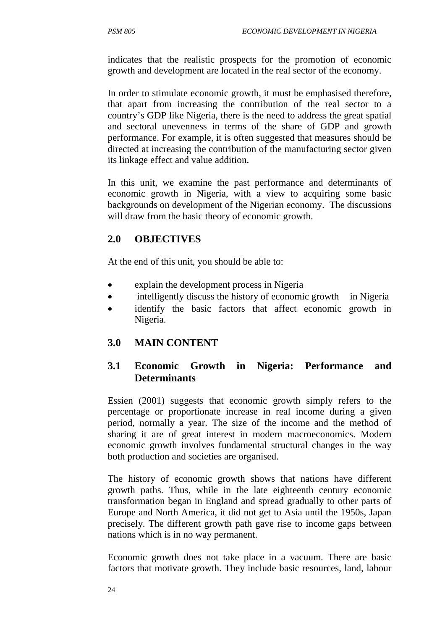indicates that the realistic prospects for the promotion of economic growth and development are located in the real sector of the economy.

In order to stimulate economic growth, it must be emphasised therefore, that apart from increasing the contribution of the real sector to a country's GDP like Nigeria, there is the need to address the great spatial and sectoral unevenness in terms of the share of GDP and growth performance. For example, it is often suggested that measures should be directed at increasing the contribution of the manufacturing sector given its linkage effect and value addition.

In this unit, we examine the past performance and determinants of economic growth in Nigeria, with a view to acquiring some basic backgrounds on development of the Nigerian economy. The discussions will draw from the basic theory of economic growth.

## **2.0 OBJECTIVES**

At the end of this unit, you should be able to:

- explain the development process in Nigeria
- intelligently discuss the history of economic growth in Nigeria
- identify the basic factors that affect economic growth in Nigeria.

## **3.0 MAIN CONTENT**

## **3.1 Economic Growth in Nigeria: Performance and Determinants**

Essien (2001) suggests that economic growth simply refers to the percentage or proportionate increase in real income during a given period, normally a year. The size of the income and the method of sharing it are of great interest in modern macroeconomics. Modern economic growth involves fundamental structural changes in the way both production and societies are organised.

The history of economic growth shows that nations have different growth paths. Thus, while in the late eighteenth century economic transformation began in England and spread gradually to other parts of Europe and North America, it did not get to Asia until the 1950s, Japan precisely. The different growth path gave rise to income gaps between nations which is in no way permanent.

Economic growth does not take place in a vacuum. There are basic factors that motivate growth. They include basic resources, land, labour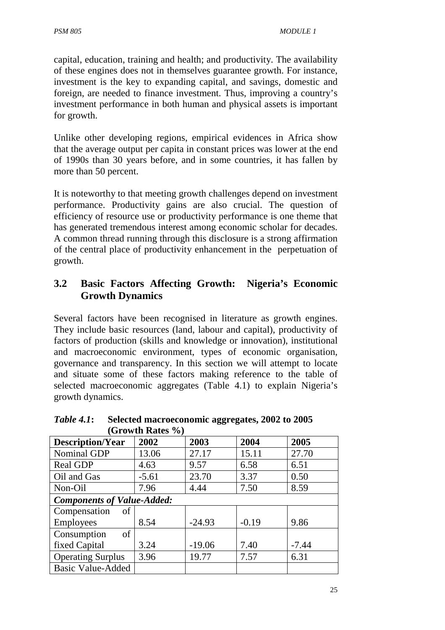capital, education, training and health; and productivity. The availability of these engines does not in themselves guarantee growth. For instance, investment is the key to expanding capital, and savings, domestic and foreign, are needed to finance investment. Thus, improving a country's investment performance in both human and physical assets is important for growth.

Unlike other developing regions, empirical evidences in Africa show that the average output per capita in constant prices was lower at the end of 1990s than 30 years before, and in some countries, it has fallen by more than 50 percent.

It is noteworthy to that meeting growth challenges depend on investment performance. Productivity gains are also crucial. The question of efficiency of resource use or productivity performance is one theme that has generated tremendous interest among economic scholar for decades. A common thread running through this disclosure is a strong affirmation of the central place of productivity enhancement in the perpetuation of growth.

## **3.2 Basic Factors Affecting Growth: Nigeria's Economic Growth Dynamics**

Several factors have been recognised in literature as growth engines. They include basic resources (land, labour and capital), productivity of factors of production (skills and knowledge or innovation), institutional and macroeconomic environment, types of economic organisation, governance and transparency. In this section we will attempt to locate and situate some of these factors making reference to the table of selected macroeconomic aggregates (Table 4.1) to explain Nigeria's growth dynamics.

| (Growill Kates 70)                |         |          |         |         |
|-----------------------------------|---------|----------|---------|---------|
| <b>Description/Year</b>           | 2002    | 2003     | 2004    | 2005    |
| Nominal GDP                       | 13.06   | 27.17    | 15.11   | 27.70   |
| Real GDP                          | 4.63    | 9.57     | 6.58    | 6.51    |
| Oil and Gas                       | $-5.61$ | 23.70    | 3.37    | 0.50    |
| Non-Oil                           | 7.96    | 4.44     | 7.50    | 8.59    |
| <b>Components of Value-Added:</b> |         |          |         |         |
| Compensation<br>$\sigma$          |         |          |         |         |
| <b>Employees</b>                  | 8.54    | $-24.93$ | $-0.19$ | 9.86    |
| Consumption<br>of <sub>1</sub>    |         |          |         |         |
| fixed Capital                     | 3.24    | $-19.06$ | 7.40    | $-7.44$ |
| <b>Operating Surplus</b>          | 3.96    | 19.77    | 7.57    | 6.31    |
| <b>Basic Value-Added</b>          |         |          |         |         |

*Table 4.1***: Selected macroeconomic aggregates, 2002 to 2005**   $(C$ rowth  $\mathbf{D}_{\alpha}$ teg  $\mathbf{0}$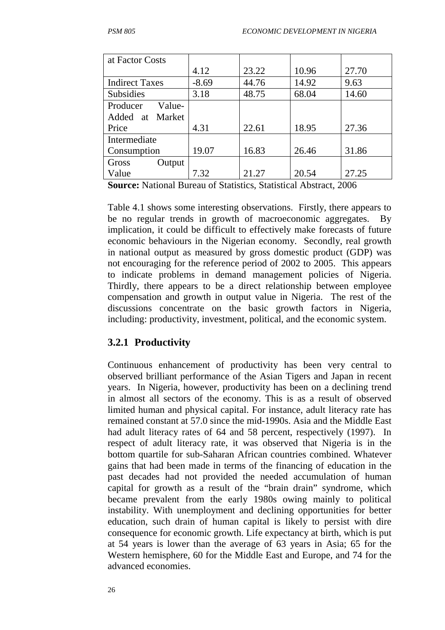| at Factor Costs       |         |       |       |       |
|-----------------------|---------|-------|-------|-------|
|                       | 4.12    | 23.22 | 10.96 | 27.70 |
| <b>Indirect Taxes</b> | $-8.69$ | 44.76 | 14.92 | 9.63  |
| <b>Subsidies</b>      | 3.18    | 48.75 | 68.04 | 14.60 |
| Value-<br>Producer    |         |       |       |       |
| Added at Market       |         |       |       |       |
| Price                 | 4.31    | 22.61 | 18.95 | 27.36 |
| Intermediate          |         |       |       |       |
| Consumption           | 19.07   | 16.83 | 26.46 | 31.86 |
| Gross<br>Output       |         |       |       |       |
| Value                 | 7.32    | 21.27 | 20.54 | 27.25 |

**Source:** National Bureau of Statistics, Statistical Abstract, 2006

Table 4.1 shows some interesting observations. Firstly, there appears to be no regular trends in growth of macroeconomic aggregates. By implication, it could be difficult to effectively make forecasts of future economic behaviours in the Nigerian economy. Secondly, real growth in national output as measured by gross domestic product (GDP) was not encouraging for the reference period of 2002 to 2005. This appears to indicate problems in demand management policies of Nigeria. Thirdly, there appears to be a direct relationship between employee compensation and growth in output value in Nigeria. The rest of the discussions concentrate on the basic growth factors in Nigeria, including: productivity, investment, political, and the economic system.

#### **3.2.1 Productivity**

Continuous enhancement of productivity has been very central to observed brilliant performance of the Asian Tigers and Japan in recent years. In Nigeria, however, productivity has been on a declining trend in almost all sectors of the economy. This is as a result of observed limited human and physical capital. For instance, adult literacy rate has remained constant at 57.0 since the mid-1990s. Asia and the Middle East had adult literacy rates of 64 and 58 percent, respectively (1997). In respect of adult literacy rate, it was observed that Nigeria is in the bottom quartile for sub-Saharan African countries combined. Whatever gains that had been made in terms of the financing of education in the past decades had not provided the needed accumulation of human capital for growth as a result of the "brain drain" syndrome, which became prevalent from the early 1980s owing mainly to political instability. With unemployment and declining opportunities for better education, such drain of human capital is likely to persist with dire consequence for economic growth. Life expectancy at birth, which is put at 54 years is lower than the average of 63 years in Asia; 65 for the Western hemisphere, 60 for the Middle East and Europe, and 74 for the advanced economies.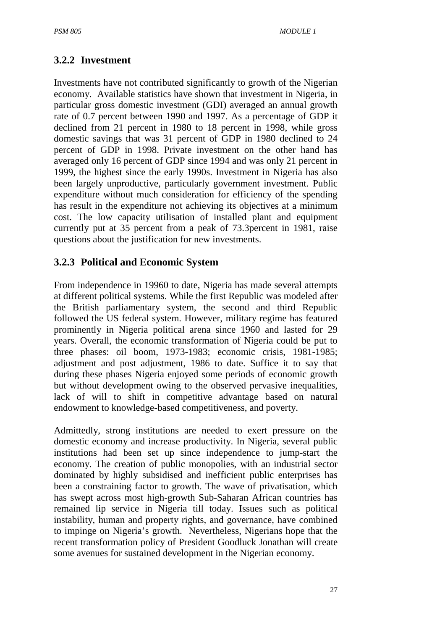## **3.2.2 Investment**

Investments have not contributed significantly to growth of the Nigerian economy. Available statistics have shown that investment in Nigeria, in particular gross domestic investment (GDI) averaged an annual growth rate of 0.7 percent between 1990 and 1997. As a percentage of GDP it declined from 21 percent in 1980 to 18 percent in 1998, while gross domestic savings that was 31 percent of GDP in 1980 declined to 24 percent of GDP in 1998. Private investment on the other hand has averaged only 16 percent of GDP since 1994 and was only 21 percent in 1999, the highest since the early 1990s. Investment in Nigeria has also been largely unproductive, particularly government investment. Public expenditure without much consideration for efficiency of the spending has result in the expenditure not achieving its objectives at a minimum cost. The low capacity utilisation of installed plant and equipment currently put at 35 percent from a peak of 73.3percent in 1981, raise questions about the justification for new investments.

### **3.2.3 Political and Economic System**

From independence in 19960 to date, Nigeria has made several attempts at different political systems. While the first Republic was modeled after the British parliamentary system, the second and third Republic followed the US federal system. However, military regime has featured prominently in Nigeria political arena since 1960 and lasted for 29 years. Overall, the economic transformation of Nigeria could be put to three phases: oil boom, 1973-1983; economic crisis, 1981-1985; adjustment and post adjustment, 1986 to date. Suffice it to say that during these phases Nigeria enjoyed some periods of economic growth but without development owing to the observed pervasive inequalities, lack of will to shift in competitive advantage based on natural endowment to knowledge-based competitiveness, and poverty.

Admittedly, strong institutions are needed to exert pressure on the domestic economy and increase productivity. In Nigeria, several public institutions had been set up since independence to jump-start the economy. The creation of public monopolies, with an industrial sector dominated by highly subsidised and inefficient public enterprises has been a constraining factor to growth. The wave of privatisation, which has swept across most high-growth Sub-Saharan African countries has remained lip service in Nigeria till today. Issues such as political instability, human and property rights, and governance, have combined to impinge on Nigeria's growth. Nevertheless, Nigerians hope that the recent transformation policy of President Goodluck Jonathan will create some avenues for sustained development in the Nigerian economy.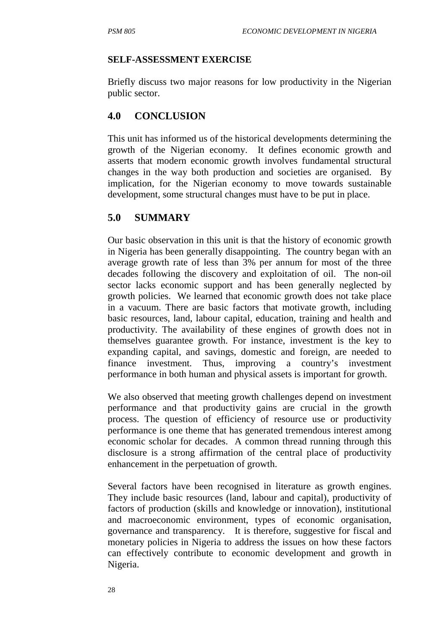#### **SELF-ASSESSMENT EXERCISE**

Briefly discuss two major reasons for low productivity in the Nigerian public sector.

## **4.0 CONCLUSION**

This unit has informed us of the historical developments determining the growth of the Nigerian economy. It defines economic growth and asserts that modern economic growth involves fundamental structural changes in the way both production and societies are organised. By implication, for the Nigerian economy to move towards sustainable development, some structural changes must have to be put in place.

## **5.0 SUMMARY**

Our basic observation in this unit is that the history of economic growth in Nigeria has been generally disappointing. The country began with an average growth rate of less than 3% per annum for most of the three decades following the discovery and exploitation of oil. The non-oil sector lacks economic support and has been generally neglected by growth policies. We learned that economic growth does not take place in a vacuum. There are basic factors that motivate growth, including basic resources, land, labour capital, education, training and health and productivity. The availability of these engines of growth does not in themselves guarantee growth. For instance, investment is the key to expanding capital, and savings, domestic and foreign, are needed to finance investment. Thus, improving a country's investment performance in both human and physical assets is important for growth.

We also observed that meeting growth challenges depend on investment performance and that productivity gains are crucial in the growth process. The question of efficiency of resource use or productivity performance is one theme that has generated tremendous interest among economic scholar for decades. A common thread running through this disclosure is a strong affirmation of the central place of productivity enhancement in the perpetuation of growth.

Several factors have been recognised in literature as growth engines. They include basic resources (land, labour and capital), productivity of factors of production (skills and knowledge or innovation), institutional and macroeconomic environment, types of economic organisation, governance and transparency. It is therefore, suggestive for fiscal and monetary policies in Nigeria to address the issues on how these factors can effectively contribute to economic development and growth in Nigeria.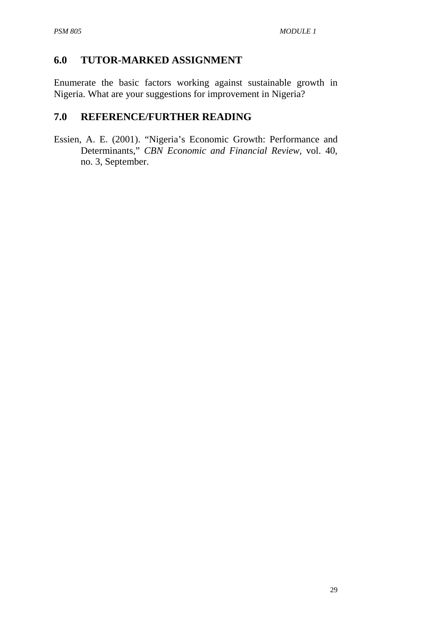## **6.0 TUTOR-MARKED ASSIGNMENT**

Enumerate the basic factors working against sustainable growth in Nigeria. What are your suggestions for improvement in Nigeria?

### **7.0 REFERENCE/FURTHER READING**

Essien, A. E. (2001). "Nigeria's Economic Growth: Performance and Determinants," *CBN Economic and Financial Review*, vol. 40, no. 3, September.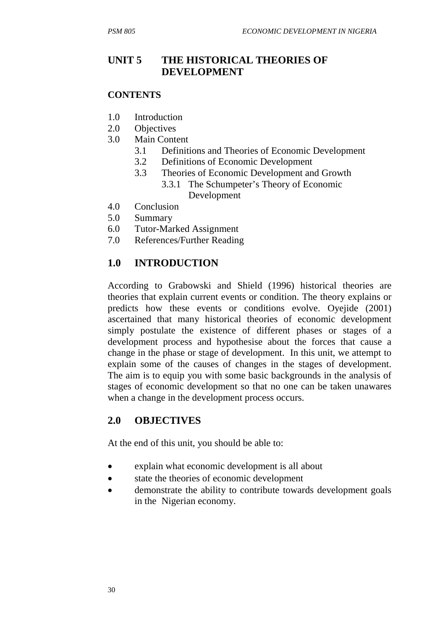## **UNIT 5 THE HISTORICAL THEORIES OF DEVELOPMENT**

#### **CONTENTS**

- 1.0 Introduction
- 2.0 Objectives
- 3.0 Main Content
	- 3.1 Definitions and Theories of Economic Development
	- 3.2 Definitions of Economic Development
	- 3.3 Theories of Economic Development and Growth
		- 3.3.1 The Schumpeter's Theory of Economic Development
- 4.0 Conclusion
- 5.0 Summary
- 6.0 Tutor-Marked Assignment
- 7.0 References/Further Reading

## **1.0 INTRODUCTION**

According to Grabowski and Shield (1996) historical theories are theories that explain current events or condition. The theory explains or predicts how these events or conditions evolve. Oyejide (2001) ascertained that many historical theories of economic development simply postulate the existence of different phases or stages of a development process and hypothesise about the forces that cause a change in the phase or stage of development. In this unit, we attempt to explain some of the causes of changes in the stages of development. The aim is to equip you with some basic backgrounds in the analysis of stages of economic development so that no one can be taken unawares when a change in the development process occurs.

## **2.0 OBJECTIVES**

At the end of this unit, you should be able to:

- explain what economic development is all about
- state the theories of economic development
- demonstrate the ability to contribute towards development goals in the Nigerian economy.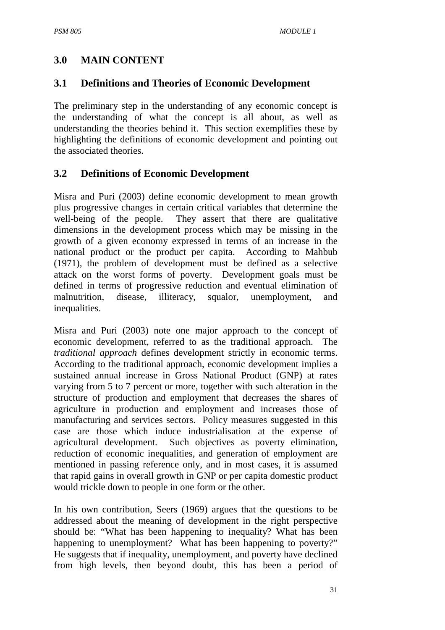## **3.0 MAIN CONTENT**

### **3.1 Definitions and Theories of Economic Development**

The preliminary step in the understanding of any economic concept is the understanding of what the concept is all about, as well as understanding the theories behind it. This section exemplifies these by highlighting the definitions of economic development and pointing out the associated theories.

## **3.2 Definitions of Economic Development**

Misra and Puri (2003) define economic development to mean growth plus progressive changes in certain critical variables that determine the well-being of the people. They assert that there are qualitative dimensions in the development process which may be missing in the growth of a given economy expressed in terms of an increase in the national product or the product per capita. According to Mahbub (1971), the problem of development must be defined as a selective attack on the worst forms of poverty. Development goals must be defined in terms of progressive reduction and eventual elimination of malnutrition, disease, illiteracy, squalor, unemployment, and inequalities.

Misra and Puri (2003) note one major approach to the concept of economic development, referred to as the traditional approach. The *traditional approach* defines development strictly in economic terms. According to the traditional approach, economic development implies a sustained annual increase in Gross National Product (GNP) at rates varying from 5 to 7 percent or more, together with such alteration in the structure of production and employment that decreases the shares of agriculture in production and employment and increases those of manufacturing and services sectors. Policy measures suggested in this case are those which induce industrialisation at the expense of agricultural development. Such objectives as poverty elimination, reduction of economic inequalities, and generation of employment are mentioned in passing reference only, and in most cases, it is assumed that rapid gains in overall growth in GNP or per capita domestic product would trickle down to people in one form or the other.

In his own contribution, Seers (1969) argues that the questions to be addressed about the meaning of development in the right perspective should be: "What has been happening to inequality? What has been happening to unemployment? What has been happening to poverty?" He suggests that if inequality, unemployment, and poverty have declined from high levels, then beyond doubt, this has been a period of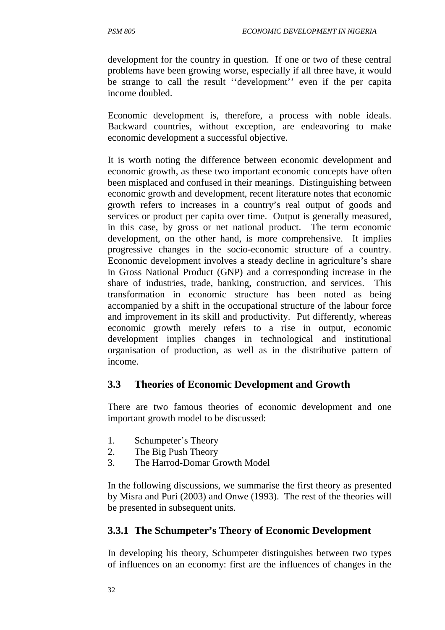development for the country in question. If one or two of these central problems have been growing worse, especially if all three have, it would be strange to call the result ''development'' even if the per capita income doubled.

Economic development is, therefore, a process with noble ideals. Backward countries, without exception, are endeavoring to make economic development a successful objective.

It is worth noting the difference between economic development and economic growth, as these two important economic concepts have often been misplaced and confused in their meanings. Distinguishing between economic growth and development, recent literature notes that economic growth refers to increases in a country's real output of goods and services or product per capita over time. Output is generally measured, in this case, by gross or net national product. The term economic development, on the other hand, is more comprehensive. It implies progressive changes in the socio-economic structure of a country. Economic development involves a steady decline in agriculture's share in Gross National Product (GNP) and a corresponding increase in the share of industries, trade, banking, construction, and services. This transformation in economic structure has been noted as being accompanied by a shift in the occupational structure of the labour force and improvement in its skill and productivity. Put differently, whereas economic growth merely refers to a rise in output, economic development implies changes in technological and institutional organisation of production, as well as in the distributive pattern of income.

#### **3.3 Theories of Economic Development and Growth**

There are two famous theories of economic development and one important growth model to be discussed:

- 1. Schumpeter's Theory
- 2. The Big Push Theory
- 3. The Harrod-Domar Growth Model

In the following discussions, we summarise the first theory as presented by Misra and Puri (2003) and Onwe (1993). The rest of the theories will be presented in subsequent units.

### **3.3.1 The Schumpeter's Theory of Economic Development**

In developing his theory, Schumpeter distinguishes between two types of influences on an economy: first are the influences of changes in the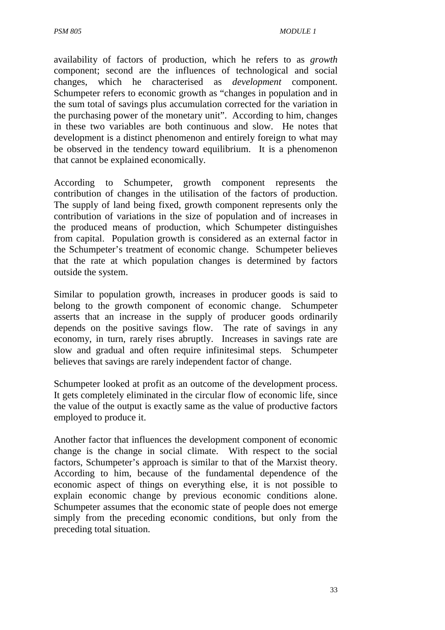availability of factors of production, which he refers to as *growth* component; second are the influences of technological and social changes, which he characterised as *development* component. Schumpeter refers to economic growth as "changes in population and in the sum total of savings plus accumulation corrected for the variation in the purchasing power of the monetary unit". According to him, changes in these two variables are both continuous and slow. He notes that development is a distinct phenomenon and entirely foreign to what may be observed in the tendency toward equilibrium. It is a phenomenon that cannot be explained economically.

According to Schumpeter, growth component represents the contribution of changes in the utilisation of the factors of production. The supply of land being fixed, growth component represents only the contribution of variations in the size of population and of increases in the produced means of production, which Schumpeter distinguishes from capital. Population growth is considered as an external factor in the Schumpeter's treatment of economic change. Schumpeter believes that the rate at which population changes is determined by factors outside the system.

Similar to population growth, increases in producer goods is said to belong to the growth component of economic change. Schumpeter asserts that an increase in the supply of producer goods ordinarily depends on the positive savings flow. The rate of savings in any economy, in turn, rarely rises abruptly. Increases in savings rate are slow and gradual and often require infinitesimal steps. Schumpeter believes that savings are rarely independent factor of change.

Schumpeter looked at profit as an outcome of the development process. It gets completely eliminated in the circular flow of economic life, since the value of the output is exactly same as the value of productive factors employed to produce it.

Another factor that influences the development component of economic change is the change in social climate. With respect to the social factors, Schumpeter's approach is similar to that of the Marxist theory. According to him, because of the fundamental dependence of the economic aspect of things on everything else, it is not possible to explain economic change by previous economic conditions alone. Schumpeter assumes that the economic state of people does not emerge simply from the preceding economic conditions, but only from the preceding total situation.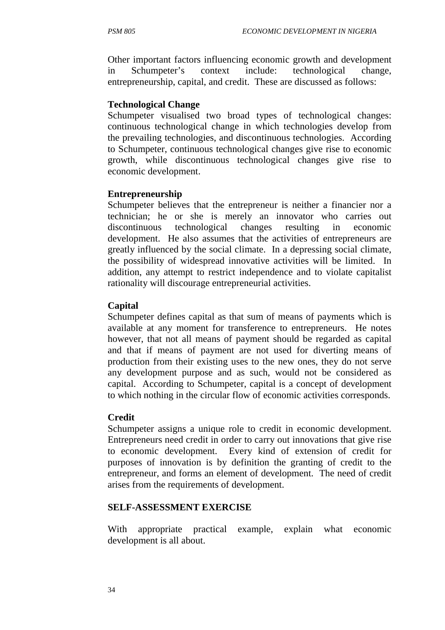Other important factors influencing economic growth and development in Schumpeter's context include: technological change, entrepreneurship, capital, and credit. These are discussed as follows:

#### **Technological Change**

Schumpeter visualised two broad types of technological changes: continuous technological change in which technologies develop from the prevailing technologies, and discontinuous technologies. According to Schumpeter, continuous technological changes give rise to economic growth, while discontinuous technological changes give rise to economic development.

#### **Entrepreneurship**

Schumpeter believes that the entrepreneur is neither a financier nor a technician; he or she is merely an innovator who carries out discontinuous technological changes resulting in economic development. He also assumes that the activities of entrepreneurs are greatly influenced by the social climate. In a depressing social climate, the possibility of widespread innovative activities will be limited. In addition, any attempt to restrict independence and to violate capitalist rationality will discourage entrepreneurial activities.

#### **Capital**

Schumpeter defines capital as that sum of means of payments which is available at any moment for transference to entrepreneurs. He notes however, that not all means of payment should be regarded as capital and that if means of payment are not used for diverting means of production from their existing uses to the new ones, they do not serve any development purpose and as such, would not be considered as capital. According to Schumpeter, capital is a concept of development to which nothing in the circular flow of economic activities corresponds.

### **Credit**

Schumpeter assigns a unique role to credit in economic development. Entrepreneurs need credit in order to carry out innovations that give rise to economic development. Every kind of extension of credit for purposes of innovation is by definition the granting of credit to the entrepreneur, and forms an element of development. The need of credit arises from the requirements of development.

#### **SELF-ASSESSMENT EXERCISE**

With appropriate practical example, explain what economic development is all about.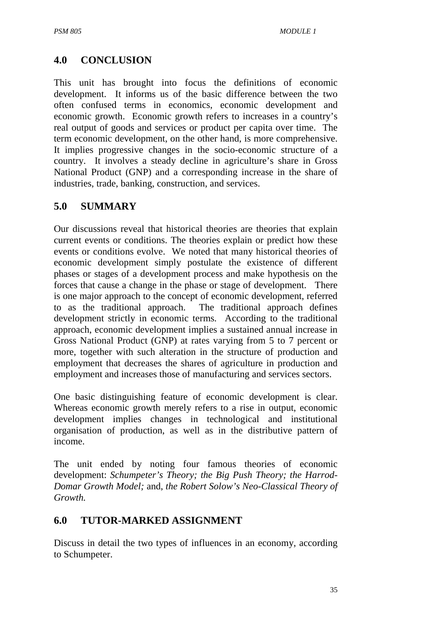## **4.0 CONCLUSION**

This unit has brought into focus the definitions of economic development. It informs us of the basic difference between the two often confused terms in economics, economic development and economic growth. Economic growth refers to increases in a country's real output of goods and services or product per capita over time. The term economic development, on the other hand, is more comprehensive. It implies progressive changes in the socio-economic structure of a country. It involves a steady decline in agriculture's share in Gross National Product (GNP) and a corresponding increase in the share of industries, trade, banking, construction, and services.

## **5.0 SUMMARY**

Our discussions reveal that historical theories are theories that explain current events or conditions. The theories explain or predict how these events or conditions evolve. We noted that many historical theories of economic development simply postulate the existence of different phases or stages of a development process and make hypothesis on the forces that cause a change in the phase or stage of development. There is one major approach to the concept of economic development, referred to as the traditional approach. The traditional approach defines development strictly in economic terms. According to the traditional approach, economic development implies a sustained annual increase in Gross National Product (GNP) at rates varying from 5 to 7 percent or more, together with such alteration in the structure of production and employment that decreases the shares of agriculture in production and employment and increases those of manufacturing and services sectors.

One basic distinguishing feature of economic development is clear. Whereas economic growth merely refers to a rise in output, economic development implies changes in technological and institutional organisation of production, as well as in the distributive pattern of income.

The unit ended by noting four famous theories of economic development: *Schumpeter's Theory; the Big Push Theory; the Harrod-Domar Growth Model;* and, *the Robert Solow's Neo-Classical Theory of Growth.*

### **6.0 TUTOR-MARKED ASSIGNMENT**

Discuss in detail the two types of influences in an economy, according to Schumpeter.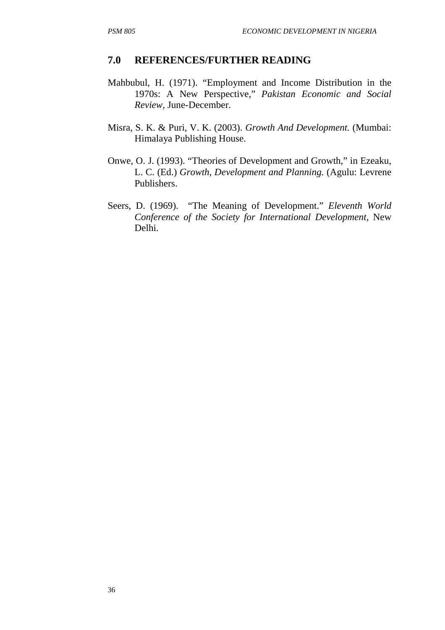#### **7.0 REFERENCES/FURTHER READING**

- Mahbubul, H. (1971). "Employment and Income Distribution in the 1970s: A New Perspective," *Pakistan Economic and Social Review,* June-December.
- Misra, S. K. & Puri, V. K. (2003). *Growth And Development.* (Mumbai: Himalaya Publishing House.
- Onwe, O. J. (1993). "Theories of Development and Growth," in Ezeaku, L. C. (Ed.) *Growth, Development and Planning.* (Agulu: Levrene Publishers.
- Seers, D. (1969). "The Meaning of Development." *Eleventh World Conference of the Society for International Development,* New Delhi.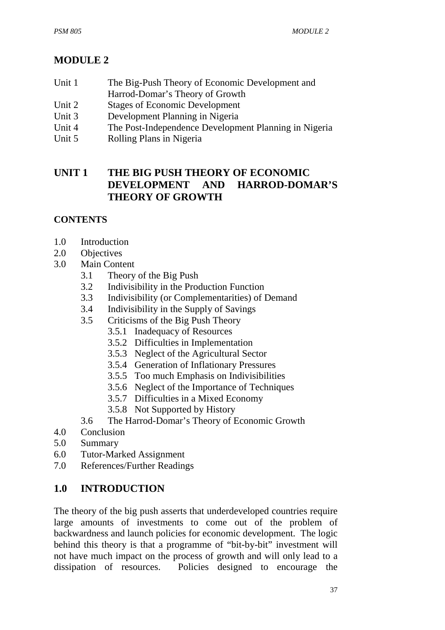# **MODULE 2**

- Unit 1 The Big-Push Theory of Economic Development and Harrod-Domar's Theory of Growth
- Unit 2 Stages of Economic Development
- Unit 3 Development Planning in Nigeria
- Unit 4 The Post-Independence Development Planning in Nigeria
- Unit 5 Rolling Plans in Nigeria

## **UNIT 1 THE BIG PUSH THEORY OF ECONOMIC DEVELOPMENT AND HARROD-DOMAR'S THEORY OF GROWTH**

### **CONTENTS**

- 1.0 Introduction
- 2.0 Objectives
- 3.0 Main Content
	- 3.1 Theory of the Big Push
	- 3.2 Indivisibility in the Production Function
	- 3.3 Indivisibility (or Complementarities) of Demand
	- 3.4 Indivisibility in the Supply of Savings
	- 3.5 Criticisms of the Big Push Theory
		- 3.5.1 Inadequacy of Resources
		- 3.5.2 Difficulties in Implementation
		- 3.5.3 Neglect of the Agricultural Sector
		- 3.5.4 Generation of Inflationary Pressures
		- 3.5.5 Too much Emphasis on Indivisibilities
		- 3.5.6 Neglect of the Importance of Techniques
		- 3.5.7 Difficulties in a Mixed Economy
		- 3.5.8 Not Supported by History
	- 3.6 The Harrod-Domar's Theory of Economic Growth
- 4.0 Conclusion
- 5.0 Summary
- 6.0 Tutor-Marked Assignment
- 7.0 References/Further Readings

## **1.0 INTRODUCTION**

The theory of the big push asserts that underdeveloped countries require large amounts of investments to come out of the problem of backwardness and launch policies for economic development. The logic behind this theory is that a programme of "bit-by-bit" investment will not have much impact on the process of growth and will only lead to a dissipation of resources. Policies designed to encourage the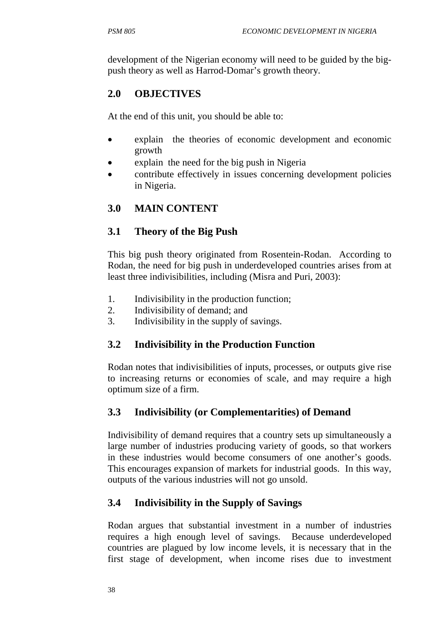development of the Nigerian economy will need to be guided by the bigpush theory as well as Harrod-Domar's growth theory.

## **2.0 OBJECTIVES**

At the end of this unit, you should be able to:

- explain the theories of economic development and economic growth
- explain the need for the big push in Nigeria
- contribute effectively in issues concerning development policies in Nigeria.

## **3.0 MAIN CONTENT**

## **3.1 Theory of the Big Push**

This big push theory originated from Rosentein-Rodan. According to Rodan, the need for big push in underdeveloped countries arises from at least three indivisibilities, including (Misra and Puri, 2003):

- 1. Indivisibility in the production function;
- 2. Indivisibility of demand; and
- 3. Indivisibility in the supply of savings.

## **3.2 Indivisibility in the Production Function**

Rodan notes that indivisibilities of inputs, processes, or outputs give rise to increasing returns or economies of scale, and may require a high optimum size of a firm.

## **3.3 Indivisibility (or Complementarities) of Demand**

Indivisibility of demand requires that a country sets up simultaneously a large number of industries producing variety of goods, so that workers in these industries would become consumers of one another's goods. This encourages expansion of markets for industrial goods. In this way, outputs of the various industries will not go unsold.

## **3.4 Indivisibility in the Supply of Savings**

Rodan argues that substantial investment in a number of industries requires a high enough level of savings. Because underdeveloped countries are plagued by low income levels, it is necessary that in the first stage of development, when income rises due to investment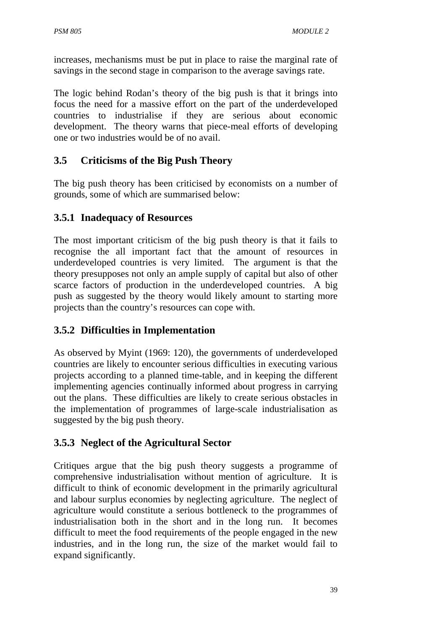increases, mechanisms must be put in place to raise the marginal rate of savings in the second stage in comparison to the average savings rate.

The logic behind Rodan's theory of the big push is that it brings into focus the need for a massive effort on the part of the underdeveloped countries to industrialise if they are serious about economic development. The theory warns that piece-meal efforts of developing one or two industries would be of no avail.

## **3.5 Criticisms of the Big Push Theory**

The big push theory has been criticised by economists on a number of grounds, some of which are summarised below:

## **3.5.1 Inadequacy of Resources**

The most important criticism of the big push theory is that it fails to recognise the all important fact that the amount of resources in underdeveloped countries is very limited. The argument is that the theory presupposes not only an ample supply of capital but also of other scarce factors of production in the underdeveloped countries. A big push as suggested by the theory would likely amount to starting more projects than the country's resources can cope with.

### **3.5.2 Difficulties in Implementation**

As observed by Myint (1969: 120), the governments of underdeveloped countries are likely to encounter serious difficulties in executing various projects according to a planned time-table, and in keeping the different implementing agencies continually informed about progress in carrying out the plans. These difficulties are likely to create serious obstacles in the implementation of programmes of large-scale industrialisation as suggested by the big push theory.

## **3.5.3 Neglect of the Agricultural Sector**

Critiques argue that the big push theory suggests a programme of comprehensive industrialisation without mention of agriculture. It is difficult to think of economic development in the primarily agricultural and labour surplus economies by neglecting agriculture. The neglect of agriculture would constitute a serious bottleneck to the programmes of industrialisation both in the short and in the long run. It becomes difficult to meet the food requirements of the people engaged in the new industries, and in the long run, the size of the market would fail to expand significantly.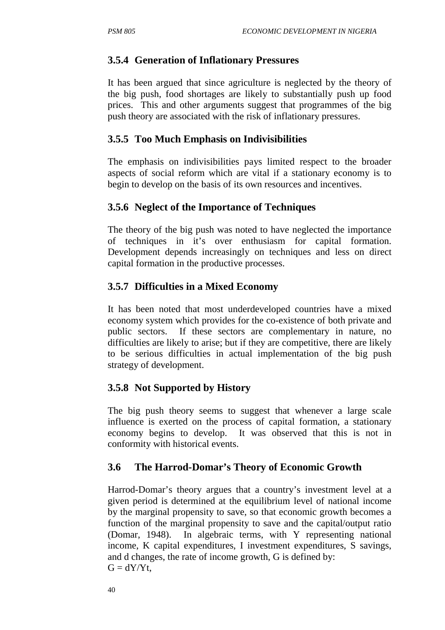## **3.5.4 Generation of Inflationary Pressures**

It has been argued that since agriculture is neglected by the theory of the big push, food shortages are likely to substantially push up food prices. This and other arguments suggest that programmes of the big push theory are associated with the risk of inflationary pressures.

## **3.5.5 Too Much Emphasis on Indivisibilities**

The emphasis on indivisibilities pays limited respect to the broader aspects of social reform which are vital if a stationary economy is to begin to develop on the basis of its own resources and incentives.

## **3.5.6 Neglect of the Importance of Techniques**

The theory of the big push was noted to have neglected the importance of techniques in it's over enthusiasm for capital formation. Development depends increasingly on techniques and less on direct capital formation in the productive processes.

## **3.5.7 Difficulties in a Mixed Economy**

It has been noted that most underdeveloped countries have a mixed economy system which provides for the co-existence of both private and public sectors. If these sectors are complementary in nature, no difficulties are likely to arise; but if they are competitive, there are likely to be serious difficulties in actual implementation of the big push strategy of development.

### **3.5.8 Not Supported by History**

The big push theory seems to suggest that whenever a large scale influence is exerted on the process of capital formation, a stationary economy begins to develop. It was observed that this is not in conformity with historical events.

## **3.6 The Harrod-Domar's Theory of Economic Growth**

Harrod-Domar's theory argues that a country's investment level at a given period is determined at the equilibrium level of national income by the marginal propensity to save, so that economic growth becomes a function of the marginal propensity to save and the capital/output ratio (Domar, 1948). In algebraic terms, with Y representing national income, K capital expenditures, I investment expenditures, S savings, and d changes, the rate of income growth, G is defined by:  $G = dY/Yt$ ,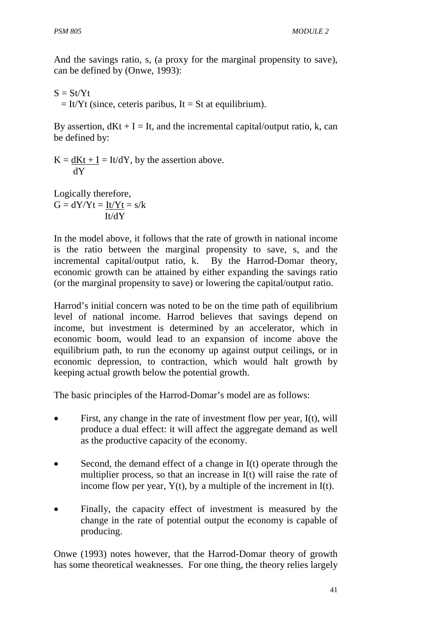And the savings ratio, s, (a proxy for the marginal propensity to save), can be defined by (Onwe, 1993):

 $S = St/Yt$  $=$  It/Yt (since, ceteris paribus, It = St at equilibrium).

By assertion,  $dKt + I = It$ , and the incremental capital/output ratio, k, can be defined by:

 $K = dKt + I = It/dY$ , by the assertion above. dY

Logically therefore,  $G = dY/Yt = It/Yt = s/k$ It/dY

In the model above, it follows that the rate of growth in national income is the ratio between the marginal propensity to save, s, and the incremental capital/output ratio, k. By the Harrod-Domar theory, economic growth can be attained by either expanding the savings ratio (or the marginal propensity to save) or lowering the capital/output ratio.

Harrod's initial concern was noted to be on the time path of equilibrium level of national income. Harrod believes that savings depend on income, but investment is determined by an accelerator, which in economic boom, would lead to an expansion of income above the equilibrium path, to run the economy up against output ceilings, or in economic depression, to contraction, which would halt growth by keeping actual growth below the potential growth.

The basic principles of the Harrod-Domar's model are as follows:

- First, any change in the rate of investment flow per year, I(t), will produce a dual effect: it will affect the aggregate demand as well as the productive capacity of the economy.
- Second, the demand effect of a change in I(t) operate through the multiplier process, so that an increase in I(t) will raise the rate of income flow per year,  $Y(t)$ , by a multiple of the increment in I(t).
- Finally, the capacity effect of investment is measured by the change in the rate of potential output the economy is capable of producing.

Onwe (1993) notes however, that the Harrod-Domar theory of growth has some theoretical weaknesses. For one thing, the theory relies largely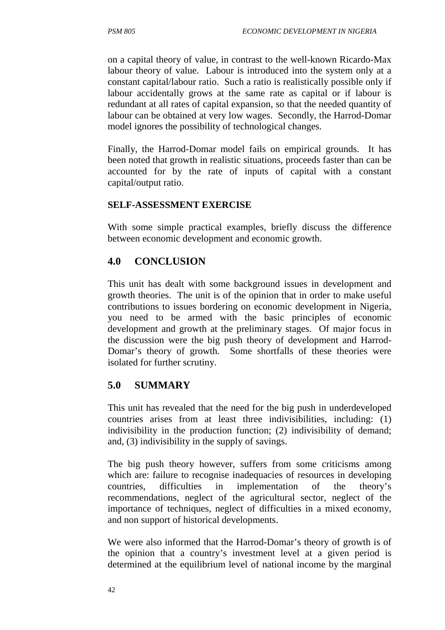on a capital theory of value, in contrast to the well-known Ricardo-Max labour theory of value. Labour is introduced into the system only at a constant capital/labour ratio. Such a ratio is realistically possible only if labour accidentally grows at the same rate as capital or if labour is redundant at all rates of capital expansion, so that the needed quantity of labour can be obtained at very low wages. Secondly, the Harrod-Domar model ignores the possibility of technological changes.

Finally, the Harrod-Domar model fails on empirical grounds. It has been noted that growth in realistic situations, proceeds faster than can be accounted for by the rate of inputs of capital with a constant capital/output ratio.

#### **SELF-ASSESSMENT EXERCISE**

With some simple practical examples, briefly discuss the difference between economic development and economic growth.

## **4.0 CONCLUSION**

This unit has dealt with some background issues in development and growth theories. The unit is of the opinion that in order to make useful contributions to issues bordering on economic development in Nigeria, you need to be armed with the basic principles of economic development and growth at the preliminary stages. Of major focus in the discussion were the big push theory of development and Harrod-Domar's theory of growth. Some shortfalls of these theories were isolated for further scrutiny.

## **5.0 SUMMARY**

This unit has revealed that the need for the big push in underdeveloped countries arises from at least three indivisibilities, including: (1) indivisibility in the production function; (2) indivisibility of demand; and, (3) indivisibility in the supply of savings.

The big push theory however, suffers from some criticisms among which are: failure to recognise inadequacies of resources in developing countries, difficulties in implementation of the theory's recommendations, neglect of the agricultural sector, neglect of the importance of techniques, neglect of difficulties in a mixed economy, and non support of historical developments.

We were also informed that the Harrod-Domar's theory of growth is of the opinion that a country's investment level at a given period is determined at the equilibrium level of national income by the marginal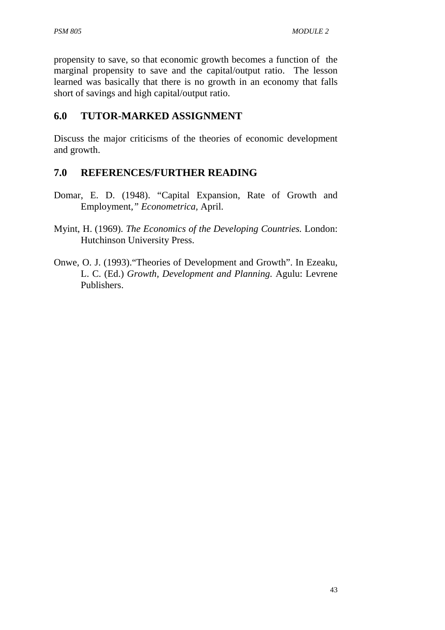propensity to save, so that economic growth becomes a function of the marginal propensity to save and the capital/output ratio. The lesson learned was basically that there is no growth in an economy that falls short of savings and high capital/output ratio.

## **6.0 TUTOR-MARKED ASSIGNMENT**

Discuss the major criticisms of the theories of economic development and growth.

## **7.0 REFERENCES/FURTHER READING**

- Domar, E. D. (1948). "Capital Expansion, Rate of Growth and Employment*," Econometrica,* April.
- Myint, H. (1969). *The Economics of the Developing Countries.* London: Hutchinson University Press.
- Onwe, O. J. (1993)."Theories of Development and Growth". In Ezeaku, L. C. (Ed.) *Growth, Development and Planning.* Agulu: Levrene Publishers.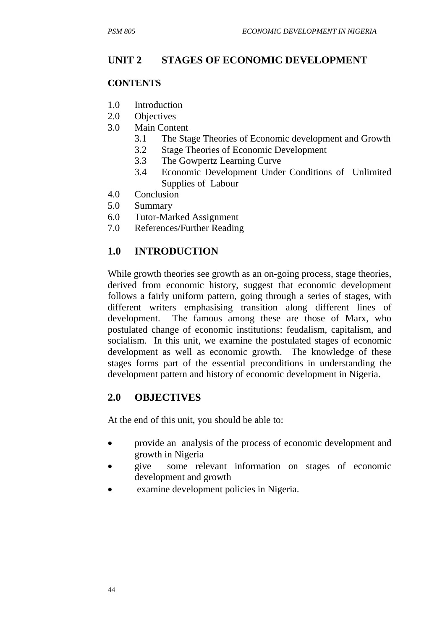## **UNIT 2 STAGES OF ECONOMIC DEVELOPMENT**

#### **CONTENTS**

- 1.0 Introduction
- 2.0 Objectives
- 3.0 Main Content
	- 3.1 The Stage Theories of Economic development and Growth
	- 3.2 Stage Theories of Economic Development
	- 3.3 The Gowpertz Learning Curve
	- 3.4 Economic Development Under Conditions of Unlimited Supplies of Labour
- 4.0 Conclusion
- 5.0 Summary
- 6.0 Tutor-Marked Assignment
- 7.0 References/Further Reading

## **1.0 INTRODUCTION**

While growth theories see growth as an on-going process, stage theories, derived from economic history, suggest that economic development follows a fairly uniform pattern, going through a series of stages, with different writers emphasising transition along different lines of development. The famous among these are those of Marx, who postulated change of economic institutions: feudalism, capitalism, and socialism. In this unit, we examine the postulated stages of economic development as well as economic growth. The knowledge of these stages forms part of the essential preconditions in understanding the development pattern and history of economic development in Nigeria.

### **2.0 OBJECTIVES**

At the end of this unit, you should be able to:

- provide an analysis of the process of economic development and growth in Nigeria
- give some relevant information on stages of economic development and growth
- examine development policies in Nigeria.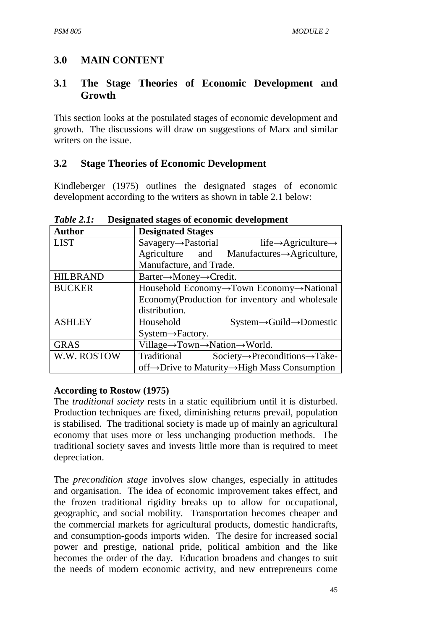## **3.0 MAIN CONTENT**

### **3.1 The Stage Theories of Economic Development and Growth**

This section looks at the postulated stages of economic development and growth. The discussions will draw on suggestions of Marx and similar writers on the issue.

## **3.2 Stage Theories of Economic Development**

Kindleberger (1975) outlines the designated stages of economic development according to the writers as shown in table 2.1 below:

| <b>Author</b>   | <b>Designated Stages</b>                                                         |
|-----------------|----------------------------------------------------------------------------------|
| <b>LIST</b>     | $Savagery \rightarrow Pastorial$<br>life $\rightarrow$ Agriculture $\rightarrow$ |
|                 | Agriculture and Manufactures→Agriculture,                                        |
|                 | Manufacture, and Trade.                                                          |
| <b>HILBRAND</b> | $\text{Barter}\rightarrow\text{Money}\rightarrow\text{Credit}.$                  |
| <b>BUCKER</b>   | Household Economy $\rightarrow$ Town Economy $\rightarrow$ National              |
|                 | Economy (Production for inventory and wholesale                                  |
|                 | distribution.                                                                    |
| <b>ASHLEY</b>   | Household<br>$System \rightarrow \text{Guid} \rightarrow \text{Domestic}$        |
|                 | $System \rightarrow Factory$ .                                                   |
| <b>GRAS</b>     | Village→Town→Nation→World.                                                       |
| W.W. ROSTOW     | Traditional<br>$Society \rightarrow Preconditions \rightarrow Take-$             |
|                 | off→Drive to Maturity→High Mass Consumption                                      |

*Table 2.1:* **Designated stages of economic development** 

### **According to Rostow (1975)**

The *traditional society* rests in a static equilibrium until it is disturbed. Production techniques are fixed, diminishing returns prevail, population is stabilised. The traditional society is made up of mainly an agricultural economy that uses more or less unchanging production methods. The traditional society saves and invests little more than is required to meet depreciation.

The *precondition stage* involves slow changes, especially in attitudes and organisation. The idea of economic improvement takes effect, and the frozen traditional rigidity breaks up to allow for occupational, geographic, and social mobility. Transportation becomes cheaper and the commercial markets for agricultural products, domestic handicrafts, and consumption-goods imports widen. The desire for increased social power and prestige, national pride, political ambition and the like becomes the order of the day. Education broadens and changes to suit the needs of modern economic activity, and new entrepreneurs come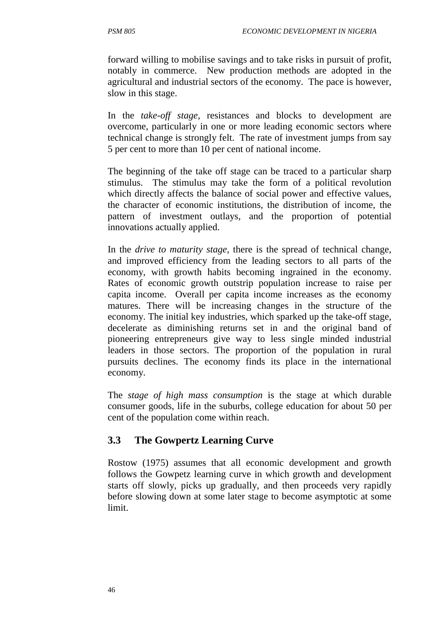forward willing to mobilise savings and to take risks in pursuit of profit, notably in commerce. New production methods are adopted in the agricultural and industrial sectors of the economy. The pace is however, slow in this stage.

In the *take-off stage*, resistances and blocks to development are overcome, particularly in one or more leading economic sectors where technical change is strongly felt. The rate of investment jumps from say 5 per cent to more than 10 per cent of national income.

The beginning of the take off stage can be traced to a particular sharp stimulus. The stimulus may take the form of a political revolution which directly affects the balance of social power and effective values, the character of economic institutions, the distribution of income, the pattern of investment outlays, and the proportion of potential innovations actually applied.

In the *drive to maturity stage*, there is the spread of technical change, and improved efficiency from the leading sectors to all parts of the economy, with growth habits becoming ingrained in the economy. Rates of economic growth outstrip population increase to raise per capita income. Overall per capita income increases as the economy matures. There will be increasing changes in the structure of the economy. The initial key industries, which sparked up the take-off stage, decelerate as diminishing returns set in and the original band of pioneering entrepreneurs give way to less single minded industrial leaders in those sectors. The proportion of the population in rural pursuits declines. The economy finds its place in the international economy.

The *stage of high mass consumption* is the stage at which durable consumer goods, life in the suburbs, college education for about 50 per cent of the population come within reach.

## **3.3 The Gowpertz Learning Curve**

Rostow (1975) assumes that all economic development and growth follows the Gowpetz learning curve in which growth and development starts off slowly, picks up gradually, and then proceeds very rapidly before slowing down at some later stage to become asymptotic at some limit.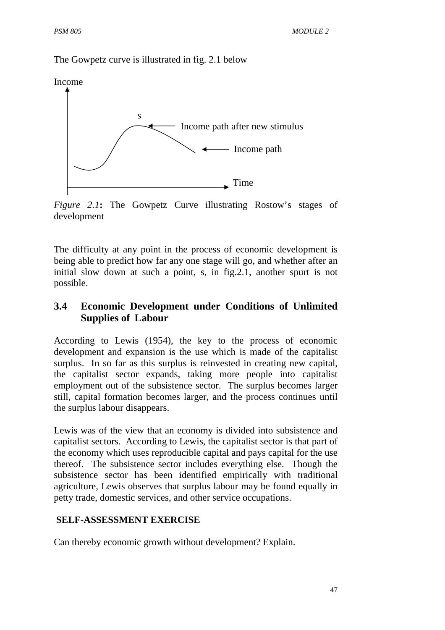The Gowpetz curve is illustrated in fig. 2.1 below



*Figure 2.1***:** The Gowpetz Curve illustrating Rostow's stages of development

The difficulty at any point in the process of economic development is being able to predict how far any one stage will go, and whether after an initial slow down at such a point, s, in fig.2.1, another spurt is not possible.

## **3.4 Economic Development under Conditions of Unlimited Supplies of Labour**

According to Lewis (1954), the key to the process of economic development and expansion is the use which is made of the capitalist surplus. In so far as this surplus is reinvested in creating new capital, the capitalist sector expands, taking more people into capitalist employment out of the subsistence sector. The surplus becomes larger still, capital formation becomes larger, and the process continues until the surplus labour disappears.

Lewis was of the view that an economy is divided into subsistence and capitalist sectors. According to Lewis, the capitalist sector is that part of the economy which uses reproducible capital and pays capital for the use thereof. The subsistence sector includes everything else. Though the subsistence sector has been identified empirically with traditional agriculture, Lewis observes that surplus labour may be found equally in petty trade, domestic services, and other service occupations.

#### **SELF-ASSESSMENT EXERCISE**

Can thereby economic growth without development? Explain.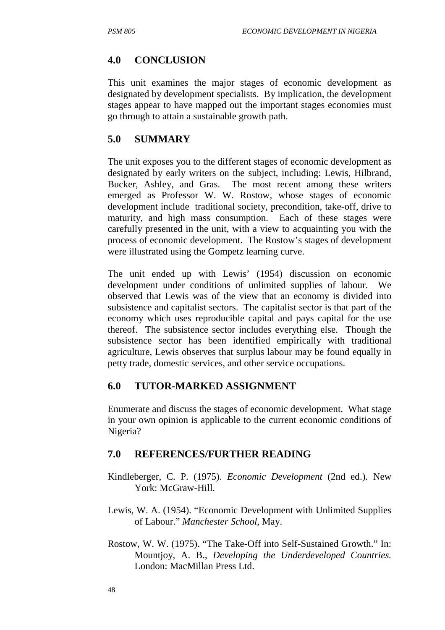#### **4.0 CONCLUSION**

This unit examines the major stages of economic development as designated by development specialists. By implication, the development stages appear to have mapped out the important stages economies must go through to attain a sustainable growth path.

#### **5.0 SUMMARY**

The unit exposes you to the different stages of economic development as designated by early writers on the subject, including: Lewis, Hilbrand, Bucker, Ashley, and Gras. The most recent among these writers emerged as Professor W. W. Rostow, whose stages of economic development include traditional society, precondition, take-off, drive to maturity, and high mass consumption. Each of these stages were carefully presented in the unit, with a view to acquainting you with the process of economic development. The Rostow's stages of development were illustrated using the Gompetz learning curve.

The unit ended up with Lewis' (1954) discussion on economic development under conditions of unlimited supplies of labour. We observed that Lewis was of the view that an economy is divided into subsistence and capitalist sectors. The capitalist sector is that part of the economy which uses reproducible capital and pays capital for the use thereof. The subsistence sector includes everything else. Though the subsistence sector has been identified empirically with traditional agriculture, Lewis observes that surplus labour may be found equally in petty trade, domestic services, and other service occupations.

#### **6.0 TUTOR-MARKED ASSIGNMENT**

Enumerate and discuss the stages of economic development. What stage in your own opinion is applicable to the current economic conditions of Nigeria?

#### **7.0 REFERENCES/FURTHER READING**

- Kindleberger, C. P. (1975). *Economic Development* (2nd ed.). New York: McGraw-Hill.
- Lewis, W. A. (1954). "Economic Development with Unlimited Supplies of Labour." *Manchester School*, May.
- Rostow, W. W. (1975). "The Take-Off into Self-Sustained Growth." In: Mountjoy, A. B., *Developing the Underdeveloped Countries.*  London: MacMillan Press Ltd.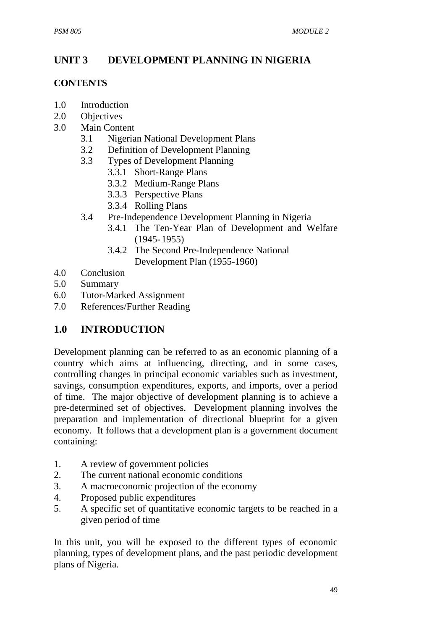## **UNIT 3 DEVELOPMENT PLANNING IN NIGERIA**

#### **CONTENTS**

- 1.0 Introduction
- 2.0 Objectives
- 3.0 Main Content
	- 3.1 Nigerian National Development Plans
	- 3.2 Definition of Development Planning
	- 3.3 Types of Development Planning
		- 3.3.1 Short-Range Plans
		- 3.3.2 Medium-Range Plans
		- 3.3.3 Perspective Plans
		- 3.3.4 Rolling Plans
	- 3.4 Pre-Independence Development Planning in Nigeria
		- 3.4.1 The Ten-Year Plan of Development and Welfare  $(1945 - 1955)$
		- 3.4.2 The Second Pre-Independence National Development Plan (1955-1960)
- 4.0 Conclusion
- 5.0 Summary
- 6.0 Tutor-Marked Assignment
- 7.0 References/Further Reading

## **1.0 INTRODUCTION**

Development planning can be referred to as an economic planning of a country which aims at influencing, directing, and in some cases, controlling changes in principal economic variables such as investment, savings, consumption expenditures, exports, and imports, over a period of time. The major objective of development planning is to achieve a pre-determined set of objectives. Development planning involves the preparation and implementation of directional blueprint for a given economy. It follows that a development plan is a government document containing:

- 1. A review of government policies
- 2. The current national economic conditions
- 3. A macroeconomic projection of the economy
- 4. Proposed public expenditures
- 5. A specific set of quantitative economic targets to be reached in a given period of time

In this unit, you will be exposed to the different types of economic planning, types of development plans, and the past periodic development plans of Nigeria.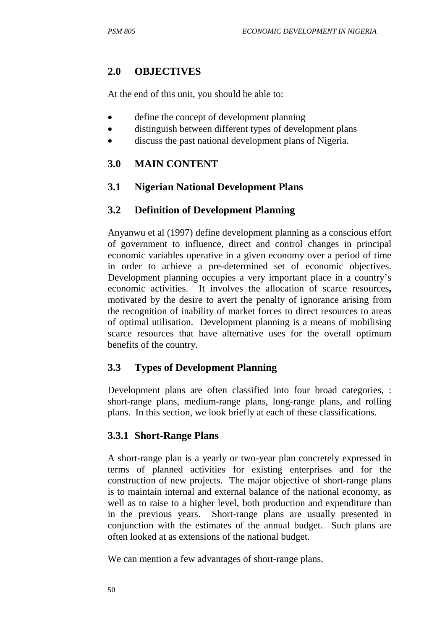## **2.0 OBJECTIVES**

At the end of this unit, you should be able to:

- define the concept of development planning
- distinguish between different types of development plans
- discuss the past national development plans of Nigeria.

## **3.0 MAIN CONTENT**

## **3.1 Nigerian National Development Plans**

## **3.2 Definition of Development Planning**

Anyanwu et al (1997) define development planning as a conscious effort of government to influence, direct and control changes in principal economic variables operative in a given economy over a period of time in order to achieve a pre-determined set of economic objectives. Development planning occupies a very important place in a country's economic activities. It involves the allocation of scarce resources**,** motivated by the desire to avert the penalty of ignorance arising from the recognition of inability of market forces to direct resources to areas of optimal utilisation. Development planning is a means of mobilising scarce resources that have alternative uses for the overall optimum benefits of the country.

## **3.3 Types of Development Planning**

Development plans are often classified into four broad categories, : short-range plans, medium-range plans, long-range plans, and rolling plans. In this section, we look briefly at each of these classifications.

### **3.3.1 Short-Range Plans**

A short-range plan is a yearly or two-year plan concretely expressed in terms of planned activities for existing enterprises and for the construction of new projects. The major objective of short-range plans is to maintain internal and external balance of the national economy, as well as to raise to a higher level, both production and expenditure than in the previous years. Short-range plans are usually presented in conjunction with the estimates of the annual budget. Such plans are often looked at as extensions of the national budget.

We can mention a few advantages of short-range plans.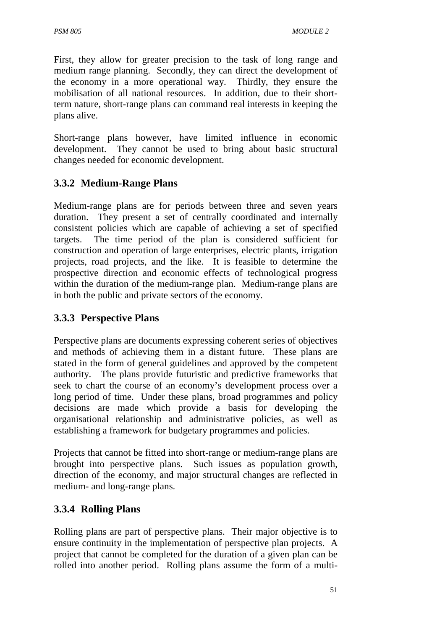First, they allow for greater precision to the task of long range and medium range planning. Secondly, they can direct the development of the economy in a more operational way. Thirdly, they ensure the mobilisation of all national resources. In addition, due to their shortterm nature, short-range plans can command real interests in keeping the plans alive.

Short-range plans however, have limited influence in economic development. They cannot be used to bring about basic structural changes needed for economic development.

## **3.3.2 Medium-Range Plans**

Medium-range plans are for periods between three and seven years duration. They present a set of centrally coordinated and internally consistent policies which are capable of achieving a set of specified targets. The time period of the plan is considered sufficient for construction and operation of large enterprises, electric plants, irrigation projects, road projects, and the like. It is feasible to determine the prospective direction and economic effects of technological progress within the duration of the medium-range plan. Medium-range plans are in both the public and private sectors of the economy.

## **3.3.3 Perspective Plans**

Perspective plans are documents expressing coherent series of objectives and methods of achieving them in a distant future. These plans are stated in the form of general guidelines and approved by the competent authority. The plans provide futuristic and predictive frameworks that seek to chart the course of an economy's development process over a long period of time. Under these plans, broad programmes and policy decisions are made which provide a basis for developing the organisational relationship and administrative policies, as well as establishing a framework for budgetary programmes and policies.

Projects that cannot be fitted into short-range or medium-range plans are brought into perspective plans. Such issues as population growth, direction of the economy, and major structural changes are reflected in medium- and long-range plans.

## **3.3.4 Rolling Plans**

Rolling plans are part of perspective plans. Their major objective is to ensure continuity in the implementation of perspective plan projects. A project that cannot be completed for the duration of a given plan can be rolled into another period. Rolling plans assume the form of a multi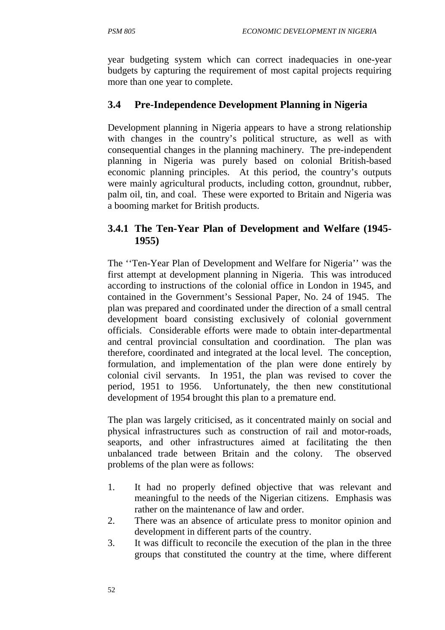year budgeting system which can correct inadequacies in one-year budgets by capturing the requirement of most capital projects requiring more than one year to complete.

## **3.4 Pre-Independence Development Planning in Nigeria**

Development planning in Nigeria appears to have a strong relationship with changes in the country's political structure, as well as with consequential changes in the planning machinery. The pre-independent planning in Nigeria was purely based on colonial British-based economic planning principles. At this period, the country's outputs were mainly agricultural products, including cotton, groundnut, rubber, palm oil, tin, and coal. These were exported to Britain and Nigeria was a booming market for British products.

### **3.4.1 The Ten-Year Plan of Development and Welfare (1945- 1955)**

The ''Ten-Year Plan of Development and Welfare for Nigeria'' was the first attempt at development planning in Nigeria. This was introduced according to instructions of the colonial office in London in 1945, and contained in the Government's Sessional Paper, No. 24 of 1945. The plan was prepared and coordinated under the direction of a small central development board consisting exclusively of colonial government officials. Considerable efforts were made to obtain inter-departmental and central provincial consultation and coordination. The plan was therefore, coordinated and integrated at the local level. The conception, formulation, and implementation of the plan were done entirely by colonial civil servants. In 1951, the plan was revised to cover the period, 1951 to 1956. Unfortunately, the then new constitutional development of 1954 brought this plan to a premature end.

The plan was largely criticised, as it concentrated mainly on social and physical infrastructures such as construction of rail and motor-roads, seaports, and other infrastructures aimed at facilitating the then unbalanced trade between Britain and the colony. The observed problems of the plan were as follows:

- 1. It had no properly defined objective that was relevant and meaningful to the needs of the Nigerian citizens. Emphasis was rather on the maintenance of law and order.
- 2. There was an absence of articulate press to monitor opinion and development in different parts of the country.
- 3. It was difficult to reconcile the execution of the plan in the three groups that constituted the country at the time, where different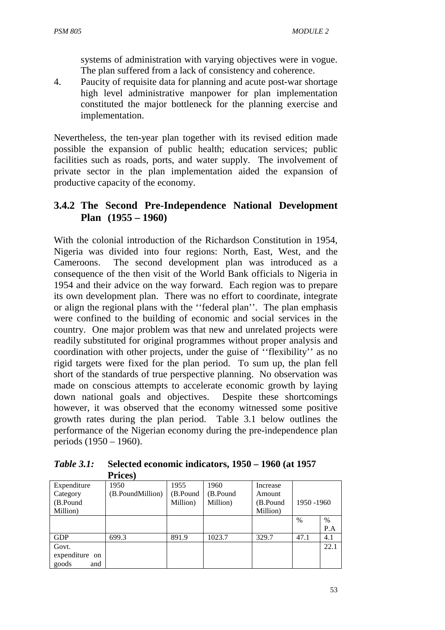systems of administration with varying objectives were in vogue. The plan suffered from a lack of consistency and coherence.

4. Paucity of requisite data for planning and acute post-war shortage high level administrative manpower for plan implementation constituted the major bottleneck for the planning exercise and implementation.

Nevertheless, the ten-year plan together with its revised edition made possible the expansion of public health; education services; public facilities such as roads, ports, and water supply. The involvement of private sector in the plan implementation aided the expansion of productive capacity of the economy.

## **3.4.2 The Second Pre-Independence National Development Plan (1955 – 1960)**

With the colonial introduction of the Richardson Constitution in 1954, Nigeria was divided into four regions: North, East, West, and the Cameroons. The second development plan was introduced as a consequence of the then visit of the World Bank officials to Nigeria in 1954 and their advice on the way forward. Each region was to prepare its own development plan. There was no effort to coordinate, integrate or align the regional plans with the ''federal plan''. The plan emphasis were confined to the building of economic and social services in the country. One major problem was that new and unrelated projects were readily substituted for original programmes without proper analysis and coordination with other projects, under the guise of ''flexibility'' as no rigid targets were fixed for the plan period. To sum up, the plan fell short of the standards of true perspective planning. No observation was made on conscious attempts to accelerate economic growth by laying down national goals and objectives. Despite these shortcomings however, it was observed that the economy witnessed some positive growth rates during the plan period. Table 3.1 below outlines the performance of the Nigerian economy during the pre-independence plan periods (1950 – 1960).

*Table 3.1:* **Selected economic indicators, 1950 – 1960 (at 1957 Prices)**

|                | - - - - - - - -  |          |          |          |            |      |
|----------------|------------------|----------|----------|----------|------------|------|
| Expenditure    | 1950             | 1955     | 1960     | Increase |            |      |
| Category       | (B.PoundMillion) | (B.Pound | (B.Pound | Amount   |            |      |
| (B.Pound       |                  | Million) | Million) | (B.Pound | 1950 -1960 |      |
| Million)       |                  |          |          | Million) |            |      |
|                |                  |          |          |          | $\%$       | $\%$ |
|                |                  |          |          |          |            | P.A  |
| <b>GDP</b>     | 699.3            | 891.9    | 1023.7   | 329.7    | 47.1       | 4.1  |
| Govt.          |                  |          |          |          |            | 22.1 |
| expenditure on |                  |          |          |          |            |      |
| goods<br>and   |                  |          |          |          |            |      |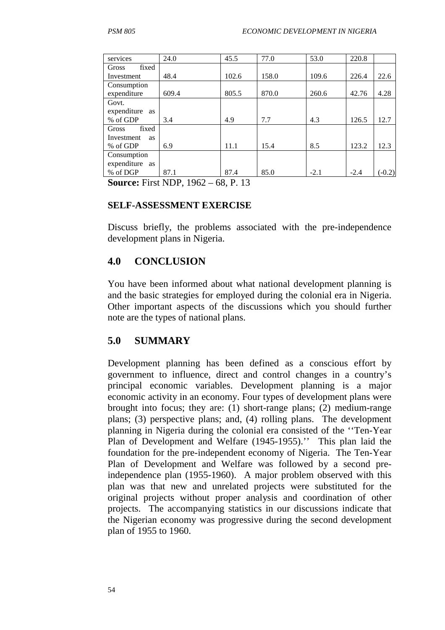| services                | 24.0  | 45.5  | 77.0  | 53.0   | 220.8  |          |
|-------------------------|-------|-------|-------|--------|--------|----------|
| fixed<br>Gross          |       |       |       |        |        |          |
| Investment              | 48.4  | 102.6 | 158.0 | 109.6  | 226.4  | 22.6     |
| Consumption             |       |       |       |        |        |          |
| expenditure             | 609.4 | 805.5 | 870.0 | 260.6  | 42.76  | 4.28     |
| Govt.                   |       |       |       |        |        |          |
| expenditure as          |       |       |       |        |        |          |
| % of GDP                | 3.4   | 4.9   | 7.7   | 4.3    | 126.5  | 12.7     |
| fixed<br>Gross          |       |       |       |        |        |          |
| Investment<br><b>as</b> |       |       |       |        |        |          |
| % of GDP                | 6.9   | 11.1  | 15.4  | 8.5    | 123.2  | 12.3     |
| Consumption             |       |       |       |        |        |          |
| expenditure as          |       |       |       |        |        |          |
| % of DGP                | 87.1  | 87.4  | 85.0  | $-2.1$ | $-2.4$ | $(-0.2)$ |

**Source:** First NDP, 1962 – 68, P. 13

#### **SELF-ASSESSMENT EXERCISE**

Discuss briefly, the problems associated with the pre-independence development plans in Nigeria.

### **4.0 CONCLUSION**

You have been informed about what national development planning is and the basic strategies for employed during the colonial era in Nigeria. Other important aspects of the discussions which you should further note are the types of national plans.

### **5.0 SUMMARY**

Development planning has been defined as a conscious effort by government to influence, direct and control changes in a country's principal economic variables. Development planning is a major economic activity in an economy. Four types of development plans were brought into focus; they are: (1) short-range plans; (2) medium-range plans; (3) perspective plans; and, (4) rolling plans. The development planning in Nigeria during the colonial era consisted of the ''Ten-Year Plan of Development and Welfare (1945-1955).'' This plan laid the foundation for the pre-independent economy of Nigeria. The Ten-Year Plan of Development and Welfare was followed by a second preindependence plan (1955-1960). A major problem observed with this plan was that new and unrelated projects were substituted for the original projects without proper analysis and coordination of other projects. The accompanying statistics in our discussions indicate that the Nigerian economy was progressive during the second development plan of 1955 to 1960.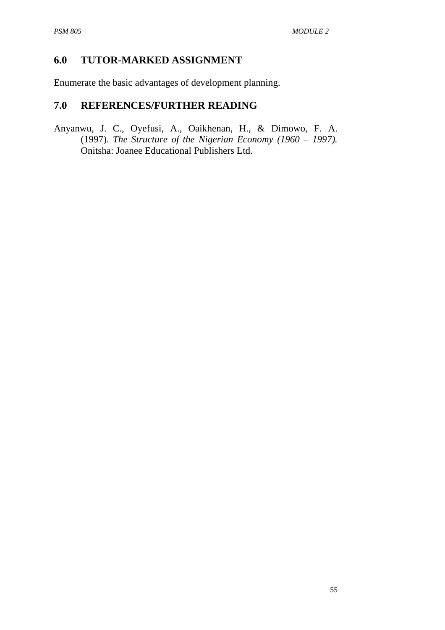## **6.0 TUTOR-MARKED ASSIGNMENT**

Enumerate the basic advantages of development planning.

## **7.0 REFERENCES/FURTHER READING**

Anyanwu, J. C., Oyefusi, A., Oaikhenan, H., & Dimowo, F. A. (1997). *The Structure of the Nigerian Economy (1960 – 1997).* Onitsha: Joanee Educational Publishers Ltd.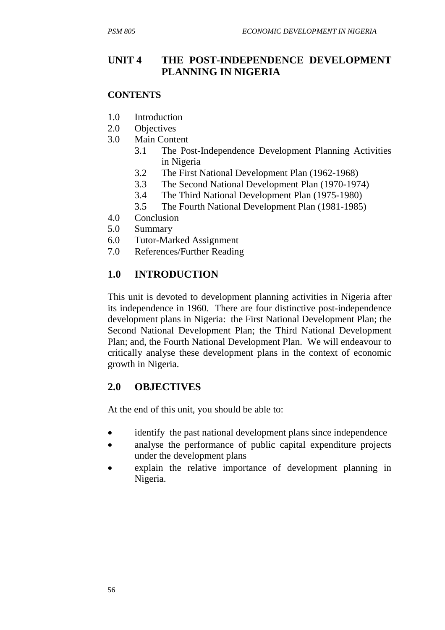## **UNIT 4 THE POST-INDEPENDENCE DEVELOPMENT PLANNING IN NIGERIA**

#### **CONTENTS**

- 1.0 Introduction
- 2.0 Objectives
- 3.0 Main Content
	- 3.1 The Post-Independence Development Planning Activities in Nigeria
	- 3.2 The First National Development Plan (1962-1968)
	- 3.3 The Second National Development Plan (1970-1974)
	- 3.4 The Third National Development Plan (1975-1980)
	- 3.5 The Fourth National Development Plan (1981-1985)
- 4.0 Conclusion
- 5.0 Summary
- 6.0 Tutor-Marked Assignment
- 7.0 References/Further Reading

## **1.0 INTRODUCTION**

This unit is devoted to development planning activities in Nigeria after its independence in 1960. There are four distinctive post-independence development plans in Nigeria: the First National Development Plan; the Second National Development Plan; the Third National Development Plan; and, the Fourth National Development Plan. We will endeavour to critically analyse these development plans in the context of economic growth in Nigeria.

### **2.0 OBJECTIVES**

At the end of this unit, you should be able to:

- identify the past national development plans since independence
- analyse the performance of public capital expenditure projects under the development plans
- explain the relative importance of development planning in Nigeria.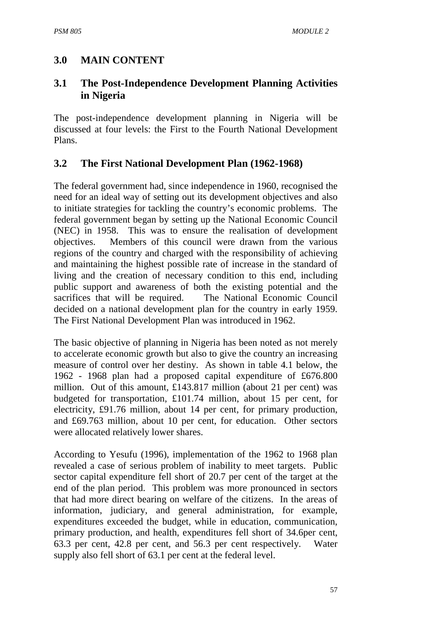## **3.0 MAIN CONTENT**

### **3.1 The Post-Independence Development Planning Activities in Nigeria**

The post-independence development planning in Nigeria will be discussed at four levels: the First to the Fourth National Development Plans.

#### **3.2 The First National Development Plan (1962-1968)**

The federal government had, since independence in 1960, recognised the need for an ideal way of setting out its development objectives and also to initiate strategies for tackling the country's economic problems. The federal government began by setting up the National Economic Council (NEC) in 1958. This was to ensure the realisation of development objectives. Members of this council were drawn from the various regions of the country and charged with the responsibility of achieving and maintaining the highest possible rate of increase in the standard of living and the creation of necessary condition to this end, including public support and awareness of both the existing potential and the sacrifices that will be required. The National Economic Council decided on a national development plan for the country in early 1959. The First National Development Plan was introduced in 1962.

The basic objective of planning in Nigeria has been noted as not merely to accelerate economic growth but also to give the country an increasing measure of control over her destiny. As shown in table 4.1 below, the 1962 - 1968 plan had a proposed capital expenditure of £676.800 million. Out of this amount, £143.817 million (about 21 per cent) was budgeted for transportation, £101.74 million, about 15 per cent, for electricity, £91.76 million, about 14 per cent, for primary production, and £69.763 million, about 10 per cent, for education. Other sectors were allocated relatively lower shares.

According to Yesufu (1996), implementation of the 1962 to 1968 plan revealed a case of serious problem of inability to meet targets. Public sector capital expenditure fell short of 20.7 per cent of the target at the end of the plan period. This problem was more pronounced in sectors that had more direct bearing on welfare of the citizens. In the areas of information, judiciary, and general administration, for example, expenditures exceeded the budget, while in education, communication, primary production, and health, expenditures fell short of 34.6per cent, 63.3 per cent, 42.8 per cent, and 56.3 per cent respectively. Water supply also fell short of 63.1 per cent at the federal level.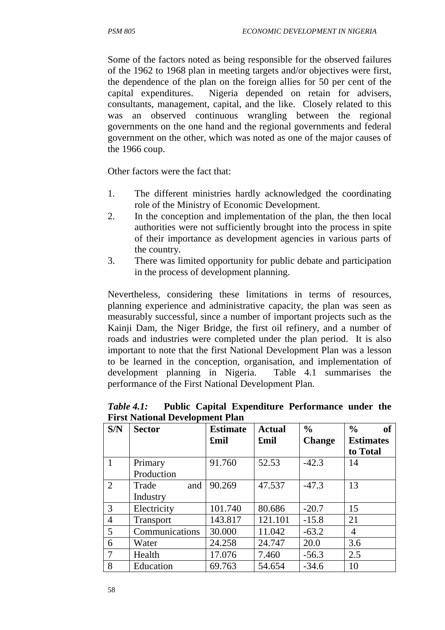Some of the factors noted as being responsible for the observed failures of the 1962 to 1968 plan in meeting targets and/or objectives were first, the dependence of the plan on the foreign allies for 50 per cent of the capital expenditures. Nigeria depended on retain for advisers, consultants, management, capital, and the like. Closely related to this was an observed continuous wrangling between the regional governments on the one hand and the regional governments and federal government on the other, which was noted as one of the major causes of the 1966 coup.

Other factors were the fact that:

- 1. The different ministries hardly acknowledged the coordinating role of the Ministry of Economic Development.
- 2. In the conception and implementation of the plan, the then local authorities were not sufficiently brought into the process in spite of their importance as development agencies in various parts of the country.
- 3. There was limited opportunity for public debate and participation in the process of development planning.

Nevertheless, considering these limitations in terms of resources, planning experience and administrative capacity, the plan was seen as measurably successful, since a number of important projects such as the Kainji Dam, the Niger Bridge, the first oil refinery, and a number of roads and industries were completed under the plan period. It is also important to note that the first National Development Plan was a lesson to be learned in the conception, organisation, and implementation of development planning in Nigeria. Table 4.1 summarises the performance of the First National Development Plan.

| S/N            | <b>Sector</b>    | <b>Estimate</b> | <b>Actual</b> | $\frac{0}{0}$ | $\frac{0}{0}$<br>of |
|----------------|------------------|-----------------|---------------|---------------|---------------------|
|                |                  | £mil            | £mil          | <b>Change</b> | <b>Estimates</b>    |
|                |                  |                 |               |               | to Total            |
|                | Primary          | 91.760          | 52.53         | $-42.3$       | 14                  |
|                | Production       |                 |               |               |                     |
| 2              | Trade<br>and     | 90.269          | 47.537        | $-47.3$       | 13                  |
|                | Industry         |                 |               |               |                     |
| 3              | Electricity      | 101.740         | 80.686        | $-20.7$       | 15                  |
| $\overline{4}$ | <b>Transport</b> | 143.817         | 121.101       | $-15.8$       | 21                  |
| 5              | Communications   | 30.000          | 11.042        | $-63.2$       | 4                   |
| 6              | Water            | 24.258          | 24.747        | 20.0          | 3.6                 |
| 7              | Health           | 17.076          | 7.460         | $-56.3$       | 2.5                 |
| 8              | Education        | 69.763          | 54.654        | $-34.6$       | 10                  |

*Table 4.1:* **Public Capital Expenditure Performance under the First National Development Plan**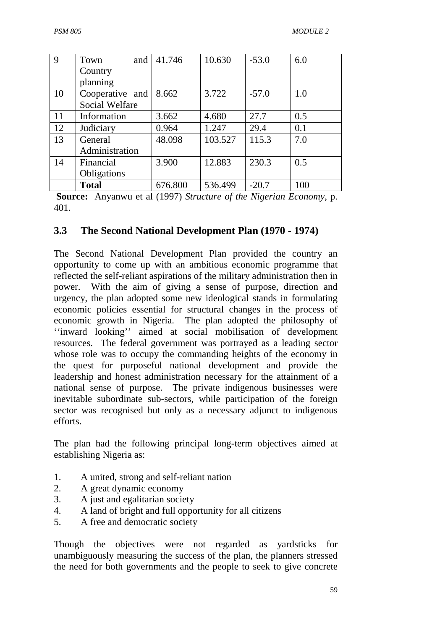| 9  | and<br>Town     | 41.746  | 10.630  | $-53.0$ | 6.0 |
|----|-----------------|---------|---------|---------|-----|
|    | Country         |         |         |         |     |
|    | planning        |         |         |         |     |
| 10 | Cooperative and | 8.662   | 3.722   | $-57.0$ | 1.0 |
|    | Social Welfare  |         |         |         |     |
| 11 | Information     | 3.662   | 4.680   | 27.7    | 0.5 |
| 12 | Judiciary       | 0.964   | 1.247   | 29.4    | 0.1 |
| 13 | General         | 48.098  | 103.527 | 115.3   | 7.0 |
|    | Administration  |         |         |         |     |
| 14 | Financial       | 3.900   | 12.883  | 230.3   | 0.5 |
|    | Obligations     |         |         |         |     |
|    | <b>Total</b>    | 676.800 | 536.499 | $-20.7$ | 100 |

 **Source:** Anyanwu et al (1997) *Structure of the Nigerian Economy*, p. 401.

#### **3.3 The Second National Development Plan (1970 - 1974)**

The Second National Development Plan provided the country an opportunity to come up with an ambitious economic programme that reflected the self-reliant aspirations of the military administration then in power. With the aim of giving a sense of purpose, direction and urgency, the plan adopted some new ideological stands in formulating economic policies essential for structural changes in the process of economic growth in Nigeria. The plan adopted the philosophy of ''inward looking'' aimed at social mobilisation of development resources. The federal government was portrayed as a leading sector whose role was to occupy the commanding heights of the economy in the quest for purposeful national development and provide the leadership and honest administration necessary for the attainment of a national sense of purpose. The private indigenous businesses were inevitable subordinate sub-sectors, while participation of the foreign sector was recognised but only as a necessary adjunct to indigenous efforts.

The plan had the following principal long-term objectives aimed at establishing Nigeria as:

- 1. A united, strong and self-reliant nation
- 2. A great dynamic economy
- 3. A just and egalitarian society
- 4. A land of bright and full opportunity for all citizens
- 5. A free and democratic society

Though the objectives were not regarded as yardsticks for unambiguously measuring the success of the plan, the planners stressed the need for both governments and the people to seek to give concrete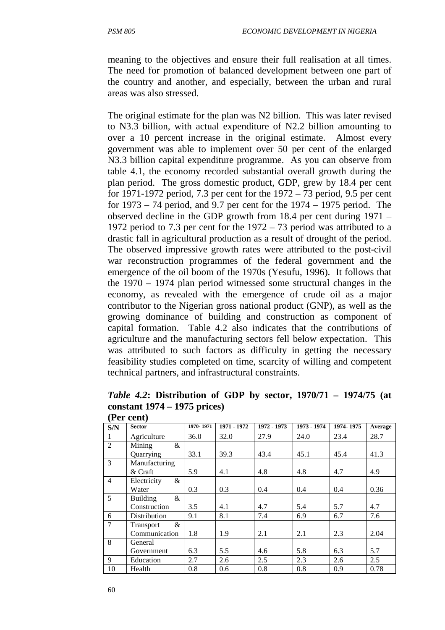meaning to the objectives and ensure their full realisation at all times. The need for promotion of balanced development between one part of the country and another, and especially, between the urban and rural areas was also stressed.

The original estimate for the plan was N2 billion. This was later revised to N3.3 billion, with actual expenditure of N2.2 billion amounting to over a 10 percent increase in the original estimate. Almost every government was able to implement over 50 per cent of the enlarged N3.3 billion capital expenditure programme. As you can observe from table 4.1, the economy recorded substantial overall growth during the plan period. The gross domestic product, GDP, grew by 18.4 per cent for 1971-1972 period, 7.3 per cent for the 1972 – 73 period, 9.5 per cent for 1973 – 74 period, and 9.7 per cent for the 1974 – 1975 period. The observed decline in the GDP growth from 18.4 per cent during 1971 – 1972 period to 7.3 per cent for the 1972 – 73 period was attributed to a drastic fall in agricultural production as a result of drought of the period. The observed impressive growth rates were attributed to the post-civil war reconstruction programmes of the federal government and the emergence of the oil boom of the 1970s (Yesufu, 1996). It follows that the 1970 – 1974 plan period witnessed some structural changes in the economy, as revealed with the emergence of crude oil as a major contributor to the Nigerian gross national product (GNP), as well as the growing dominance of building and construction as component of capital formation. Table 4.2 also indicates that the contributions of agriculture and the manufacturing sectors fell below expectation. This was attributed to such factors as difficulty in getting the necessary feasibility studies completed on time, scarcity of willing and competent technical partners, and infrastructural constraints.

*Table 4.2***: Distribution of GDP by sector, 1970/71 – 1974/75 (at constant 1974 – 1975 prices)** 

| S/N            | <b>Sector</b>        | 1970-1971 | 1971 - 1972 | $1972 - 1973$ | 1973 - 1974 | 1974-1975 | Average |
|----------------|----------------------|-----------|-------------|---------------|-------------|-----------|---------|
|                | Agriculture          | 36.0      | 32.0        | 27.9          | 24.0        | 23.4      | 28.7    |
| $\overline{2}$ | Mining<br>$\&$       |           |             |               |             |           |         |
|                | Quarrying            | 33.1      | 39.3        | 43.4          | 45.1        | 45.4      | 41.3    |
| $\overline{3}$ | Manufacturing        |           |             |               |             |           |         |
|                | & Craft              | 5.9       | 4.1         | 4.8           | 4.8         | 4.7       | 4.9     |
| $\overline{4}$ | Electricity<br>$\&$  |           |             |               |             |           |         |
|                | Water                | 0.3       | 0.3         | 0.4           | 0.4         | 0.4       | 0.36    |
| 5              | &<br><b>Building</b> |           |             |               |             |           |         |
|                | Construction         | 3.5       | 4.1         | 4.7           | 5.4         | 5.7       | 4.7     |
| 6              | Distribution         | 9.1       | 8.1         | 7.4           | 6.9         | 6.7       | 7.6     |
| $\overline{7}$ | $\&$<br>Transport    |           |             |               |             |           |         |
|                | Communication        | 1.8       | 1.9         | 2.1           | 2.1         | 2.3       | 2.04    |
| 8              | General              |           |             |               |             |           |         |
|                | Government           | 6.3       | 5.5         | 4.6           | 5.8         | 6.3       | 5.7     |
| 9              | Education            | 2.7       | 2.6         | 2.5           | 2.3         | 2.6       | 2.5     |
| 10             | Health               | 0.8       | 0.6         | 0.8           | 0.8         | 0.9       | 0.78    |

**(Per cent)**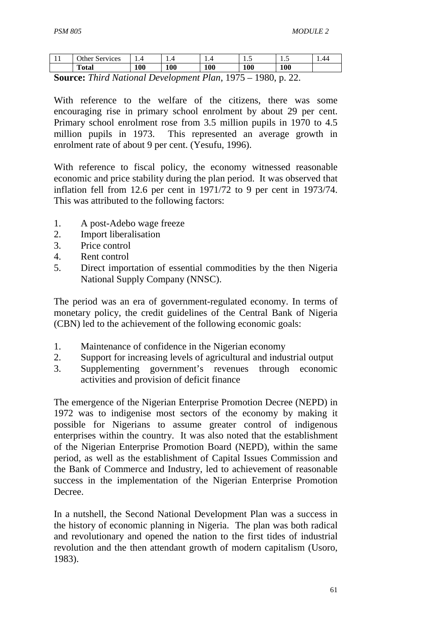| . .                                           | Other.<br>' Services |     | 1.T |     | ر…  | ن . | 1.44 |
|-----------------------------------------------|----------------------|-----|-----|-----|-----|-----|------|
|                                               | <b>Total</b>         | 100 | 100 | 100 | 100 | 100 |      |
| 1000<br>$\tau$ $\tau$ $\tau$<br>$\cap$<br>. . |                      |     |     |     |     |     |      |

**Source:** *Third National Development Plan*, 1975 – 1980, p. 22.

With reference to the welfare of the citizens, there was some encouraging rise in primary school enrolment by about 29 per cent. Primary school enrolment rose from 3.5 million pupils in 1970 to 4.5 million pupils in 1973. This represented an average growth in enrolment rate of about 9 per cent. (Yesufu, 1996).

With reference to fiscal policy, the economy witnessed reasonable economic and price stability during the plan period. It was observed that inflation fell from 12.6 per cent in 1971/72 to 9 per cent in 1973/74. This was attributed to the following factors:

- 1. A post-Adebo wage freeze
- 2. Import liberalisation
- 3. Price control
- 4. Rent control
- 5. Direct importation of essential commodities by the then Nigeria National Supply Company (NNSC).

The period was an era of government-regulated economy. In terms of monetary policy, the credit guidelines of the Central Bank of Nigeria (CBN) led to the achievement of the following economic goals:

- 1. Maintenance of confidence in the Nigerian economy
- 2. Support for increasing levels of agricultural and industrial output
- 3. Supplementing government's revenues through economic activities and provision of deficit finance

The emergence of the Nigerian Enterprise Promotion Decree (NEPD) in 1972 was to indigenise most sectors of the economy by making it possible for Nigerians to assume greater control of indigenous enterprises within the country. It was also noted that the establishment of the Nigerian Enterprise Promotion Board (NEPD), within the same period, as well as the establishment of Capital Issues Commission and the Bank of Commerce and Industry, led to achievement of reasonable success in the implementation of the Nigerian Enterprise Promotion Decree.

In a nutshell, the Second National Development Plan was a success in the history of economic planning in Nigeria. The plan was both radical and revolutionary and opened the nation to the first tides of industrial revolution and the then attendant growth of modern capitalism (Usoro, 1983).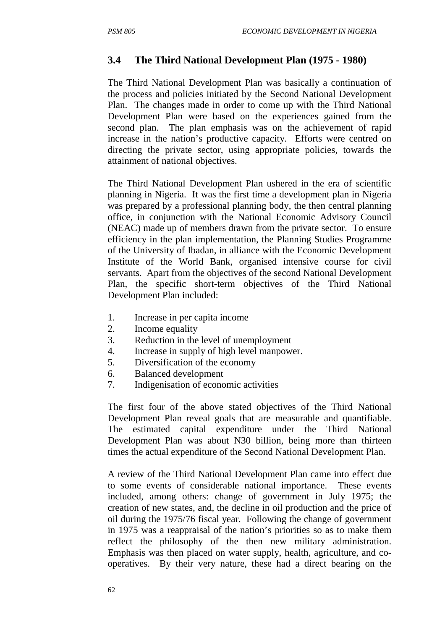## **3.4 The Third National Development Plan (1975 - 1980)**

The Third National Development Plan was basically a continuation of the process and policies initiated by the Second National Development Plan. The changes made in order to come up with the Third National Development Plan were based on the experiences gained from the second plan. The plan emphasis was on the achievement of rapid increase in the nation's productive capacity. Efforts were centred on directing the private sector, using appropriate policies, towards the attainment of national objectives.

The Third National Development Plan ushered in the era of scientific planning in Nigeria. It was the first time a development plan in Nigeria was prepared by a professional planning body, the then central planning office, in conjunction with the National Economic Advisory Council (NEAC) made up of members drawn from the private sector. To ensure efficiency in the plan implementation, the Planning Studies Programme of the University of Ibadan, in alliance with the Economic Development Institute of the World Bank, organised intensive course for civil servants. Apart from the objectives of the second National Development Plan, the specific short-term objectives of the Third National Development Plan included:

- 1. Increase in per capita income
- 2. Income equality
- 3. Reduction in the level of unemployment
- 4. Increase in supply of high level manpower.
- 5. Diversification of the economy
- 6. Balanced development
- 7. Indigenisation of economic activities

The first four of the above stated objectives of the Third National Development Plan reveal goals that are measurable and quantifiable. The estimated capital expenditure under the Third National Development Plan was about N30 billion, being more than thirteen times the actual expenditure of the Second National Development Plan.

A review of the Third National Development Plan came into effect due to some events of considerable national importance. These events included, among others: change of government in July 1975; the creation of new states, and, the decline in oil production and the price of oil during the 1975/76 fiscal year. Following the change of government in 1975 was a reappraisal of the nation's priorities so as to make them reflect the philosophy of the then new military administration. Emphasis was then placed on water supply, health, agriculture, and cooperatives. By their very nature, these had a direct bearing on the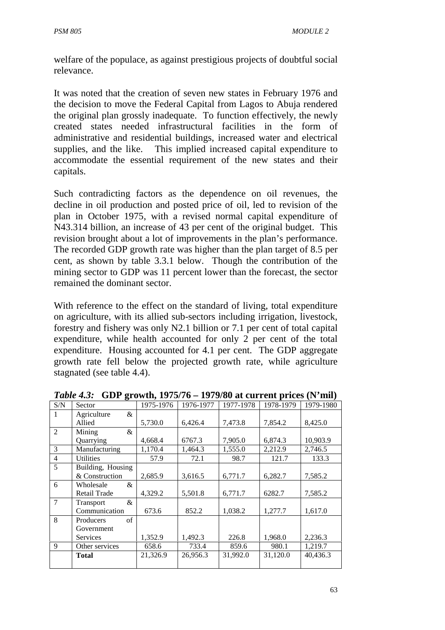welfare of the populace, as against prestigious projects of doubtful social relevance.

It was noted that the creation of seven new states in February 1976 and the decision to move the Federal Capital from Lagos to Abuja rendered the original plan grossly inadequate. To function effectively, the newly created states needed infrastructural facilities in the form of administrative and residential buildings, increased water and electrical supplies, and the like. This implied increased capital expenditure to accommodate the essential requirement of the new states and their capitals.

Such contradicting factors as the dependence on oil revenues, the decline in oil production and posted price of oil, led to revision of the plan in October 1975, with a revised normal capital expenditure of N43.314 billion, an increase of 43 per cent of the original budget. This revision brought about a lot of improvements in the plan's performance. The recorded GDP growth rate was higher than the plan target of 8.5 per cent, as shown by table 3.3.1 below. Though the contribution of the mining sector to GDP was 11 percent lower than the forecast, the sector remained the dominant sector.

With reference to the effect on the standard of living, total expenditure on agriculture, with its allied sub-sectors including irrigation, livestock, forestry and fishery was only N2.1 billion or 7.1 per cent of total capital expenditure, while health accounted for only 2 per cent of the total expenditure. Housing accounted for 4.1 per cent. The GDP aggregate growth rate fell below the projected growth rate, while agriculture stagnated (see table 4.4).

|                | o                 |           |           |           |           |           |
|----------------|-------------------|-----------|-----------|-----------|-----------|-----------|
| S/N            | Sector            | 1975-1976 | 1976-1977 | 1977-1978 | 1978-1979 | 1979-1980 |
| 1              | &<br>Agriculture  |           |           |           |           |           |
|                | Allied            | 5,730.0   | 6,426.4   | 7,473.8   | 7,854.2   | 8,425.0   |
| 2              | Mining<br>&       |           |           |           |           |           |
|                | Quarrying         | 4,668.4   | 6767.3    | 7,905.0   | 6,874.3   | 10,903.9  |
| 3              | Manufacturing     | 1,170.4   | 1,464.3   | 1,555.0   | 2,212.9   | 2,746.5   |
| 4              | <b>Utilities</b>  | 57.9      | 72.1      | 98.7      | 121.7     | 133.3     |
| 5              | Building, Housing |           |           |           |           |           |
|                | & Construction    | 2,685.9   | 3,616.5   | 6,771.7   | 6,282.7   | 7,585.2   |
| 6              | Wholesale<br>&    |           |           |           |           |           |
|                | Retail Trade      | 4,329.2   | 5,501.8   | 6,771.7   | 6282.7    | 7,585.2   |
| $\overline{7}$ | &<br>Transport    |           |           |           |           |           |
|                | Communication     | 673.6     | 852.2     | 1,038.2   | 1,277.7   | 1,617.0   |
| 8              | of<br>Producers   |           |           |           |           |           |
|                | Government        |           |           |           |           |           |
|                | <b>Services</b>   | 1,352.9   | 1,492.3   | 226.8     | 1,968.0   | 2,236.3   |
| $\mathbf{Q}$   | Other services    | 658.6     | 733.4     | 859.6     | 980.1     | 1,219.7   |
|                | Total             | 21,326.9  | 26,956.3  | 31.992.0  | 31,120.0  | 40,436.3  |
|                |                   |           |           |           |           |           |
|                |                   |           |           |           |           |           |

*Table 4.3:* **GDP growth, 1975/76 – 1979/80 at current prices (N'mil)**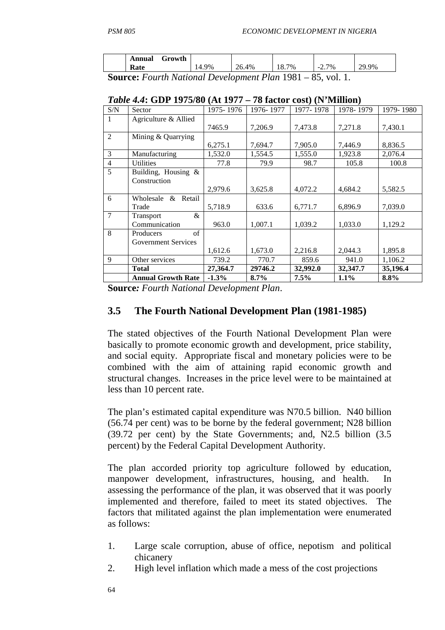|        | Annual | Growth |    |              |       |                              |          |
|--------|--------|--------|----|--------------|-------|------------------------------|----------|
|        | Rate   |        | 9% | 26.4%        | 18.7% | 7%<br>$ \overline{ }$<br>، ت | 70<br>9% |
| $\sim$ | ┮      |        |    | $\mathbf{r}$ | 1001  |                              |          |

**Source:** *Fourth National Development Plan* 1981 – 85, vol. 1.

|                | <b>Annual Growth Rate</b>          | $-1.3\%$  | 8.7%      | 7.5%      | 1.1%      | 8.8%      |
|----------------|------------------------------------|-----------|-----------|-----------|-----------|-----------|
|                | Total                              | 27,364.7  | 29746.2   | 32,992.0  | 32,347.7  | 35,196.4  |
| 9              | Other services                     | 739.2     | 770.7     | 859.6     | 941.0     | 1,106.2   |
|                |                                    | 1,612.6   | 1,673.0   | 2,216.8   | 2,044.3   | 1,895.8   |
|                | <b>Government Services</b>         |           |           |           |           |           |
| 8              | $\sigma$ f<br>Producers            |           |           |           |           |           |
| $\overline{7}$ | $\&$<br>Transport<br>Communication | 963.0     | 1,007.1   | 1,039.2   | 1,033.0   | 1,129.2   |
| 6              | Wholesale & Retail<br>Trade        | 5,718.9   | 633.6     | 6,771.7   | 6,896.9   | 7,039.0   |
|                | Construction                       | 2,979.6   | 3,625.8   | 4,072.2   | 4,684.2   | 5,582.5   |
| 5              | Building, Housing $\&$             |           |           |           |           |           |
| 4              | <b>Utilities</b>                   | 77.8      | 79.9      | 98.7      | 105.8     | 100.8     |
| 3              | Manufacturing                      | 1,532.0   | 1,554.5   | 1,555.0   | 1,923.8   | 2,076.4   |
| $\overline{2}$ | Mining & Quarrying                 | 6,275.1   | 7,694.7   | 7,905.0   | 7,446.9   | 8,836.5   |
| 1              | Agriculture & Allied               | 7465.9    | 7,206.9   | 7,473.8   | 7,271.8   | 7,430.1   |
| S/N            | Sector                             | 1975-1976 | 1976-1977 | 1977-1978 | 1978-1979 | 1979-1980 |

|  |  |  |  | <i>Table 4.4</i> : GDP 1975/80 (At 1977 – 78 factor cost) (N'Million) |
|--|--|--|--|-----------------------------------------------------------------------|
|--|--|--|--|-----------------------------------------------------------------------|

**Source***: Fourth National Development Plan*.

### **3.5 The Fourth National Development Plan (1981-1985)**

The stated objectives of the Fourth National Development Plan were basically to promote economic growth and development, price stability, and social equity. Appropriate fiscal and monetary policies were to be combined with the aim of attaining rapid economic growth and structural changes. Increases in the price level were to be maintained at less than 10 percent rate.

The plan's estimated capital expenditure was N70.5 billion. N40 billion (56.74 per cent) was to be borne by the federal government; N28 billion (39.72 per cent) by the State Governments; and, N2.5 billion (3.5 percent) by the Federal Capital Development Authority.

The plan accorded priority top agriculture followed by education, manpower development, infrastructures, housing, and health. In assessing the performance of the plan, it was observed that it was poorly implemented and therefore, failed to meet its stated objectives. The factors that militated against the plan implementation were enumerated as follows:

- 1. Large scale corruption, abuse of office, nepotism and political chicanery
- 2. High level inflation which made a mess of the cost projections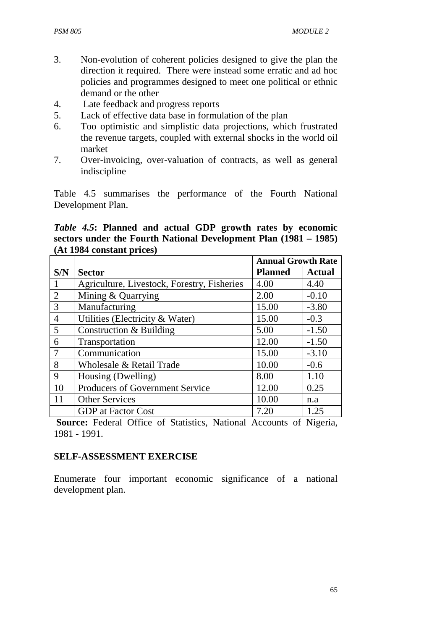- 3. Non-evolution of coherent policies designed to give the plan the direction it required. There were instead some erratic and ad hoc policies and programmes designed to meet one political or ethnic demand or the other
- 4. Late feedback and progress reports
- 5. Lack of effective data base in formulation of the plan
- 6. Too optimistic and simplistic data projections, which frustrated the revenue targets, coupled with external shocks in the world oil market
- 7. Over-invoicing, over-valuation of contracts, as well as general indiscipline

Table 4.5 summarises the performance of the Fourth National Development Plan.

*Table 4.5***: Planned and actual GDP growth rates by economic sectors under the Fourth National Development Plan (1981 – 1985) (At 1984 constant prices)**

|                |                                             | <b>Annual Growth Rate</b> |               |
|----------------|---------------------------------------------|---------------------------|---------------|
| S/N            | <b>Sector</b>                               | <b>Planned</b>            | <b>Actual</b> |
|                | Agriculture, Livestock, Forestry, Fisheries | 4.00                      | 4.40          |
| 2              | Mining & Quarrying                          | 2.00                      | $-0.10$       |
| 3              | Manufacturing                               | 15.00                     | $-3.80$       |
| $\overline{4}$ | Utilities (Electricity & Water)             | 15.00                     | $-0.3$        |
| 5              | Construction & Building                     | 5.00                      | $-1.50$       |
| 6              | Transportation                              | 12.00                     | $-1.50$       |
| 7              | Communication                               | 15.00                     | $-3.10$       |
| 8              | Wholesale & Retail Trade                    | 10.00                     | $-0.6$        |
| 9              | Housing (Dwelling)                          | 8.00                      | 1.10          |
| 10             | <b>Producers of Government Service</b>      | 12.00                     | 0.25          |
| 11             | <b>Other Services</b>                       | 10.00                     | n.a           |
|                | <b>GDP</b> at Factor Cost                   | 7.20                      | 1.25          |

 **Source:** Federal Office of Statistics, National Accounts of Nigeria, 1981 - 1991.

### **SELF-ASSESSMENT EXERCISE**

Enumerate four important economic significance of a national development plan.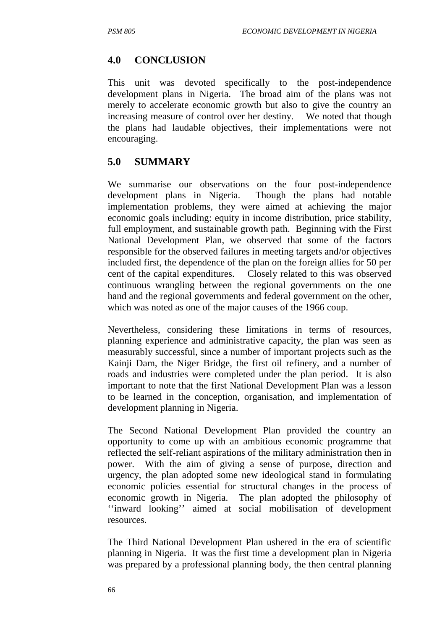# **4.0 CONCLUSION**

This unit was devoted specifically to the post-independence development plans in Nigeria. The broad aim of the plans was not merely to accelerate economic growth but also to give the country an increasing measure of control over her destiny. We noted that though the plans had laudable objectives, their implementations were not encouraging.

## **5.0 SUMMARY**

We summarise our observations on the four post-independence development plans in Nigeria. Though the plans had notable implementation problems, they were aimed at achieving the major economic goals including: equity in income distribution, price stability, full employment, and sustainable growth path. Beginning with the First National Development Plan, we observed that some of the factors responsible for the observed failures in meeting targets and/or objectives included first, the dependence of the plan on the foreign allies for 50 per cent of the capital expenditures. Closely related to this was observed continuous wrangling between the regional governments on the one hand and the regional governments and federal government on the other, which was noted as one of the major causes of the 1966 coup.

Nevertheless, considering these limitations in terms of resources, planning experience and administrative capacity, the plan was seen as measurably successful, since a number of important projects such as the Kainji Dam, the Niger Bridge, the first oil refinery, and a number of roads and industries were completed under the plan period. It is also important to note that the first National Development Plan was a lesson to be learned in the conception, organisation, and implementation of development planning in Nigeria.

The Second National Development Plan provided the country an opportunity to come up with an ambitious economic programme that reflected the self-reliant aspirations of the military administration then in power. With the aim of giving a sense of purpose, direction and urgency, the plan adopted some new ideological stand in formulating economic policies essential for structural changes in the process of economic growth in Nigeria. The plan adopted the philosophy of ''inward looking'' aimed at social mobilisation of development resources.

The Third National Development Plan ushered in the era of scientific planning in Nigeria. It was the first time a development plan in Nigeria was prepared by a professional planning body, the then central planning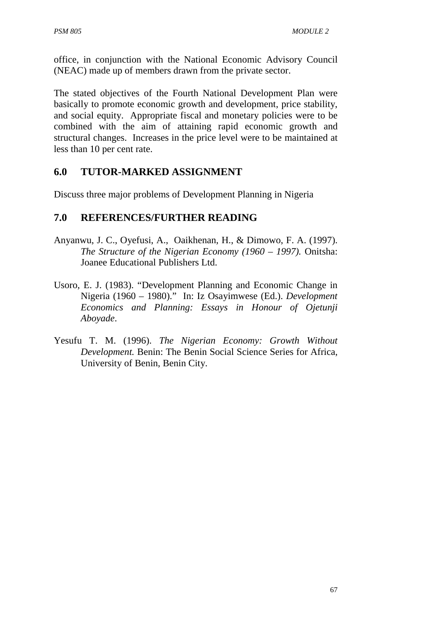office, in conjunction with the National Economic Advisory Council (NEAC) made up of members drawn from the private sector.

The stated objectives of the Fourth National Development Plan were basically to promote economic growth and development, price stability, and social equity. Appropriate fiscal and monetary policies were to be combined with the aim of attaining rapid economic growth and structural changes. Increases in the price level were to be maintained at less than 10 per cent rate.

#### **6.0 TUTOR-MARKED ASSIGNMENT**

Discuss three major problems of Development Planning in Nigeria

#### **7.0 REFERENCES/FURTHER READING**

- Anyanwu, J. C., Oyefusi, A., Oaikhenan, H., & Dimowo, F. A. (1997). *The Structure of the Nigerian Economy (1960 – 1997).* Onitsha: Joanee Educational Publishers Ltd.
- Usoro, E. J. (1983). "Development Planning and Economic Change in Nigeria (1960 – 1980)." In: Iz Osayimwese (Ed.). *Development Economics and Planning: Essays in Honour of Ojetunji Aboyade*.
- Yesufu T. M. (1996). *The Nigerian Economy: Growth Without Development.* Benin: The Benin Social Science Series for Africa, University of Benin, Benin City.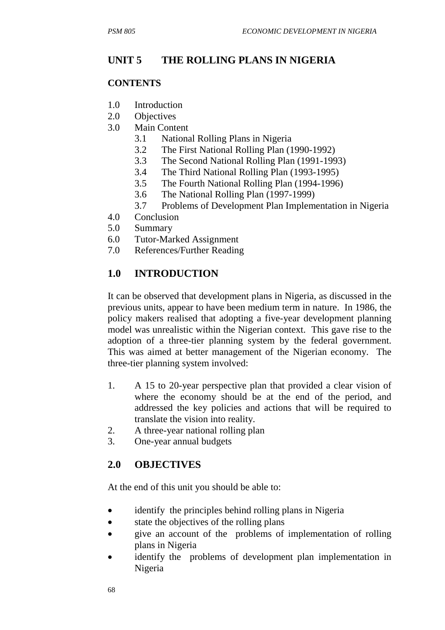# **UNIT 5 THE ROLLING PLANS IN NIGERIA**

#### **CONTENTS**

- 1.0 Introduction
- 2.0 Objectives
- 3.0 Main Content
	- 3.1 National Rolling Plans in Nigeria
	- 3.2 The First National Rolling Plan (1990-1992)
	- 3.3 The Second National Rolling Plan (1991-1993)
	- 3.4 The Third National Rolling Plan (1993-1995)
	- 3.5 The Fourth National Rolling Plan (1994-1996)
	- 3.6 The National Rolling Plan (1997-1999)
	- 3.7 Problems of Development Plan Implementation in Nigeria
- 4.0 Conclusion
- 5.0 Summary
- 6.0 Tutor-Marked Assignment
- 7.0 References/Further Reading

# **1.0 INTRODUCTION**

It can be observed that development plans in Nigeria, as discussed in the previous units, appear to have been medium term in nature. In 1986, the policy makers realised that adopting a five-year development planning model was unrealistic within the Nigerian context. This gave rise to the adoption of a three-tier planning system by the federal government. This was aimed at better management of the Nigerian economy. The three-tier planning system involved:

- 1. A 15 to 20-year perspective plan that provided a clear vision of where the economy should be at the end of the period, and addressed the key policies and actions that will be required to translate the vision into reality.
- 2. A three-year national rolling plan
- 3. One-year annual budgets

# **2.0 OBJECTIVES**

At the end of this unit you should be able to:

- identify the principles behind rolling plans in Nigeria
- state the objectives of the rolling plans
- give an account of the problems of implementation of rolling plans in Nigeria
- identify the problems of development plan implementation in Nigeria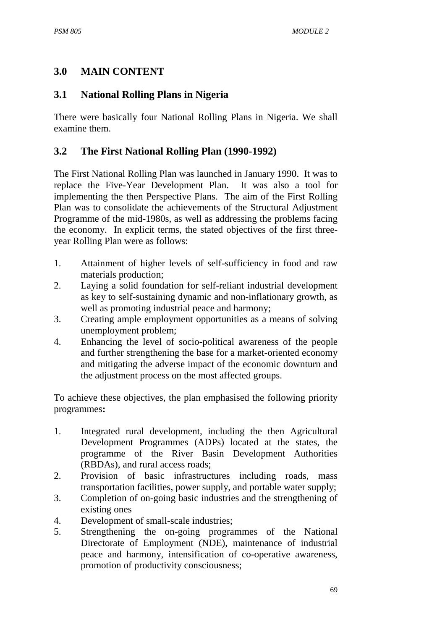## **3.0 MAIN CONTENT**

#### **3.1 National Rolling Plans in Nigeria**

There were basically four National Rolling Plans in Nigeria. We shall examine them.

#### **3.2 The First National Rolling Plan (1990-1992)**

The First National Rolling Plan was launched in January 1990. It was to replace the Five-Year Development Plan. It was also a tool for implementing the then Perspective Plans. The aim of the First Rolling Plan was to consolidate the achievements of the Structural Adjustment Programme of the mid-1980s, as well as addressing the problems facing the economy. In explicit terms, the stated objectives of the first threeyear Rolling Plan were as follows:

- 1. Attainment of higher levels of self-sufficiency in food and raw materials production;
- 2. Laying a solid foundation for self-reliant industrial development as key to self-sustaining dynamic and non-inflationary growth, as well as promoting industrial peace and harmony;
- 3. Creating ample employment opportunities as a means of solving unemployment problem;
- 4. Enhancing the level of socio-political awareness of the people and further strengthening the base for a market-oriented economy and mitigating the adverse impact of the economic downturn and the adjustment process on the most affected groups.

To achieve these objectives, the plan emphasised the following priority programmes**:** 

- 1. Integrated rural development, including the then Agricultural Development Programmes (ADPs) located at the states, the programme of the River Basin Development Authorities (RBDAs), and rural access roads;
- 2. Provision of basic infrastructures including roads, mass transportation facilities, power supply, and portable water supply;
- 3. Completion of on-going basic industries and the strengthening of existing ones
- 4. Development of small-scale industries;
- 5. Strengthening the on-going programmes of the National Directorate of Employment (NDE), maintenance of industrial peace and harmony, intensification of co-operative awareness, promotion of productivity consciousness;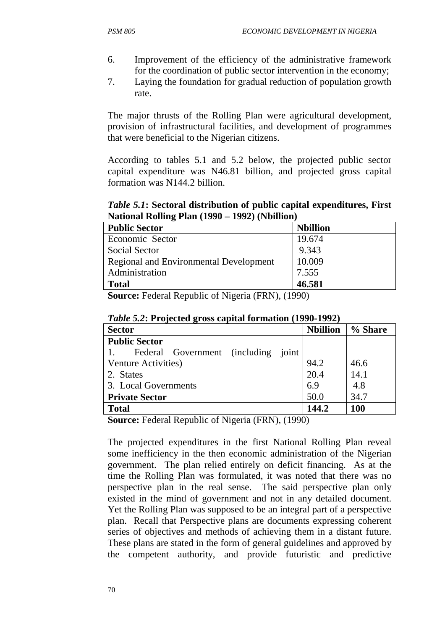- 6. Improvement of the efficiency of the administrative framework for the coordination of public sector intervention in the economy;
- 7. Laying the foundation for gradual reduction of population growth rate.

The major thrusts of the Rolling Plan were agricultural development, provision of infrastructural facilities, and development of programmes that were beneficial to the Nigerian citizens.

According to tables 5.1 and 5.2 below, the projected public sector capital expenditure was N46.81 billion, and projected gross capital formation was N144.2 billion.

*Table 5.1***: Sectoral distribution of public capital expenditures, First National Rolling Plan (1990 – 1992) (Nbillion)** 

| <b>Public Sector</b>                          | <b>Nbillion</b> |
|-----------------------------------------------|-----------------|
| Economic Sector                               | 19.674          |
| <b>Social Sector</b>                          | 9.343           |
| <b>Regional and Environmental Development</b> | 10.009          |
| Administration                                | 7.555           |
| <b>Total</b>                                  | 46.581          |

**Source:** Federal Republic of Nigeria (FRN), (1990)

| <b>Sector</b>                          | <b>Nbillion</b> | % Share |
|----------------------------------------|-----------------|---------|
| <b>Public Sector</b>                   |                 |         |
| Federal Government (including<br>joint |                 |         |
| Venture Activities)                    | 94.2            | 46.6    |
| 2. States                              | 20.4            | 14.1    |
| 3. Local Governments                   | 6.9             | 4.8     |
| <b>Private Sector</b>                  | 50.0            | 34.7    |
| <b>Total</b>                           | 144.2           | 100     |

*Table 5.2***: Projected gross capital formation (1990-1992)**

**Source:** Federal Republic of Nigeria (FRN), (1990)

The projected expenditures in the first National Rolling Plan reveal some inefficiency in the then economic administration of the Nigerian government. The plan relied entirely on deficit financing. As at the time the Rolling Plan was formulated, it was noted that there was no perspective plan in the real sense. The said perspective plan only existed in the mind of government and not in any detailed document. Yet the Rolling Plan was supposed to be an integral part of a perspective plan. Recall that Perspective plans are documents expressing coherent series of objectives and methods of achieving them in a distant future. These plans are stated in the form of general guidelines and approved by the competent authority, and provide futuristic and predictive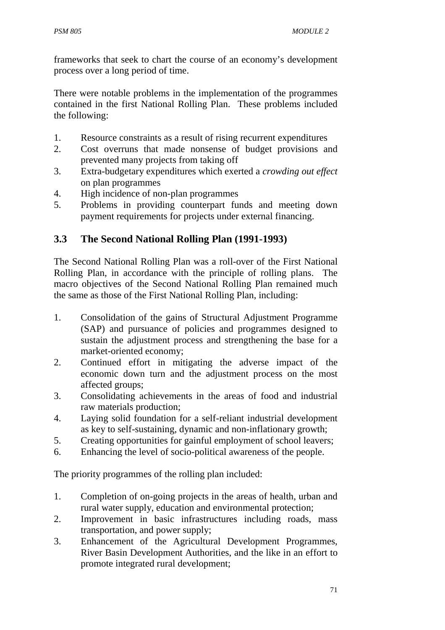frameworks that seek to chart the course of an economy's development process over a long period of time.

There were notable problems in the implementation of the programmes contained in the first National Rolling Plan. These problems included the following:

- 1. Resource constraints as a result of rising recurrent expenditures
- 2. Cost overruns that made nonsense of budget provisions and prevented many projects from taking off
- 3. Extra-budgetary expenditures which exerted a *crowding out effect* on plan programmes
- 4. High incidence of non-plan programmes
- 5. Problems in providing counterpart funds and meeting down payment requirements for projects under external financing.

# **3.3 The Second National Rolling Plan (1991-1993)**

The Second National Rolling Plan was a roll-over of the First National Rolling Plan, in accordance with the principle of rolling plans. The macro objectives of the Second National Rolling Plan remained much the same as those of the First National Rolling Plan, including:

- 1. Consolidation of the gains of Structural Adjustment Programme (SAP) and pursuance of policies and programmes designed to sustain the adjustment process and strengthening the base for a market-oriented economy;
- 2. Continued effort in mitigating the adverse impact of the economic down turn and the adjustment process on the most affected groups;
- 3. Consolidating achievements in the areas of food and industrial raw materials production;
- 4. Laying solid foundation for a self-reliant industrial development as key to self-sustaining, dynamic and non-inflationary growth;
- 5. Creating opportunities for gainful employment of school leavers;
- 6. Enhancing the level of socio-political awareness of the people.

The priority programmes of the rolling plan included:

- 1. Completion of on-going projects in the areas of health, urban and rural water supply, education and environmental protection;
- 2. Improvement in basic infrastructures including roads, mass transportation, and power supply;
- 3. Enhancement of the Agricultural Development Programmes, River Basin Development Authorities, and the like in an effort to promote integrated rural development;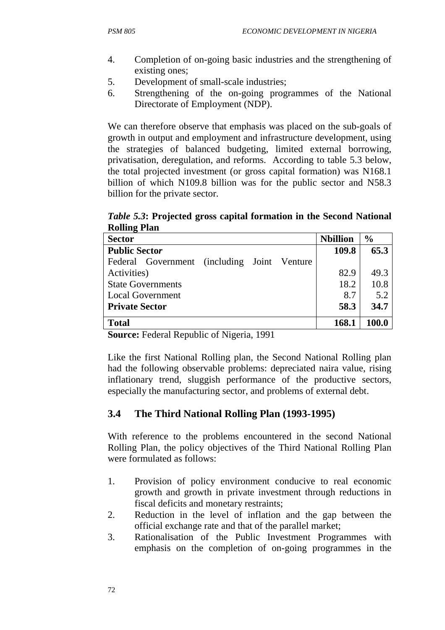- 4. Completion of on-going basic industries and the strengthening of existing ones;
- 5. Development of small-scale industries;
- 6. Strengthening of the on-going programmes of the National Directorate of Employment (NDP).

We can therefore observe that emphasis was placed on the sub-goals of growth in output and employment and infrastructure development, using the strategies of balanced budgeting, limited external borrowing, privatisation, deregulation, and reforms. According to table 5.3 below, the total projected investment (or gross capital formation) was N168.1 billion of which N109.8 billion was for the public sector and N58.3 billion for the private sector.

*Table 5.3***: Projected gross capital formation in the Second National Rolling Plan**

| <b>Sector</b>                                   | <b>Nbillion</b> | $\frac{0}{0}$ |
|-------------------------------------------------|-----------------|---------------|
| <b>Public Sector</b>                            | 109.8           | 65.3          |
| (including Joint Venture)<br>Federal Government |                 |               |
| Activities)                                     | 82.9            | 49.3          |
| <b>State Governments</b>                        | 18.2            | 10.8          |
| <b>Local Government</b>                         | 8.7             | 5.2           |
| <b>Private Sector</b>                           | 58.3            | 34.7          |
| <b>Total</b>                                    | 168.1           | 100.0         |

**Source:** Federal Republic of Nigeria, 1991

Like the first National Rolling plan, the Second National Rolling plan had the following observable problems: depreciated naira value, rising inflationary trend, sluggish performance of the productive sectors, especially the manufacturing sector, and problems of external debt.

# **3.4 The Third National Rolling Plan (1993-1995)**

With reference to the problems encountered in the second National Rolling Plan, the policy objectives of the Third National Rolling Plan were formulated as follows:

- 1. Provision of policy environment conducive to real economic growth and growth in private investment through reductions in fiscal deficits and monetary restraints;
- 2. Reduction in the level of inflation and the gap between the official exchange rate and that of the parallel market;
- 3. Rationalisation of the Public Investment Programmes with emphasis on the completion of on-going programmes in the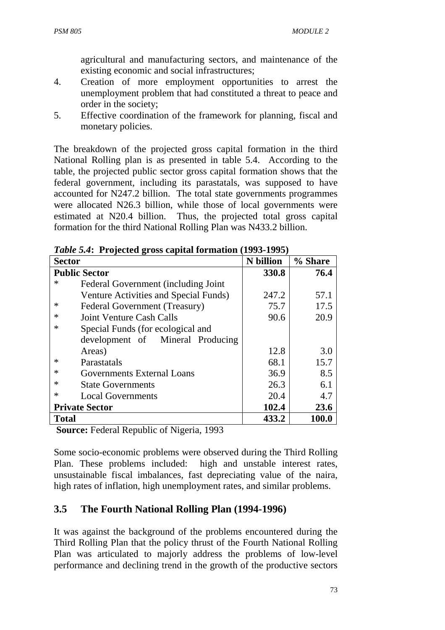agricultural and manufacturing sectors, and maintenance of the existing economic and social infrastructures;

- 4. Creation of more employment opportunities to arrest the unemployment problem that had constituted a threat to peace and order in the society;
- 5. Effective coordination of the framework for planning, fiscal and monetary policies.

The breakdown of the projected gross capital formation in the third National Rolling plan is as presented in table 5.4. According to the table, the projected public sector gross capital formation shows that the federal government, including its parastatals, was supposed to have accounted for N247.2 billion. The total state governments programmes were allocated N26.3 billion, while those of local governments were estimated at N20.4 billion. Thus, the projected total gross capital formation for the third National Rolling Plan was N433.2 billion.

| <b>Sector</b>                             | <b>N</b> billion | % Share |
|-------------------------------------------|------------------|---------|
| <b>Public Sector</b>                      | 330.8            | 76.4    |
| ∗<br>Federal Government (including Joint) |                  |         |
| Venture Activities and Special Funds)     | 247.2            | 57.1    |
| Federal Government (Treasury)<br>$\ast$   | 75.7             | 17.5    |
| Joint Venture Cash Calls                  | 90.6             | 20.9    |
| *<br>Special Funds (for ecological and    |                  |         |
| development of Mineral Producing          |                  |         |
| Areas)                                    | 12.8             | 3.0     |
| ∗<br>Parastatals                          | 68.1             | 15.7    |
| <b>Governments External Loans</b><br>∗    | 36.9             | 8.5     |
| ∗<br><b>State Governments</b>             | 26.3             | 6.1     |
| ∗<br><b>Local Governments</b>             | 20.4             | 4.7     |
| <b>Private Sector</b>                     | 102.4            | 23.6    |
| <b>Total</b>                              | 433.2            | 100.0   |

*Table 5.4***: Projected gross capital formation (1993-1995)**

 **Source:** Federal Republic of Nigeria, 1993

Some socio-economic problems were observed during the Third Rolling Plan. These problems included: high and unstable interest rates, unsustainable fiscal imbalances, fast depreciating value of the naira, high rates of inflation, high unemployment rates, and similar problems.

# **3.5 The Fourth National Rolling Plan (1994-1996)**

It was against the background of the problems encountered during the Third Rolling Plan that the policy thrust of the Fourth National Rolling Plan was articulated to majorly address the problems of low-level performance and declining trend in the growth of the productive sectors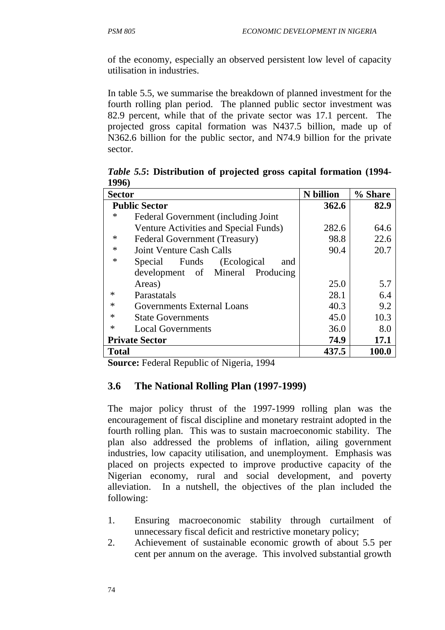of the economy, especially an observed persistent low level of capacity utilisation in industries.

In table 5.5, we summarise the breakdown of planned investment for the fourth rolling plan period. The planned public sector investment was 82.9 percent, while that of the private sector was 17.1 percent. The projected gross capital formation was N437.5 billion, made up of N362.6 billion for the public sector, and N74.9 billion for the private sector.

| エノノVノ                                         |                  |         |
|-----------------------------------------------|------------------|---------|
| <b>Sector</b>                                 | <b>N</b> billion | % Share |
| <b>Public Sector</b>                          | 362.6            | 82.9    |
| ∗<br>Federal Government (including Joint)     |                  |         |
| Venture Activities and Special Funds)         | 282.6            | 64.6    |
| $\ast$<br>Federal Government (Treasury)       | 98.8             | 22.6    |
| $\ast$<br><b>Joint Venture Cash Calls</b>     | 90.4             | 20.7    |
| $\ast$<br>Special Funds<br>(Ecological<br>and |                  |         |
| development of Mineral Producing              |                  |         |
| Areas)                                        | 25.0             | 5.7     |
| ∗<br>Parastatals                              | 28.1             | 6.4     |
| $\ast$<br><b>Governments External Loans</b>   | 40.3             | 9.2     |
| ∗<br><b>State Governments</b>                 | 45.0             | 10.3    |
| $\ast$<br><b>Local Governments</b>            | 36.0             | 8.0     |
| <b>Private Sector</b>                         | 74.9             | 17.1    |
| <b>Total</b>                                  | 437.5            | 100.0   |

*Table 5.5***: Distribution of projected gross capital formation (1994-**  100C)

**Source:** Federal Republic of Nigeria, 1994

#### **3.6 The National Rolling Plan (1997-1999)**

The major policy thrust of the 1997-1999 rolling plan was the encouragement of fiscal discipline and monetary restraint adopted in the fourth rolling plan. This was to sustain macroeconomic stability. The plan also addressed the problems of inflation, ailing government industries, low capacity utilisation, and unemployment. Emphasis was placed on projects expected to improve productive capacity of the Nigerian economy, rural and social development, and poverty alleviation. In a nutshell, the objectives of the plan included the following:

- 1. Ensuring macroeconomic stability through curtailment of unnecessary fiscal deficit and restrictive monetary policy;
- 2. Achievement of sustainable economic growth of about 5.5 per cent per annum on the average. This involved substantial growth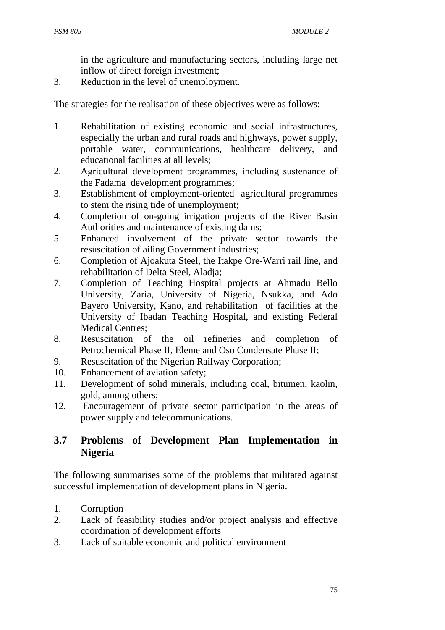in the agriculture and manufacturing sectors, including large net inflow of direct foreign investment;

3. Reduction in the level of unemployment.

The strategies for the realisation of these objectives were as follows:

- 1. Rehabilitation of existing economic and social infrastructures, especially the urban and rural roads and highways, power supply, portable water, communications, healthcare delivery, and educational facilities at all levels;
- 2. Agricultural development programmes, including sustenance of the Fadama development programmes;
- 3. Establishment of employment-oriented agricultural programmes to stem the rising tide of unemployment;
- 4. Completion of on-going irrigation projects of the River Basin Authorities and maintenance of existing dams;
- 5. Enhanced involvement of the private sector towards the resuscitation of ailing Government industries;
- 6. Completion of Ajoakuta Steel, the Itakpe Ore-Warri rail line, and rehabilitation of Delta Steel, Aladja;
- 7. Completion of Teaching Hospital projects at Ahmadu Bello University, Zaria, University of Nigeria, Nsukka, and Ado Bayero University, Kano, and rehabilitation of facilities at the University of Ibadan Teaching Hospital, and existing Federal Medical Centres;
- 8. Resuscitation of the oil refineries and completion of Petrochemical Phase II, Eleme and Oso Condensate Phase II;
- 9. Resuscitation of the Nigerian Railway Corporation;
- 10. Enhancement of aviation safety;
- 11. Development of solid minerals, including coal, bitumen, kaolin, gold, among others;
- 12. Encouragement of private sector participation in the areas of power supply and telecommunications.

## **3.7 Problems of Development Plan Implementation in Nigeria**

The following summarises some of the problems that militated against successful implementation of development plans in Nigeria.

- 1. Corruption
- 2. Lack of feasibility studies and/or project analysis and effective coordination of development efforts
- 3. Lack of suitable economic and political environment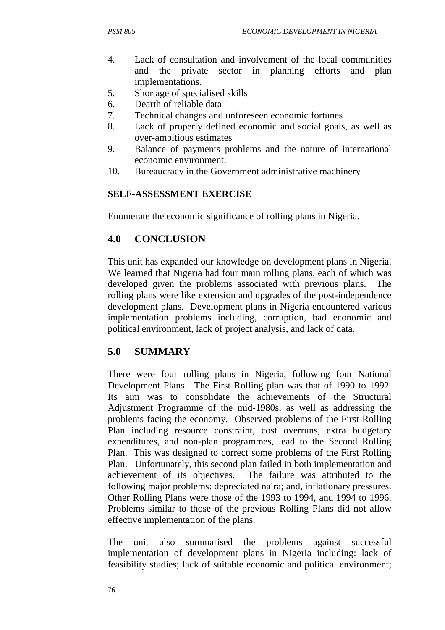- 4. Lack of consultation and involvement of the local communities and the private sector in planning efforts and plan implementations.
- 5. Shortage of specialised skills
- 6. Dearth of reliable data
- 7. Technical changes and unforeseen economic fortunes
- 8. Lack of properly defined economic and social goals, as well as over-ambitious estimates
- 9. Balance of payments problems and the nature of international economic environment.
- 10. Bureaucracy in the Government administrative machinery

#### **SELF-ASSESSMENT EXERCISE**

Enumerate the economic significance of rolling plans in Nigeria.

## **4.0 CONCLUSION**

This unit has expanded our knowledge on development plans in Nigeria. We learned that Nigeria had four main rolling plans, each of which was developed given the problems associated with previous plans. The rolling plans were like extension and upgrades of the post-independence development plans. Development plans in Nigeria encountered various implementation problems including, corruption, bad economic and political environment, lack of project analysis, and lack of data.

#### **5.0 SUMMARY**

There were four rolling plans in Nigeria, following four National Development Plans. The First Rolling plan was that of 1990 to 1992. Its aim was to consolidate the achievements of the Structural Adjustment Programme of the mid-1980s, as well as addressing the problems facing the economy. Observed problems of the First Rolling Plan including resource constraint, cost overruns, extra budgetary expenditures, and non-plan programmes, lead to the Second Rolling Plan. This was designed to correct some problems of the First Rolling Plan. Unfortunately, this second plan failed in both implementation and achievement of its objectives. The failure was attributed to the following major problems: depreciated naira; and, inflationary pressures. Other Rolling Plans were those of the 1993 to 1994, and 1994 to 1996. Problems similar to those of the previous Rolling Plans did not allow effective implementation of the plans.

The unit also summarised the problems against successful implementation of development plans in Nigeria including: lack of feasibility studies; lack of suitable economic and political environment;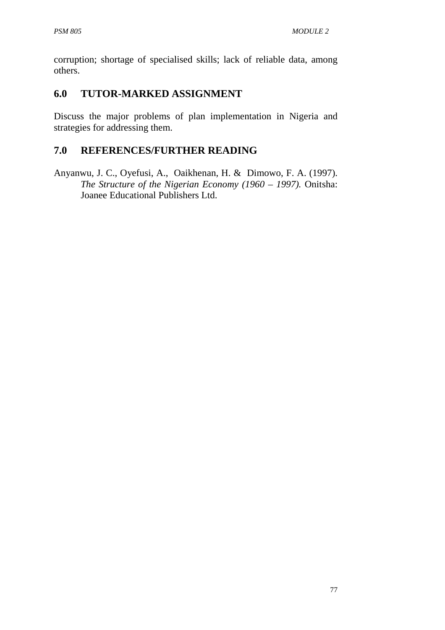corruption; shortage of specialised skills; lack of reliable data, among others.

## **6.0 TUTOR-MARKED ASSIGNMENT**

Discuss the major problems of plan implementation in Nigeria and strategies for addressing them.

## **7.0 REFERENCES/FURTHER READING**

Anyanwu, J. C., Oyefusi, A., Oaikhenan, H. & Dimowo, F. A. (1997). *The Structure of the Nigerian Economy (1960 – 1997).* Onitsha: Joanee Educational Publishers Ltd.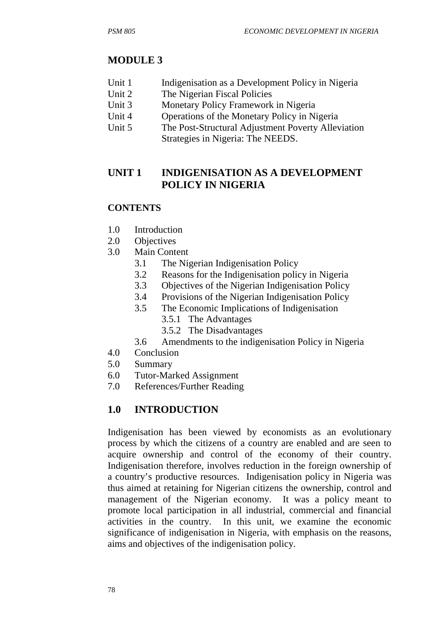# **MODULE 3**

- Unit 1 Indigenisation as a Development Policy in Nigeria
- Unit 2 The Nigerian Fiscal Policies
- Unit 3 Monetary Policy Framework in Nigeria
- Unit 4 Operations of the Monetary Policy in Nigeria
- Unit 5 The Post-Structural Adjustment Poverty Alleviation Strategies in Nigeria: The NEEDS.

# **UNIT 1 INDIGENISATION AS A DEVELOPMENT POLICY IN NIGERIA**

#### **CONTENTS**

- 1.0 Introduction
- 2.0 Objectives
- 3.0 Main Content
	- 3.1 The Nigerian Indigenisation Policy
	- 3.2 Reasons for the Indigenisation policy in Nigeria
	- 3.3 Objectives of the Nigerian Indigenisation Policy
	- 3.4 Provisions of the Nigerian Indigenisation Policy
	- 3.5 The Economic Implications of Indigenisation
		- 3.5.1 The Advantages
		- 3.5.2 The Disadvantages
	- 3.6 Amendments to the indigenisation Policy in Nigeria
- 4.0 Conclusion
- 5.0 Summary
- 6.0 Tutor-Marked Assignment
- 7.0 References/Further Reading

# **1.0 INTRODUCTION**

Indigenisation has been viewed by economists as an evolutionary process by which the citizens of a country are enabled and are seen to acquire ownership and control of the economy of their country. Indigenisation therefore, involves reduction in the foreign ownership of a country's productive resources. Indigenisation policy in Nigeria was thus aimed at retaining for Nigerian citizens the ownership, control and management of the Nigerian economy. It was a policy meant to promote local participation in all industrial, commercial and financial activities in the country. In this unit, we examine the economic significance of indigenisation in Nigeria, with emphasis on the reasons, aims and objectives of the indigenisation policy.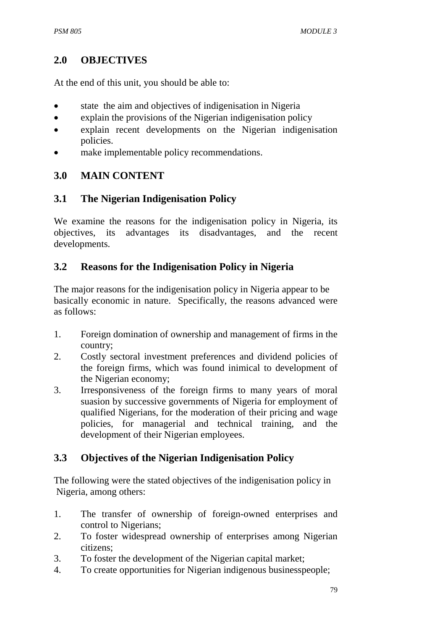## **2.0 OBJECTIVES**

At the end of this unit, you should be able to:

- state the aim and objectives of indigenisation in Nigeria
- explain the provisions of the Nigerian indigenisation policy
- explain recent developments on the Nigerian indigenisation policies.
- make implementable policy recommendations.

## **3.0 MAIN CONTENT**

## **3.1 The Nigerian Indigenisation Policy**

We examine the reasons for the indigenisation policy in Nigeria, its objectives, its advantages its disadvantages, and the recent developments.

## **3.2 Reasons for the Indigenisation Policy in Nigeria**

The major reasons for the indigenisation policy in Nigeria appear to be basically economic in nature. Specifically, the reasons advanced were as follows:

- 1. Foreign domination of ownership and management of firms in the country;
- 2. Costly sectoral investment preferences and dividend policies of the foreign firms, which was found inimical to development of the Nigerian economy;
- 3. Irresponsiveness of the foreign firms to many years of moral suasion by successive governments of Nigeria for employment of qualified Nigerians, for the moderation of their pricing and wage policies, for managerial and technical training, and the development of their Nigerian employees.

# **3.3 Objectives of the Nigerian Indigenisation Policy**

The following were the stated objectives of the indigenisation policy in Nigeria, among others:

- 1. The transfer of ownership of foreign-owned enterprises and control to Nigerians;
- 2. To foster widespread ownership of enterprises among Nigerian citizens;
- 3. To foster the development of the Nigerian capital market;
- 4. To create opportunities for Nigerian indigenous businesspeople;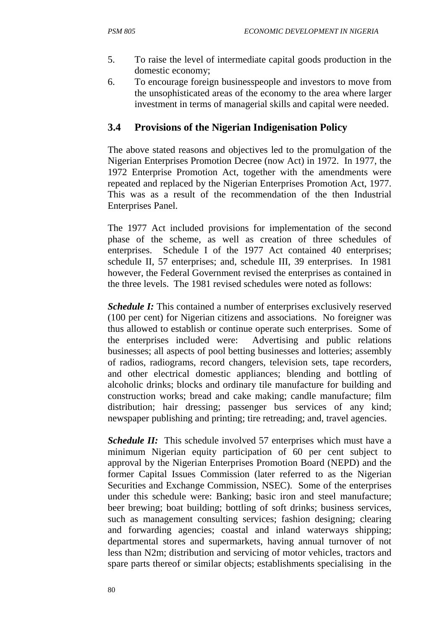- 5. To raise the level of intermediate capital goods production in the domestic economy;
- 6. To encourage foreign businesspeople and investors to move from the unsophisticated areas of the economy to the area where larger investment in terms of managerial skills and capital were needed.

## **3.4 Provisions of the Nigerian Indigenisation Policy**

The above stated reasons and objectives led to the promulgation of the Nigerian Enterprises Promotion Decree (now Act) in 1972. In 1977, the 1972 Enterprise Promotion Act, together with the amendments were repeated and replaced by the Nigerian Enterprises Promotion Act, 1977. This was as a result of the recommendation of the then Industrial Enterprises Panel.

The 1977 Act included provisions for implementation of the second phase of the scheme, as well as creation of three schedules of enterprises. Schedule I of the 1977 Act contained 40 enterprises; schedule II, 57 enterprises; and, schedule III, 39 enterprises. In 1981 however, the Federal Government revised the enterprises as contained in the three levels. The 1981 revised schedules were noted as follows:

*Schedule I:* This contained a number of enterprises exclusively reserved (100 per cent) for Nigerian citizens and associations. No foreigner was thus allowed to establish or continue operate such enterprises. Some of the enterprises included were: Advertising and public relations businesses; all aspects of pool betting businesses and lotteries; assembly of radios, radiograms, record changers, television sets, tape recorders, and other electrical domestic appliances; blending and bottling of alcoholic drinks; blocks and ordinary tile manufacture for building and construction works; bread and cake making; candle manufacture; film distribution; hair dressing; passenger bus services of any kind; newspaper publishing and printing; tire retreading; and, travel agencies.

*Schedule II:* This schedule involved 57 enterprises which must have a minimum Nigerian equity participation of 60 per cent subject to approval by the Nigerian Enterprises Promotion Board (NEPD) and the former Capital Issues Commission (later referred to as the Nigerian Securities and Exchange Commission, NSEC). Some of the enterprises under this schedule were: Banking; basic iron and steel manufacture; beer brewing; boat building; bottling of soft drinks; business services, such as management consulting services; fashion designing; clearing and forwarding agencies; coastal and inland waterways shipping; departmental stores and supermarkets, having annual turnover of not less than N2m; distribution and servicing of motor vehicles, tractors and spare parts thereof or similar objects; establishments specialising in the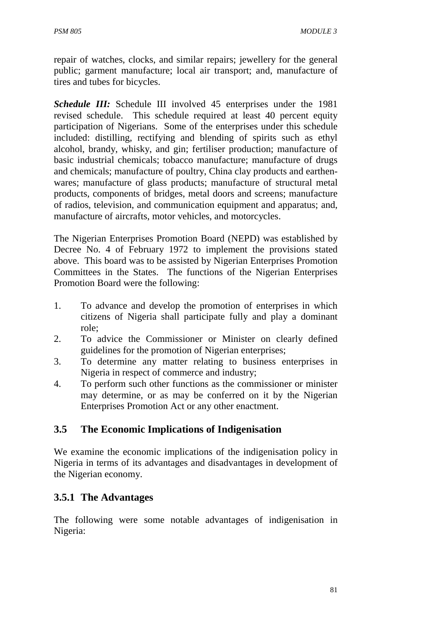repair of watches, clocks, and similar repairs; jewellery for the general public; garment manufacture; local air transport; and, manufacture of tires and tubes for bicycles.

*Schedule III:* Schedule III involved 45 enterprises under the 1981 revised schedule. This schedule required at least 40 percent equity participation of Nigerians. Some of the enterprises under this schedule included: distilling, rectifying and blending of spirits such as ethyl alcohol, brandy, whisky, and gin; fertiliser production; manufacture of basic industrial chemicals; tobacco manufacture; manufacture of drugs and chemicals; manufacture of poultry, China clay products and earthenwares; manufacture of glass products; manufacture of structural metal products, components of bridges, metal doors and screens; manufacture of radios, television, and communication equipment and apparatus; and, manufacture of aircrafts, motor vehicles, and motorcycles.

The Nigerian Enterprises Promotion Board (NEPD) was established by Decree No. 4 of February 1972 to implement the provisions stated above. This board was to be assisted by Nigerian Enterprises Promotion Committees in the States. The functions of the Nigerian Enterprises Promotion Board were the following:

- 1. To advance and develop the promotion of enterprises in which citizens of Nigeria shall participate fully and play a dominant role;
- 2. To advice the Commissioner or Minister on clearly defined guidelines for the promotion of Nigerian enterprises;
- 3. To determine any matter relating to business enterprises in Nigeria in respect of commerce and industry;
- 4. To perform such other functions as the commissioner or minister may determine, or as may be conferred on it by the Nigerian Enterprises Promotion Act or any other enactment.

#### **3.5 The Economic Implications of Indigenisation**

We examine the economic implications of the indigenisation policy in Nigeria in terms of its advantages and disadvantages in development of the Nigerian economy.

#### **3.5.1 The Advantages**

The following were some notable advantages of indigenisation in Nigeria: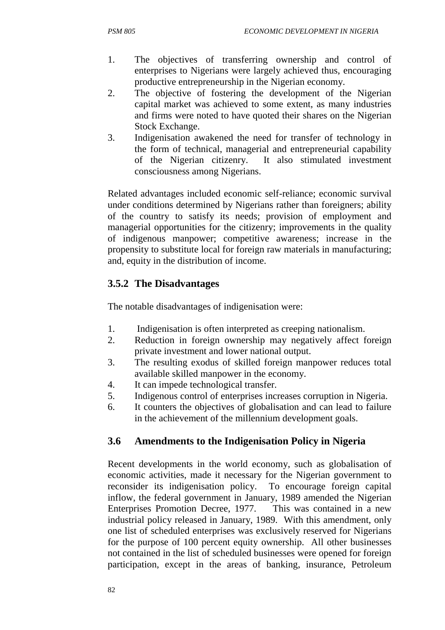- 1. The objectives of transferring ownership and control of enterprises to Nigerians were largely achieved thus, encouraging productive entrepreneurship in the Nigerian economy.
- 2. The objective of fostering the development of the Nigerian capital market was achieved to some extent, as many industries and firms were noted to have quoted their shares on the Nigerian Stock Exchange.
- 3. Indigenisation awakened the need for transfer of technology in the form of technical, managerial and entrepreneurial capability of the Nigerian citizenry. It also stimulated investment consciousness among Nigerians.

Related advantages included economic self-reliance; economic survival under conditions determined by Nigerians rather than foreigners; ability of the country to satisfy its needs; provision of employment and managerial opportunities for the citizenry; improvements in the quality of indigenous manpower; competitive awareness; increase in the propensity to substitute local for foreign raw materials in manufacturing; and, equity in the distribution of income.

## **3.5.2 The Disadvantages**

The notable disadvantages of indigenisation were:

- 1. Indigenisation is often interpreted as creeping nationalism.
- 2. Reduction in foreign ownership may negatively affect foreign private investment and lower national output.
- 3. The resulting exodus of skilled foreign manpower reduces total available skilled manpower in the economy.
- 4. It can impede technological transfer.
- 5. Indigenous control of enterprises increases corruption in Nigeria.
- 6. It counters the objectives of globalisation and can lead to failure in the achievement of the millennium development goals.

# **3.6 Amendments to the Indigenisation Policy in Nigeria**

Recent developments in the world economy, such as globalisation of economic activities, made it necessary for the Nigerian government to reconsider its indigenisation policy. To encourage foreign capital inflow, the federal government in January, 1989 amended the Nigerian Enterprises Promotion Decree, 1977. This was contained in a new industrial policy released in January, 1989. With this amendment, only one list of scheduled enterprises was exclusively reserved for Nigerians for the purpose of 100 percent equity ownership. All other businesses not contained in the list of scheduled businesses were opened for foreign participation, except in the areas of banking, insurance, Petroleum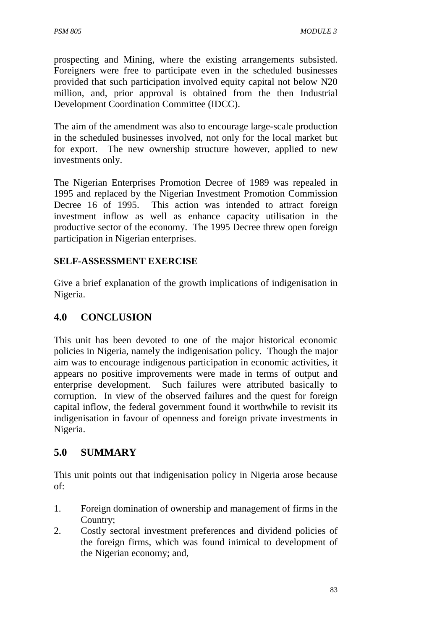prospecting and Mining, where the existing arrangements subsisted. Foreigners were free to participate even in the scheduled businesses provided that such participation involved equity capital not below N20 million, and, prior approval is obtained from the then Industrial Development Coordination Committee (IDCC).

The aim of the amendment was also to encourage large-scale production in the scheduled businesses involved, not only for the local market but for export. The new ownership structure however, applied to new investments only.

The Nigerian Enterprises Promotion Decree of 1989 was repealed in 1995 and replaced by the Nigerian Investment Promotion Commission Decree 16 of 1995. This action was intended to attract foreign investment inflow as well as enhance capacity utilisation in the productive sector of the economy. The 1995 Decree threw open foreign participation in Nigerian enterprises.

#### **SELF-ASSESSMENT EXERCISE**

Give a brief explanation of the growth implications of indigenisation in Nigeria.

# **4.0 CONCLUSION**

This unit has been devoted to one of the major historical economic policies in Nigeria, namely the indigenisation policy. Though the major aim was to encourage indigenous participation in economic activities, it appears no positive improvements were made in terms of output and enterprise development. Such failures were attributed basically to corruption. In view of the observed failures and the quest for foreign capital inflow, the federal government found it worthwhile to revisit its indigenisation in favour of openness and foreign private investments in Nigeria.

# **5.0 SUMMARY**

This unit points out that indigenisation policy in Nigeria arose because of:

- 1. Foreign domination of ownership and management of firms in the Country;
- 2. Costly sectoral investment preferences and dividend policies of the foreign firms, which was found inimical to development of the Nigerian economy; and,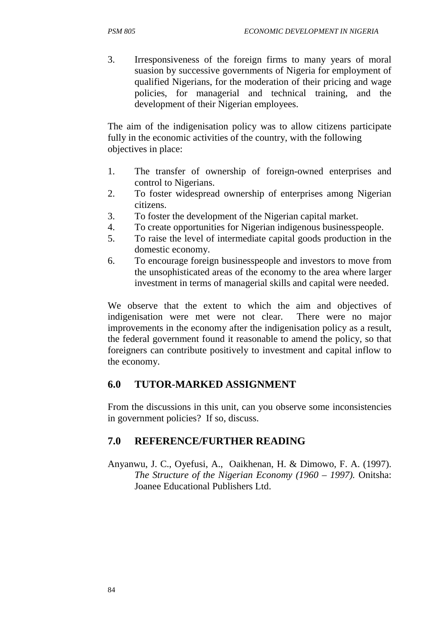3. Irresponsiveness of the foreign firms to many years of moral suasion by successive governments of Nigeria for employment of qualified Nigerians, for the moderation of their pricing and wage policies, for managerial and technical training, and the development of their Nigerian employees.

The aim of the indigenisation policy was to allow citizens participate fully in the economic activities of the country, with the following objectives in place:

- 1. The transfer of ownership of foreign-owned enterprises and control to Nigerians.
- 2. To foster widespread ownership of enterprises among Nigerian citizens.
- 3. To foster the development of the Nigerian capital market.
- 4. To create opportunities for Nigerian indigenous businesspeople.
- 5. To raise the level of intermediate capital goods production in the domestic economy.
- 6. To encourage foreign businesspeople and investors to move from the unsophisticated areas of the economy to the area where larger investment in terms of managerial skills and capital were needed.

We observe that the extent to which the aim and objectives of indigenisation were met were not clear. There were no major improvements in the economy after the indigenisation policy as a result, the federal government found it reasonable to amend the policy, so that foreigners can contribute positively to investment and capital inflow to the economy.

#### **6.0 TUTOR-MARKED ASSIGNMENT**

From the discussions in this unit, can you observe some inconsistencies in government policies? If so, discuss.

# **7.0 REFERENCE/FURTHER READING**

Anyanwu, J. C., Oyefusi, A., Oaikhenan, H. & Dimowo, F. A. (1997). *The Structure of the Nigerian Economy (1960 – 1997).* Onitsha: Joanee Educational Publishers Ltd.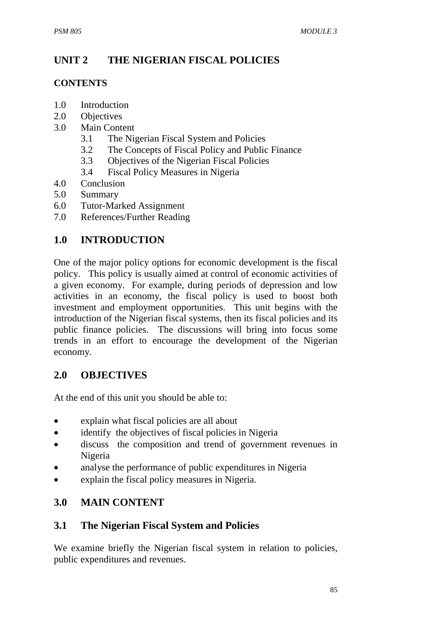# **UNIT 2 THE NIGERIAN FISCAL POLICIES**

#### **CONTENTS**

- 1.0 Introduction
- 2.0 Objectives
- 3.0 Main Content
	- 3.1 The Nigerian Fiscal System and Policies
	- 3.2 The Concepts of Fiscal Policy and Public Finance
	- 3.3 Objectives of the Nigerian Fiscal Policies
	- 3.4 Fiscal Policy Measures in Nigeria
- 4.0 Conclusion
- 5.0 Summary
- 6.0 Tutor-Marked Assignment
- 7.0 References/Further Reading

# **1.0 INTRODUCTION**

One of the major policy options for economic development is the fiscal policy. This policy is usually aimed at control of economic activities of a given economy. For example, during periods of depression and low activities in an economy, the fiscal policy is used to boost both investment and employment opportunities. This unit begins with the introduction of the Nigerian fiscal systems, then its fiscal policies and its public finance policies. The discussions will bring into focus some trends in an effort to encourage the development of the Nigerian economy.

#### **2.0 OBJECTIVES**

At the end of this unit you should be able to:

- explain what fiscal policies are all about
- identify the objectives of fiscal policies in Nigeria
- discuss the composition and trend of government revenues in Nigeria
- analyse the performance of public expenditures in Nigeria
- explain the fiscal policy measures in Nigeria.

# **3.0 MAIN CONTENT**

#### **3.1 The Nigerian Fiscal System and Policies**

We examine briefly the Nigerian fiscal system in relation to policies, public expenditures and revenues.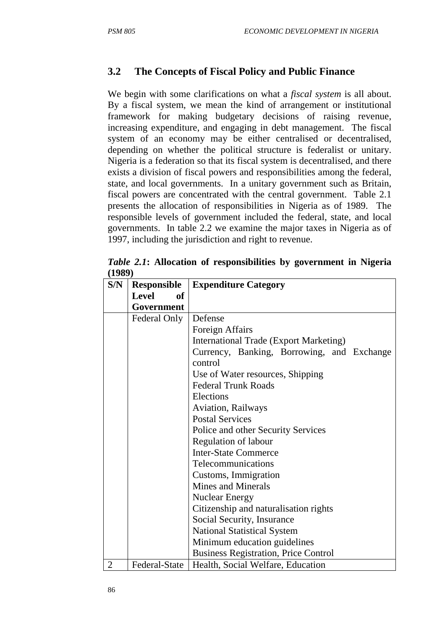# **3.2 The Concepts of Fiscal Policy and Public Finance**

We begin with some clarifications on what a *fiscal system* is all about. By a fiscal system, we mean the kind of arrangement or institutional framework for making budgetary decisions of raising revenue, increasing expenditure, and engaging in debt management. The fiscal system of an economy may be either centralised or decentralised, depending on whether the political structure is federalist or unitary. Nigeria is a federation so that its fiscal system is decentralised, and there exists a division of fiscal powers and responsibilities among the federal, state, and local governments. In a unitary government such as Britain, fiscal powers are concentrated with the central government. Table 2.1 presents the allocation of responsibilities in Nigeria as of 1989. The responsible levels of government included the federal, state, and local governments. In table 2.2 we examine the major taxes in Nigeria as of 1997, including the jurisdiction and right to revenue.

*Table 2.1***: Allocation of responsibilities by government in Nigeria (1989)**

| S/N            | <b>Responsible</b> | <b>Expenditure Category</b>                           |  |  |
|----------------|--------------------|-------------------------------------------------------|--|--|
|                | <b>Level</b><br>of |                                                       |  |  |
|                | Government         |                                                       |  |  |
|                | Federal Only       | Defense                                               |  |  |
|                |                    | Foreign Affairs                                       |  |  |
|                |                    | <b>International Trade (Export Marketing)</b>         |  |  |
|                |                    | Currency, Banking, Borrowing, and Exchange<br>control |  |  |
|                |                    | Use of Water resources, Shipping                      |  |  |
|                |                    | <b>Federal Trunk Roads</b>                            |  |  |
|                |                    | Elections                                             |  |  |
|                |                    | Aviation, Railways                                    |  |  |
|                |                    | <b>Postal Services</b>                                |  |  |
|                |                    | Police and other Security Services                    |  |  |
|                |                    | <b>Regulation of labour</b>                           |  |  |
|                |                    | <b>Inter-State Commerce</b>                           |  |  |
|                |                    | Telecommunications                                    |  |  |
|                |                    | Customs, Immigration                                  |  |  |
|                |                    | <b>Mines and Minerals</b>                             |  |  |
|                |                    | <b>Nuclear Energy</b>                                 |  |  |
|                |                    | Citizenship and naturalisation rights                 |  |  |
|                |                    | Social Security, Insurance                            |  |  |
|                |                    | <b>National Statistical System</b>                    |  |  |
|                |                    | Minimum education guidelines                          |  |  |
|                |                    | <b>Business Registration, Price Control</b>           |  |  |
| $\overline{2}$ | Federal-State      | Health, Social Welfare, Education                     |  |  |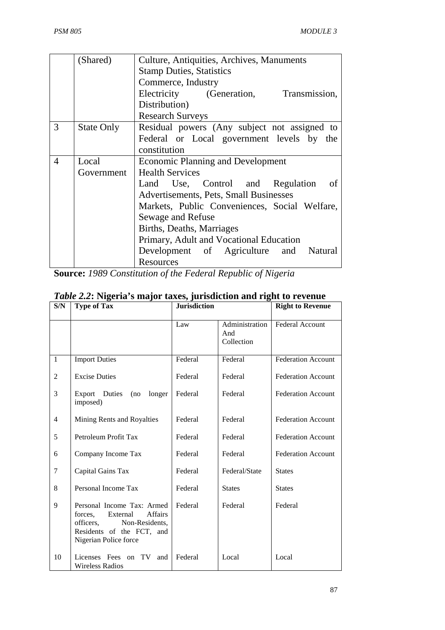|                | (Shared)          | Culture, Antiquities, Archives, Manuments     |  |  |  |
|----------------|-------------------|-----------------------------------------------|--|--|--|
|                |                   | <b>Stamp Duties, Statistics</b>               |  |  |  |
|                |                   | Commerce, Industry                            |  |  |  |
|                |                   | Electricity (Generation, Transmission,        |  |  |  |
|                |                   | Distribution)                                 |  |  |  |
|                |                   | <b>Research Surveys</b>                       |  |  |  |
| 3              | <b>State Only</b> | Residual powers (Any subject not assigned to  |  |  |  |
|                |                   | Federal or Local government levels by the     |  |  |  |
|                |                   | constitution                                  |  |  |  |
| $\overline{4}$ | Local             | <b>Economic Planning and Development</b>      |  |  |  |
|                | Government        | <b>Health Services</b>                        |  |  |  |
|                |                   | Land Use, Control and Regulation of           |  |  |  |
|                |                   | Advertisements, Pets, Small Businesses        |  |  |  |
|                |                   | Markets, Public Conveniences, Social Welfare, |  |  |  |
|                |                   | Sewage and Refuse                             |  |  |  |
|                |                   | Births, Deaths, Marriages                     |  |  |  |
|                |                   | Primary, Adult and Vocational Education       |  |  |  |
|                |                   | Development of Agriculture and Natural        |  |  |  |
|                |                   | Resources                                     |  |  |  |

**Source:** *1989 Constitution of the Federal Republic of Nigeria*

| S/N            | <b>Type of Tax</b>                                                                                                                                       | <b>Jurisdiction</b> |                                     | <b>Right to Revenue</b>   |  |
|----------------|----------------------------------------------------------------------------------------------------------------------------------------------------------|---------------------|-------------------------------------|---------------------------|--|
|                |                                                                                                                                                          | Law                 | Administration<br>And<br>Collection | <b>Federal Account</b>    |  |
| $\mathbf{1}$   | <b>Import Duties</b>                                                                                                                                     | Federal             | Federal                             | <b>Federation Account</b> |  |
| $\overline{2}$ | <b>Excise Duties</b>                                                                                                                                     | Federal             | Federal                             | <b>Federation Account</b> |  |
| 3              | Export Duties<br>(no<br>longer<br>imposed)                                                                                                               | Federal             | Federal                             | <b>Federation Account</b> |  |
| $\overline{4}$ | Mining Rents and Royalties                                                                                                                               | Federal             | Federal                             | <b>Federation Account</b> |  |
| 5              | Petroleum Profit Tax                                                                                                                                     | Federal             | Federal                             | <b>Federation Account</b> |  |
| 6              | Company Income Tax                                                                                                                                       | Federal             | Federal                             | <b>Federation Account</b> |  |
| $\overline{7}$ | Capital Gains Tax                                                                                                                                        | Federal             | Federal/State                       | <b>States</b>             |  |
| 8              | Personal Income Tax                                                                                                                                      | Federal             | <b>States</b>                       | <b>States</b>             |  |
| 9              | Personal Income Tax: Armed<br>forces,<br>External<br><b>Affairs</b><br>officers,<br>Non-Residents,<br>Residents of the FCT, and<br>Nigerian Police force | Federal             | Federal                             | Federal                   |  |
| 10             | Licenses Fees on TV<br>and<br><b>Wireless Radios</b>                                                                                                     | Federal             | Local                               | Local                     |  |

# *Table 2.2***: Nigeria's major taxes, jurisdiction and right to revenue**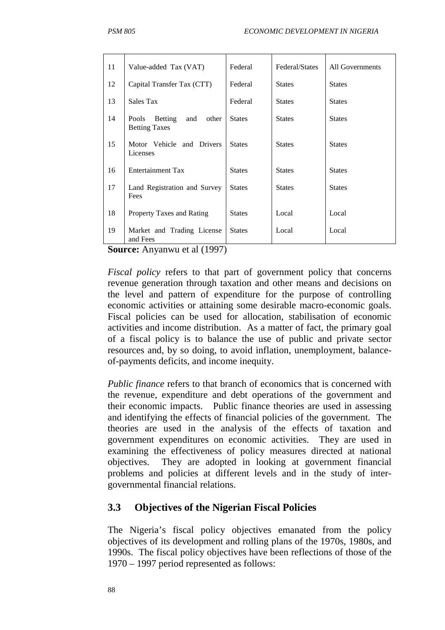| Value-added Tax (VAT)                                           | Federal       | Federal/States | All Governments |
|-----------------------------------------------------------------|---------------|----------------|-----------------|
| Capital Transfer Tax (CTT)                                      | Federal       | <b>States</b>  | <b>States</b>   |
| Sales Tax                                                       | Federal       | <b>States</b>  | <b>States</b>   |
| Pools<br><b>Betting</b><br>and<br>other<br><b>Betting Taxes</b> | <b>States</b> | <b>States</b>  | <b>States</b>   |
| Motor Vehicle and Drivers<br>Licenses                           | <b>States</b> | <b>States</b>  | <b>States</b>   |
| <b>Entertainment Tax</b>                                        | <b>States</b> | <b>States</b>  | <b>States</b>   |
| Land Registration and Survey<br>Fees                            | <b>States</b> | <b>States</b>  | <b>States</b>   |
| Property Taxes and Rating                                       | <b>States</b> | Local          | Local           |
| Market and Trading License<br>and Fees                          | <b>States</b> | Local          | Local           |
|                                                                 | 1/100         |                |                 |

**Source:** Anyanwu et al (1997)

*Fiscal policy* refers to that part of government policy that concerns revenue generation through taxation and other means and decisions on the level and pattern of expenditure for the purpose of controlling economic activities or attaining some desirable macro-economic goals. Fiscal policies can be used for allocation, stabilisation of economic activities and income distribution. As a matter of fact, the primary goal of a fiscal policy is to balance the use of public and private sector resources and, by so doing, to avoid inflation, unemployment, balanceof-payments deficits, and income inequity.

*Public finance* refers to that branch of economics that is concerned with the revenue, expenditure and debt operations of the government and their economic impacts. Public finance theories are used in assessing and identifying the effects of financial policies of the government. The theories are used in the analysis of the effects of taxation and government expenditures on economic activities. They are used in examining the effectiveness of policy measures directed at national objectives. They are adopted in looking at government financial problems and policies at different levels and in the study of intergovernmental financial relations.

#### **3.3 Objectives of the Nigerian Fiscal Policies**

The Nigeria's fiscal policy objectives emanated from the policy objectives of its development and rolling plans of the 1970s, 1980s, and 1990s. The fiscal policy objectives have been reflections of those of the 1970 – 1997 period represented as follows: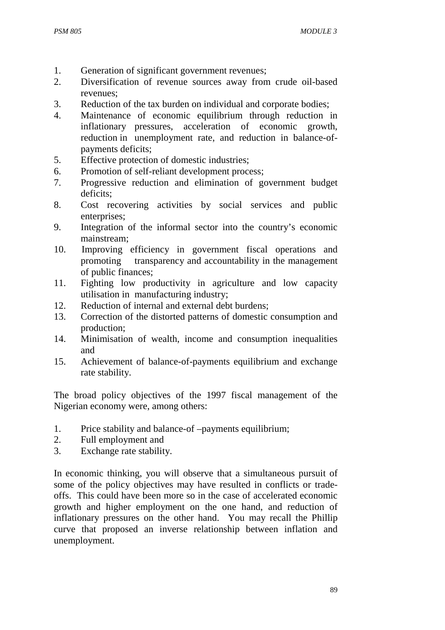- 1. Generation of significant government revenues;
- 2. Diversification of revenue sources away from crude oil-based revenues;
- 3. Reduction of the tax burden on individual and corporate bodies;
- 4. Maintenance of economic equilibrium through reduction in inflationary pressures, acceleration of economic growth, reduction in unemployment rate, and reduction in balance-ofpayments deficits;
- 5. Effective protection of domestic industries;
- 6. Promotion of self-reliant development process;
- 7. Progressive reduction and elimination of government budget deficits;
- 8. Cost recovering activities by social services and public enterprises;
- 9. Integration of the informal sector into the country's economic mainstream;
- 10. Improving efficiency in government fiscal operations and promoting transparency and accountability in the management of public finances;
- 11. Fighting low productivity in agriculture and low capacity utilisation in manufacturing industry;
- 12. Reduction of internal and external debt burdens;
- 13. Correction of the distorted patterns of domestic consumption and production;
- 14. Minimisation of wealth, income and consumption inequalities and
- 15. Achievement of balance-of-payments equilibrium and exchange rate stability.

The broad policy objectives of the 1997 fiscal management of the Nigerian economy were, among others:

- 1. Price stability and balance-of –payments equilibrium;
- 2. Full employment and
- 3. Exchange rate stability.

In economic thinking, you will observe that a simultaneous pursuit of some of the policy objectives may have resulted in conflicts or tradeoffs. This could have been more so in the case of accelerated economic growth and higher employment on the one hand, and reduction of inflationary pressures on the other hand. You may recall the Phillip curve that proposed an inverse relationship between inflation and unemployment.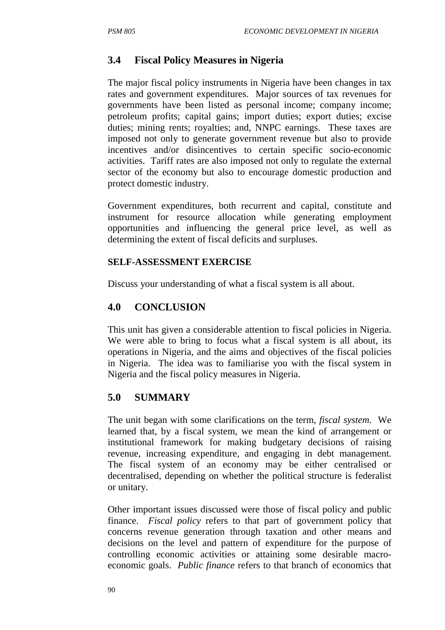## **3.4 Fiscal Policy Measures in Nigeria**

The major fiscal policy instruments in Nigeria have been changes in tax rates and government expenditures. Major sources of tax revenues for governments have been listed as personal income; company income; petroleum profits; capital gains; import duties; export duties; excise duties; mining rents; royalties; and, NNPC earnings. These taxes are imposed not only to generate government revenue but also to provide incentives and/or disincentives to certain specific socio-economic activities. Tariff rates are also imposed not only to regulate the external sector of the economy but also to encourage domestic production and protect domestic industry.

Government expenditures, both recurrent and capital, constitute and instrument for resource allocation while generating employment opportunities and influencing the general price level, as well as determining the extent of fiscal deficits and surpluses.

#### **SELF-ASSESSMENT EXERCISE**

Discuss your understanding of what a fiscal system is all about.

## **4.0 CONCLUSION**

This unit has given a considerable attention to fiscal policies in Nigeria. We were able to bring to focus what a fiscal system is all about, its operations in Nigeria, and the aims and objectives of the fiscal policies in Nigeria. The idea was to familiarise you with the fiscal system in Nigeria and the fiscal policy measures in Nigeria.

#### **5.0 SUMMARY**

The unit began with some clarifications on the term, *fiscal system*. We learned that, by a fiscal system, we mean the kind of arrangement or institutional framework for making budgetary decisions of raising revenue, increasing expenditure, and engaging in debt management. The fiscal system of an economy may be either centralised or decentralised, depending on whether the political structure is federalist or unitary.

Other important issues discussed were those of fiscal policy and public finance. *Fiscal policy* refers to that part of government policy that concerns revenue generation through taxation and other means and decisions on the level and pattern of expenditure for the purpose of controlling economic activities or attaining some desirable macroeconomic goals. *Public finance* refers to that branch of economics that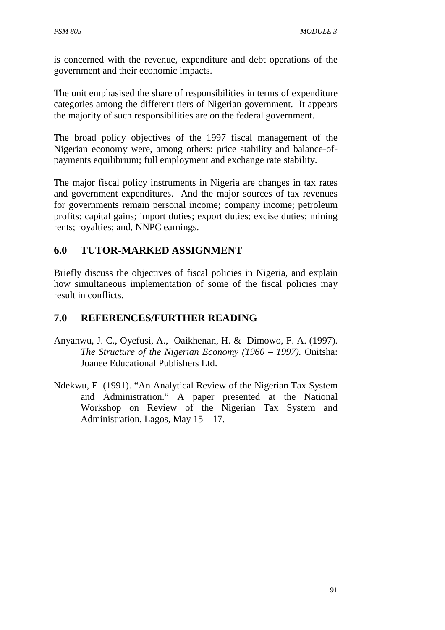is concerned with the revenue, expenditure and debt operations of the government and their economic impacts.

The unit emphasised the share of responsibilities in terms of expenditure categories among the different tiers of Nigerian government. It appears the majority of such responsibilities are on the federal government.

The broad policy objectives of the 1997 fiscal management of the Nigerian economy were, among others: price stability and balance-ofpayments equilibrium; full employment and exchange rate stability.

The major fiscal policy instruments in Nigeria are changes in tax rates and government expenditures. And the major sources of tax revenues for governments remain personal income; company income; petroleum profits; capital gains; import duties; export duties; excise duties; mining rents; royalties; and, NNPC earnings.

## **6.0 TUTOR-MARKED ASSIGNMENT**

Briefly discuss the objectives of fiscal policies in Nigeria, and explain how simultaneous implementation of some of the fiscal policies may result in conflicts.

#### **7.0 REFERENCES/FURTHER READING**

- Anyanwu, J. C., Oyefusi, A., Oaikhenan, H. & Dimowo, F. A. (1997). *The Structure of the Nigerian Economy (1960 – 1997).* Onitsha: Joanee Educational Publishers Ltd.
- Ndekwu, E. (1991). "An Analytical Review of the Nigerian Tax System and Administration." A paper presented at the National Workshop on Review of the Nigerian Tax System and Administration, Lagos, May 15 – 17.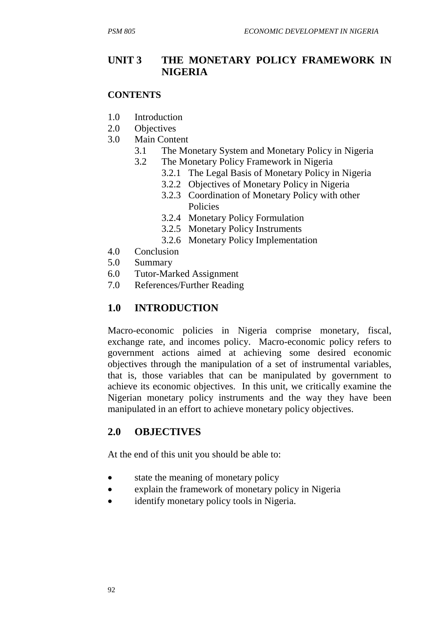#### **UNIT 3 THE MONETARY POLICY FRAMEWORK IN NIGERIA**

#### **CONTENTS**

- 1.0 Introduction
- 2.0 Objectives
- 3.0 Main Content
	- 3.1 The Monetary System and Monetary Policy in Nigeria
	- 3.2 The Monetary Policy Framework in Nigeria
		- 3.2.1 The Legal Basis of Monetary Policy in Nigeria
		- 3.2.2 Objectives of Monetary Policy in Nigeria
		- 3.2.3 Coordination of Monetary Policy with other Policies
		- 3.2.4 Monetary Policy Formulation
		- 3.2.5 Monetary Policy Instruments
		- 3.2.6 Monetary Policy Implementation
- 4.0 Conclusion
- 5.0 Summary
- 6.0 Tutor-Marked Assignment
- 7.0 References/Further Reading

# **1.0 INTRODUCTION**

Macro-economic policies in Nigeria comprise monetary, fiscal, exchange rate, and incomes policy. Macro-economic policy refers to government actions aimed at achieving some desired economic objectives through the manipulation of a set of instrumental variables, that is, those variables that can be manipulated by government to achieve its economic objectives. In this unit, we critically examine the Nigerian monetary policy instruments and the way they have been manipulated in an effort to achieve monetary policy objectives.

#### **2.0 OBJECTIVES**

At the end of this unit you should be able to:

- state the meaning of monetary policy
- explain the framework of monetary policy in Nigeria
- identify monetary policy tools in Nigeria.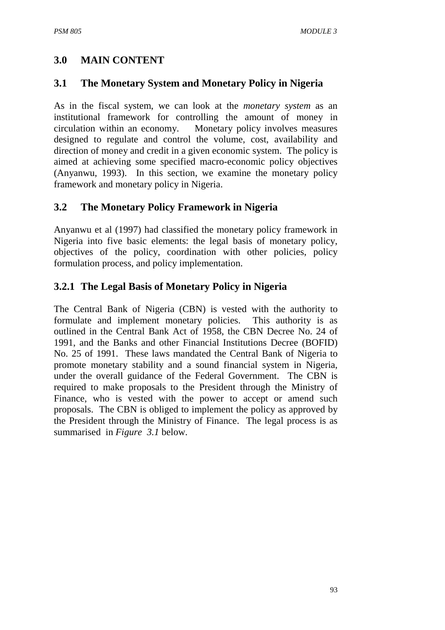## **3.0 MAIN CONTENT**

#### **3.1 The Monetary System and Monetary Policy in Nigeria**

As in the fiscal system, we can look at the *monetary system* as an institutional framework for controlling the amount of money in circulation within an economy. Monetary policy involves measures designed to regulate and control the volume, cost, availability and direction of money and credit in a given economic system. The policy is aimed at achieving some specified macro-economic policy objectives (Anyanwu, 1993). In this section, we examine the monetary policy framework and monetary policy in Nigeria.

#### **3.2 The Monetary Policy Framework in Nigeria**

Anyanwu et al (1997) had classified the monetary policy framework in Nigeria into five basic elements: the legal basis of monetary policy, objectives of the policy, coordination with other policies, policy formulation process, and policy implementation.

#### **3.2.1 The Legal Basis of Monetary Policy in Nigeria**

The Central Bank of Nigeria (CBN) is vested with the authority to formulate and implement monetary policies. This authority is as outlined in the Central Bank Act of 1958, the CBN Decree No. 24 of 1991, and the Banks and other Financial Institutions Decree (BOFID) No. 25 of 1991. These laws mandated the Central Bank of Nigeria to promote monetary stability and a sound financial system in Nigeria, under the overall guidance of the Federal Government. The CBN is required to make proposals to the President through the Ministry of Finance, who is vested with the power to accept or amend such proposals. The CBN is obliged to implement the policy as approved by the President through the Ministry of Finance. The legal process is as summarised in *Figure 3.1* below.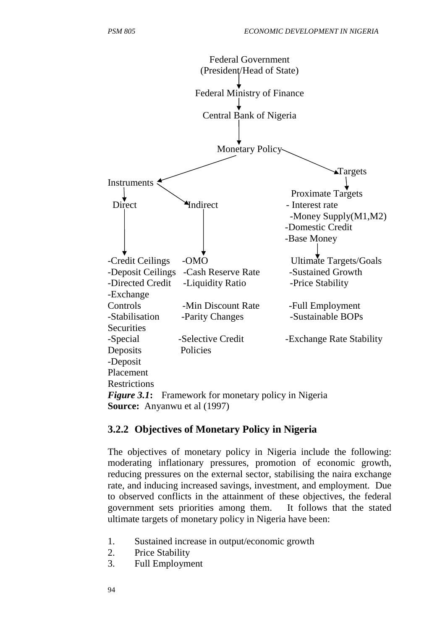

#### **3.2.2 Objectives of Monetary Policy in Nigeria**

The objectives of monetary policy in Nigeria include the following: moderating inflationary pressures, promotion of economic growth, reducing pressures on the external sector, stabilising the naira exchange rate, and inducing increased savings, investment, and employment. Due to observed conflicts in the attainment of these objectives, the federal government sets priorities among them. It follows that the stated ultimate targets of monetary policy in Nigeria have been:

- 1. Sustained increase in output/economic growth
- 2. Price Stability
- 3. Full Employment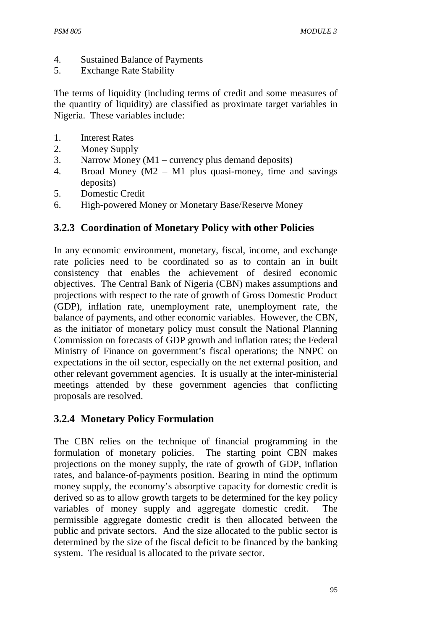- 4. Sustained Balance of Payments
- 5. Exchange Rate Stability

The terms of liquidity (including terms of credit and some measures of the quantity of liquidity) are classified as proximate target variables in Nigeria. These variables include:

- 1. Interest Rates
- 2. Money Supply
- 3. Narrow Money (M1 currency plus demand deposits)
- 4. Broad Money (M2 M1 plus quasi-money, time and savings deposits)
- 5. Domestic Credit
- 6. High-powered Money or Monetary Base/Reserve Money

#### **3.2.3 Coordination of Monetary Policy with other Policies**

In any economic environment, monetary, fiscal, income, and exchange rate policies need to be coordinated so as to contain an in built consistency that enables the achievement of desired economic objectives. The Central Bank of Nigeria (CBN) makes assumptions and projections with respect to the rate of growth of Gross Domestic Product (GDP), inflation rate, unemployment rate, unemployment rate, the balance of payments, and other economic variables. However, the CBN, as the initiator of monetary policy must consult the National Planning Commission on forecasts of GDP growth and inflation rates; the Federal Ministry of Finance on government's fiscal operations; the NNPC on expectations in the oil sector, especially on the net external position, and other relevant government agencies. It is usually at the inter-ministerial meetings attended by these government agencies that conflicting proposals are resolved.

#### **3.2.4 Monetary Policy Formulation**

The CBN relies on the technique of financial programming in the formulation of monetary policies. The starting point CBN makes projections on the money supply, the rate of growth of GDP, inflation rates, and balance-of-payments position. Bearing in mind the optimum money supply, the economy's absorptive capacity for domestic credit is derived so as to allow growth targets to be determined for the key policy variables of money supply and aggregate domestic credit. The permissible aggregate domestic credit is then allocated between the public and private sectors. And the size allocated to the public sector is determined by the size of the fiscal deficit to be financed by the banking system. The residual is allocated to the private sector.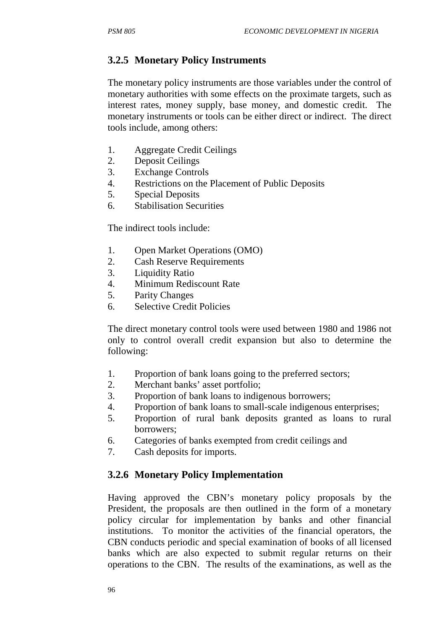# **3.2.5 Monetary Policy Instruments**

The monetary policy instruments are those variables under the control of monetary authorities with some effects on the proximate targets, such as interest rates, money supply, base money, and domestic credit. The monetary instruments or tools can be either direct or indirect. The direct tools include, among others:

- 1. Aggregate Credit Ceilings
- 2. Deposit Ceilings
- 3. Exchange Controls
- 4. Restrictions on the Placement of Public Deposits
- 5. Special Deposits
- 6. Stabilisation Securities

The indirect tools include:

- 1. Open Market Operations (OMO)
- 2. Cash Reserve Requirements
- 3. Liquidity Ratio
- 4. Minimum Rediscount Rate
- 5. Parity Changes
- 6. Selective Credit Policies

The direct monetary control tools were used between 1980 and 1986 not only to control overall credit expansion but also to determine the following:

- 1. Proportion of bank loans going to the preferred sectors;
- 2. Merchant banks' asset portfolio;
- 3. Proportion of bank loans to indigenous borrowers;
- 4. Proportion of bank loans to small-scale indigenous enterprises;
- 5. Proportion of rural bank deposits granted as loans to rural borrowers;
- 6. Categories of banks exempted from credit ceilings and
- 7. Cash deposits for imports.

# **3.2.6 Monetary Policy Implementation**

Having approved the CBN's monetary policy proposals by the President, the proposals are then outlined in the form of a monetary policy circular for implementation by banks and other financial institutions. To monitor the activities of the financial operators, the CBN conducts periodic and special examination of books of all licensed banks which are also expected to submit regular returns on their operations to the CBN. The results of the examinations, as well as the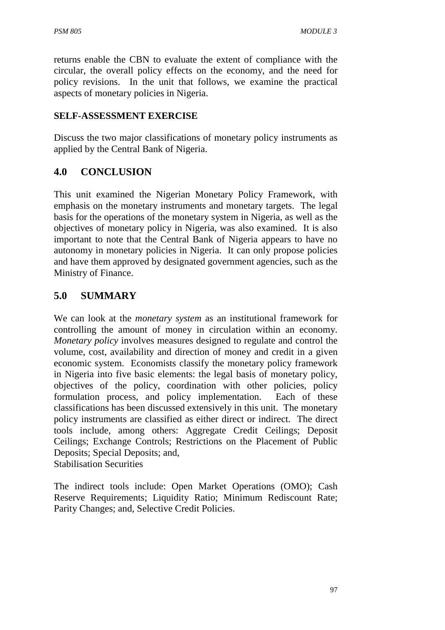returns enable the CBN to evaluate the extent of compliance with the circular, the overall policy effects on the economy, and the need for policy revisions. In the unit that follows, we examine the practical aspects of monetary policies in Nigeria.

#### **SELF-ASSESSMENT EXERCISE**

Discuss the two major classifications of monetary policy instruments as applied by the Central Bank of Nigeria.

#### **4.0 CONCLUSION**

This unit examined the Nigerian Monetary Policy Framework, with emphasis on the monetary instruments and monetary targets. The legal basis for the operations of the monetary system in Nigeria, as well as the objectives of monetary policy in Nigeria, was also examined. It is also important to note that the Central Bank of Nigeria appears to have no autonomy in monetary policies in Nigeria. It can only propose policies and have them approved by designated government agencies, such as the Ministry of Finance.

#### **5.0 SUMMARY**

We can look at the *monetary system* as an institutional framework for controlling the amount of money in circulation within an economy. *Monetary policy* involves measures designed to regulate and control the volume, cost, availability and direction of money and credit in a given economic system. Economists classify the monetary policy framework in Nigeria into five basic elements: the legal basis of monetary policy, objectives of the policy, coordination with other policies, policy formulation process, and policy implementation. Each of these classifications has been discussed extensively in this unit. The monetary policy instruments are classified as either direct or indirect. The direct tools include, among others: Aggregate Credit Ceilings; Deposit Ceilings; Exchange Controls; Restrictions on the Placement of Public Deposits; Special Deposits; and, Stabilisation Securities

The indirect tools include: Open Market Operations (OMO); Cash Reserve Requirements; Liquidity Ratio; Minimum Rediscount Rate; Parity Changes; and, Selective Credit Policies.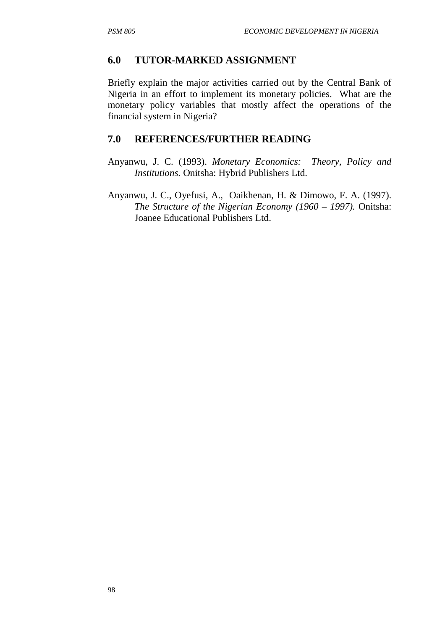#### **6.0 TUTOR-MARKED ASSIGNMENT**

Briefly explain the major activities carried out by the Central Bank of Nigeria in an effort to implement its monetary policies. What are the monetary policy variables that mostly affect the operations of the financial system in Nigeria?

## **7.0 REFERENCES/FURTHER READING**

- Anyanwu, J. C. (1993). *Monetary Economics: Theory, Policy and Institutions.* Onitsha: Hybrid Publishers Ltd.
- Anyanwu, J. C., Oyefusi, A., Oaikhenan, H. & Dimowo, F. A. (1997). *The Structure of the Nigerian Economy (1960 – 1997).* Onitsha: Joanee Educational Publishers Ltd.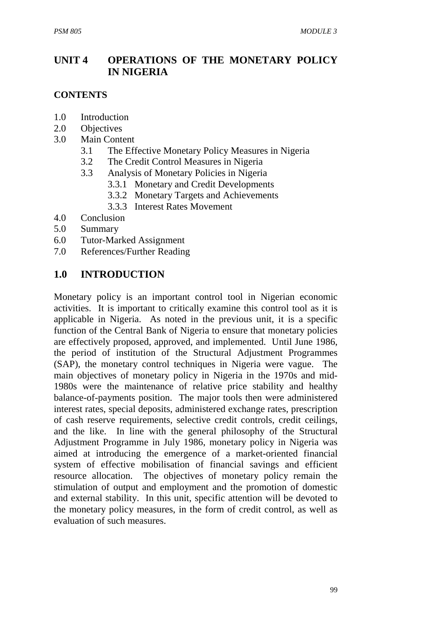# **UNIT 4 OPERATIONS OF THE MONETARY POLICY IN NIGERIA**

#### **CONTENTS**

- 1.0 Introduction
- 2.0 Objectives
- 3.0 Main Content
	- 3.1 The Effective Monetary Policy Measures in Nigeria
	- 3.2 The Credit Control Measures in Nigeria
	- 3.3 Analysis of Monetary Policies in Nigeria
		- 3.3.1 Monetary and Credit Developments
		- 3.3.2 Monetary Targets and Achievements
		- 3.3.3 Interest Rates Movement
- 4.0 Conclusion
- 5.0 Summary
- 6.0 Tutor-Marked Assignment
- 7.0 References/Further Reading

## **1.0 INTRODUCTION**

Monetary policy is an important control tool in Nigerian economic activities. It is important to critically examine this control tool as it is applicable in Nigeria. As noted in the previous unit, it is a specific function of the Central Bank of Nigeria to ensure that monetary policies are effectively proposed, approved, and implemented. Until June 1986, the period of institution of the Structural Adjustment Programmes (SAP), the monetary control techniques in Nigeria were vague. The main objectives of monetary policy in Nigeria in the 1970s and mid-1980s were the maintenance of relative price stability and healthy balance-of-payments position. The major tools then were administered interest rates, special deposits, administered exchange rates, prescription of cash reserve requirements, selective credit controls, credit ceilings, and the like. In line with the general philosophy of the Structural Adjustment Programme in July 1986, monetary policy in Nigeria was aimed at introducing the emergence of a market-oriented financial system of effective mobilisation of financial savings and efficient resource allocation. The objectives of monetary policy remain the stimulation of output and employment and the promotion of domestic and external stability. In this unit, specific attention will be devoted to the monetary policy measures, in the form of credit control, as well as evaluation of such measures.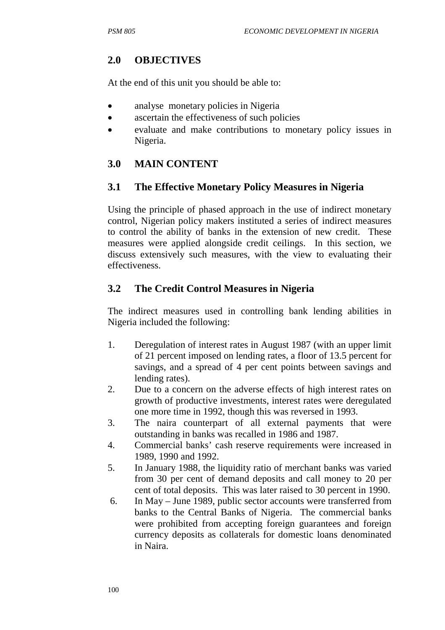# **2.0 OBJECTIVES**

At the end of this unit you should be able to:

- analyse monetary policies in Nigeria
- ascertain the effectiveness of such policies
- evaluate and make contributions to monetary policy issues in Nigeria.

# **3.0 MAIN CONTENT**

#### **3.1 The Effective Monetary Policy Measures in Nigeria**

Using the principle of phased approach in the use of indirect monetary control, Nigerian policy makers instituted a series of indirect measures to control the ability of banks in the extension of new credit. These measures were applied alongside credit ceilings. In this section, we discuss extensively such measures, with the view to evaluating their effectiveness.

# **3.2 The Credit Control Measures in Nigeria**

The indirect measures used in controlling bank lending abilities in Nigeria included the following:

- 1. Deregulation of interest rates in August 1987 (with an upper limit of 21 percent imposed on lending rates, a floor of 13.5 percent for savings, and a spread of 4 per cent points between savings and lending rates).
- 2. Due to a concern on the adverse effects of high interest rates on growth of productive investments, interest rates were deregulated one more time in 1992, though this was reversed in 1993.
- 3. The naira counterpart of all external payments that were outstanding in banks was recalled in 1986 and 1987.
- 4. Commercial banks' cash reserve requirements were increased in 1989, 1990 and 1992.
- 5. In January 1988, the liquidity ratio of merchant banks was varied from 30 per cent of demand deposits and call money to 20 per cent of total deposits. This was later raised to 30 percent in 1990.
- 6. In May June 1989, public sector accounts were transferred from banks to the Central Banks of Nigeria. The commercial banks were prohibited from accepting foreign guarantees and foreign currency deposits as collaterals for domestic loans denominated in Naira.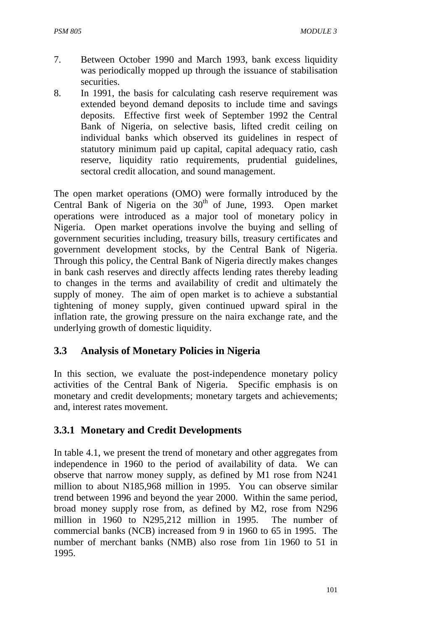- 7. Between October 1990 and March 1993, bank excess liquidity was periodically mopped up through the issuance of stabilisation securities.
- 8. In 1991, the basis for calculating cash reserve requirement was extended beyond demand deposits to include time and savings deposits. Effective first week of September 1992 the Central Bank of Nigeria, on selective basis, lifted credit ceiling on individual banks which observed its guidelines in respect of statutory minimum paid up capital, capital adequacy ratio, cash reserve, liquidity ratio requirements, prudential guidelines, sectoral credit allocation, and sound management.

The open market operations (OMO) were formally introduced by the Central Bank of Nigeria on the 30<sup>th</sup> of June, 1993. Open market operations were introduced as a major tool of monetary policy in Nigeria. Open market operations involve the buying and selling of government securities including, treasury bills, treasury certificates and government development stocks, by the Central Bank of Nigeria. Through this policy, the Central Bank of Nigeria directly makes changes in bank cash reserves and directly affects lending rates thereby leading to changes in the terms and availability of credit and ultimately the supply of money. The aim of open market is to achieve a substantial tightening of money supply, given continued upward spiral in the inflation rate, the growing pressure on the naira exchange rate, and the underlying growth of domestic liquidity.

#### **3.3 Analysis of Monetary Policies in Nigeria**

In this section, we evaluate the post-independence monetary policy activities of the Central Bank of Nigeria. Specific emphasis is on monetary and credit developments; monetary targets and achievements; and, interest rates movement.

#### **3.3.1 Monetary and Credit Developments**

In table 4.1, we present the trend of monetary and other aggregates from independence in 1960 to the period of availability of data. We can observe that narrow money supply, as defined by M1 rose from N241 million to about N185,968 million in 1995. You can observe similar trend between 1996 and beyond the year 2000. Within the same period, broad money supply rose from, as defined by M2, rose from N296 million in 1960 to N295,212 million in 1995. The number of commercial banks (NCB) increased from 9 in 1960 to 65 in 1995. The number of merchant banks (NMB) also rose from 1in 1960 to 51 in 1995.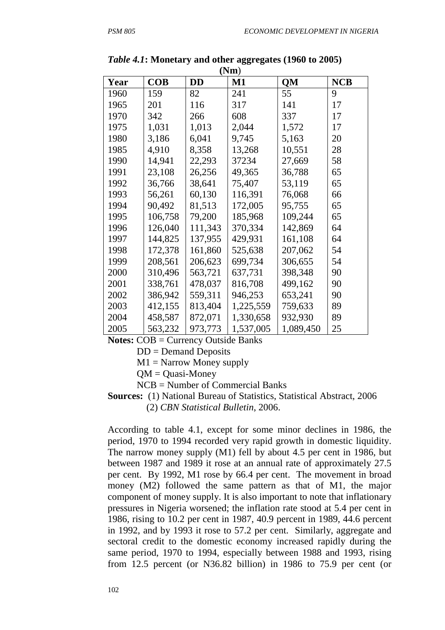| (Nm) |            |           |           |           |            |  |  |
|------|------------|-----------|-----------|-----------|------------|--|--|
| Year | <b>COB</b> | <b>DD</b> | $M1$      | <b>QM</b> | <b>NCB</b> |  |  |
| 1960 | 159        | 82        | 241       | 55        | 9          |  |  |
| 1965 | 201        | 116       | 317       | 141       | 17         |  |  |
| 1970 | 342        | 266       | 608       | 337       | 17         |  |  |
| 1975 | 1,031      | 1,013     | 2,044     | 1,572     | 17         |  |  |
| 1980 | 3,186      | 6,041     | 9,745     | 5,163     | 20         |  |  |
| 1985 | 4,910      | 8,358     | 13,268    | 10,551    | 28         |  |  |
| 1990 | 14,941     | 22,293    | 37234     | 27,669    | 58         |  |  |
| 1991 | 23,108     | 26,256    | 49,365    | 36,788    | 65         |  |  |
| 1992 | 36,766     | 38,641    | 75,407    | 53,119    | 65         |  |  |
| 1993 | 56,261     | 60,130    | 116,391   | 76,068    | 66         |  |  |
| 1994 | 90,492     | 81,513    | 172,005   | 95,755    | 65         |  |  |
| 1995 | 106,758    | 79,200    | 185,968   | 109,244   | 65         |  |  |
| 1996 | 126,040    | 111,343   | 370,334   | 142,869   | 64         |  |  |
| 1997 | 144,825    | 137,955   | 429,931   | 161,108   | 64         |  |  |
| 1998 | 172,378    | 161,860   | 525,638   | 207,062   | 54         |  |  |
| 1999 | 208,561    | 206,623   | 699,734   | 306,655   | 54         |  |  |
| 2000 | 310,496    | 563,721   | 637,731   | 398,348   | 90         |  |  |
| 2001 | 338,761    | 478,037   | 816,708   | 499,162   | 90         |  |  |
| 2002 | 386,942    | 559,311   | 946,253   | 653,241   | 90         |  |  |
| 2003 | 412,155    | 813,404   | 1,225,559 | 759,633   | 89         |  |  |
| 2004 | 458,587    | 872,071   | 1,330,658 | 932,930   | 89         |  |  |
| 2005 | 563,232    | 973,773   | 1,537,005 | 1,089,450 | 25         |  |  |

*Table 4.1***: Monetary and other aggregates (1960 to 2005)** 

**Notes:** COB = Currency Outside Banks

DD = Demand Deposits

 $M1 =$  Narrow Money supply

 $OM = Quasi-Money$ 

NCB = Number of Commercial Banks

**Sources:** (1) National Bureau of Statistics, Statistical Abstract, 2006 (2) *CBN Statistical Bulletin*, 2006.

According to table 4.1, except for some minor declines in 1986, the period, 1970 to 1994 recorded very rapid growth in domestic liquidity. The narrow money supply (M1) fell by about 4.5 per cent in 1986, but between 1987 and 1989 it rose at an annual rate of approximately 27.5 per cent. By 1992, M1 rose by 66.4 per cent. The movement in broad money (M2) followed the same pattern as that of M1, the major component of money supply. It is also important to note that inflationary pressures in Nigeria worsened; the inflation rate stood at 5.4 per cent in 1986, rising to 10.2 per cent in 1987, 40.9 percent in 1989, 44.6 percent in 1992, and by 1993 it rose to 57.2 per cent. Similarly, aggregate and sectoral credit to the domestic economy increased rapidly during the same period, 1970 to 1994, especially between 1988 and 1993, rising from 12.5 percent (or N36.82 billion) in 1986 to 75.9 per cent (or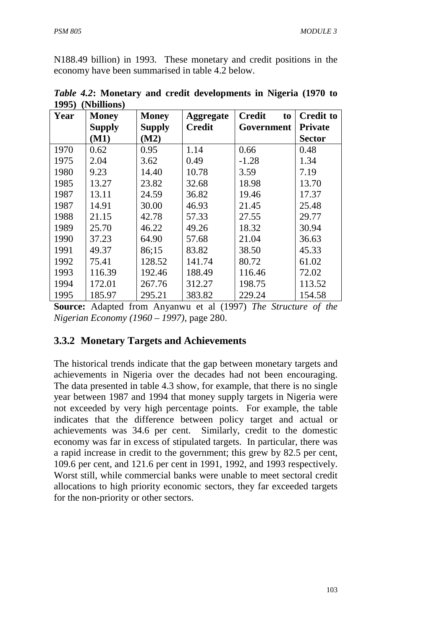N188.49 billion) in 1993. These monetary and credit positions in the economy have been summarised in table 4.2 below.

| Year | (1101110110)<br><b>Money</b> | <b>Money</b>  | <b>Aggregate</b> | <b>Credit</b><br>to | <b>Credit to</b> |
|------|------------------------------|---------------|------------------|---------------------|------------------|
|      | <b>Supply</b>                | <b>Supply</b> | <b>Credit</b>    | Government          | <b>Private</b>   |
|      | (M1)                         | (M2)          |                  |                     | <b>Sector</b>    |
| 1970 | 0.62                         | 0.95          | 1.14             | 0.66                | 0.48             |
| 1975 | 2.04                         | 3.62          | 0.49             | $-1.28$             | 1.34             |
| 1980 | 9.23                         | 14.40         | 10.78            | 3.59                | 7.19             |
| 1985 | 13.27                        | 23.82         | 32.68            | 18.98               | 13.70            |
| 1987 | 13.11                        | 24.59         | 36.82            | 19.46               | 17.37            |
| 1987 | 14.91                        | 30.00         | 46.93            | 21.45               | 25.48            |
| 1988 | 21.15                        | 42.78         | 57.33            | 27.55               | 29.77            |
| 1989 | 25.70                        | 46.22         | 49.26            | 18.32               | 30.94            |
| 1990 | 37.23                        | 64.90         | 57.68            | 21.04               | 36.63            |
| 1991 | 49.37                        | 86;15         | 83.82            | 38.50               | 45.33            |
| 1992 | 75.41                        | 128.52        | 141.74           | 80.72               | 61.02            |
| 1993 | 116.39                       | 192.46        | 188.49           | 116.46              | 72.02            |
| 1994 | 172.01                       | 267.76        | 312.27           | 198.75              | 113.52           |
| 1995 | 185.97                       | 295.21        | 383.82           | 229.24              | 154.58           |

*Table 4.2***: Monetary and credit developments in Nigeria (1970 to 1995) (Nbillions)**

**Source:** Adapted from Anyanwu et al (1997) *The Structure of the Nigerian Economy (1960 – 1997)*, page 280.

### **3.3.2 Monetary Targets and Achievements**

The historical trends indicate that the gap between monetary targets and achievements in Nigeria over the decades had not been encouraging. The data presented in table 4.3 show, for example, that there is no single year between 1987 and 1994 that money supply targets in Nigeria were not exceeded by very high percentage points. For example, the table indicates that the difference between policy target and actual or achievements was 34.6 per cent. Similarly, credit to the domestic economy was far in excess of stipulated targets. In particular, there was a rapid increase in credit to the government; this grew by 82.5 per cent, 109.6 per cent, and 121.6 per cent in 1991, 1992, and 1993 respectively. Worst still, while commercial banks were unable to meet sectoral credit allocations to high priority economic sectors, they far exceeded targets for the non-priority or other sectors.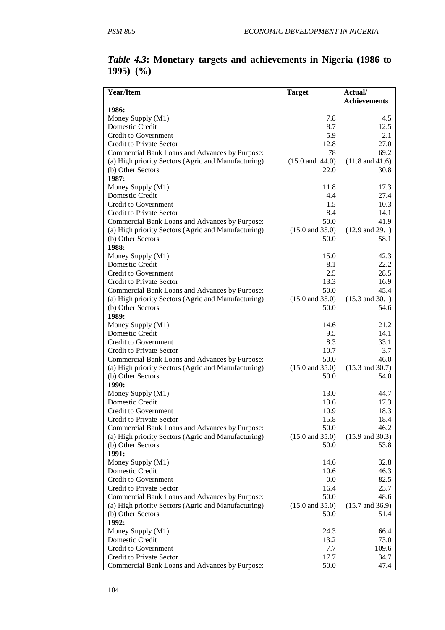| <b>Year/Item</b>                                                         | <b>Target</b>                      | Actual/                            |
|--------------------------------------------------------------------------|------------------------------------|------------------------------------|
|                                                                          |                                    | <b>Achievements</b>                |
| 1986:<br>Money Supply (M1)                                               |                                    | 4.5                                |
| Domestic Credit                                                          | 7.8<br>8.7                         | 12.5                               |
| <b>Credit to Government</b>                                              | 5.9                                | 2.1                                |
| <b>Credit to Private Sector</b>                                          | 12.8                               | 27.0                               |
| Commercial Bank Loans and Advances by Purpose:                           | 78                                 | 69.2                               |
| (a) High priority Sectors (Agric and Manufacturing)                      | $(15.0 \text{ and } 44.0)$         | $(11.8$ and $41.6)$                |
| (b) Other Sectors                                                        | 22.0                               | 30.8                               |
| 1987:                                                                    |                                    |                                    |
| Money Supply (M1)                                                        | 11.8                               | 17.3                               |
| Domestic Credit                                                          | 4.4                                | 27.4                               |
| <b>Credit to Government</b>                                              | 1.5                                | 10.3                               |
| <b>Credit to Private Sector</b>                                          | 8.4                                | 14.1                               |
| Commercial Bank Loans and Advances by Purpose:                           | 50.0                               | 41.9                               |
| (a) High priority Sectors (Agric and Manufacturing)                      | $(15.0 \text{ and } 35.0)$         | $(12.9 \text{ and } 29.1)$         |
| (b) Other Sectors                                                        | 50.0                               | 58.1                               |
| 1988:                                                                    |                                    |                                    |
| Money Supply (M1)                                                        | 15.0                               | 42.3                               |
| Domestic Credit                                                          | 8.1                                | 22.2                               |
| <b>Credit to Government</b>                                              | 2.5                                | 28.5                               |
| <b>Credit to Private Sector</b>                                          | 13.3                               | 16.9                               |
| Commercial Bank Loans and Advances by Purpose:                           | 50.0                               | 45.4                               |
| (a) High priority Sectors (Agric and Manufacturing)                      | $(15.0 \text{ and } 35.0)$         | $(15.3 \text{ and } 30.1)$         |
| (b) Other Sectors                                                        | 50.0                               | 54.6                               |
| 1989:                                                                    |                                    |                                    |
| Money Supply (M1)                                                        | 14.6                               | 21.2                               |
| Domestic Credit                                                          | 9.5                                | 14.1                               |
| <b>Credit to Government</b>                                              | 8.3                                | 33.1                               |
| <b>Credit to Private Sector</b>                                          | 10.7                               | 3.7                                |
| Commercial Bank Loans and Advances by Purpose:                           | 50.0                               | 46.0                               |
| (a) High priority Sectors (Agric and Manufacturing)<br>(b) Other Sectors | $(15.0 \text{ and } 35.0)$<br>50.0 | $(15.3 \text{ and } 30.7)$<br>54.0 |
| 1990:                                                                    |                                    |                                    |
| Money Supply (M1)                                                        | 13.0                               | 44.7                               |
| Domestic Credit                                                          | 13.6                               | 17.3                               |
| <b>Credit to Government</b>                                              | 10.9                               | 18.3                               |
| Credit to Private Sector                                                 | 15.8                               | 18.4                               |
| Commercial Bank Loans and Advances by Purpose:                           | 50.0                               | 46.2                               |
| (a) High priority Sectors (Agric and Manufacturing)                      | $(15.0 \text{ and } 35.0)$         | $(15.9 \text{ and } 30.3)$         |
| (b) Other Sectors                                                        | 50.0                               | 53.8                               |
| 1991:                                                                    |                                    |                                    |
| Money Supply (M1)                                                        | 14.6                               | 32.8                               |
| Domestic Credit                                                          | 10.6                               | 46.3                               |
| Credit to Government                                                     | 0.0                                | 82.5                               |
| <b>Credit to Private Sector</b>                                          | 16.4                               | 23.7                               |
| Commercial Bank Loans and Advances by Purpose:                           | 50.0                               | 48.6                               |
| (a) High priority Sectors (Agric and Manufacturing)                      | $(15.0 \text{ and } 35.0)$         | $(15.7 \text{ and } 36.9)$         |
| (b) Other Sectors                                                        | 50.0                               | 51.4                               |
| 1992:                                                                    |                                    |                                    |
| Money Supply (M1)                                                        | 24.3                               | 66.4                               |
| Domestic Credit                                                          | 13.2                               | 73.0                               |
| <b>Credit to Government</b>                                              | 7.7                                | 109.6                              |
| Credit to Private Sector                                                 | 17.7                               | 34.7                               |
| Commercial Bank Loans and Advances by Purpose:                           | 50.0                               | 47.4                               |

# *Table 4.3***: Monetary targets and achievements in Nigeria (1986 to 1995) (%)**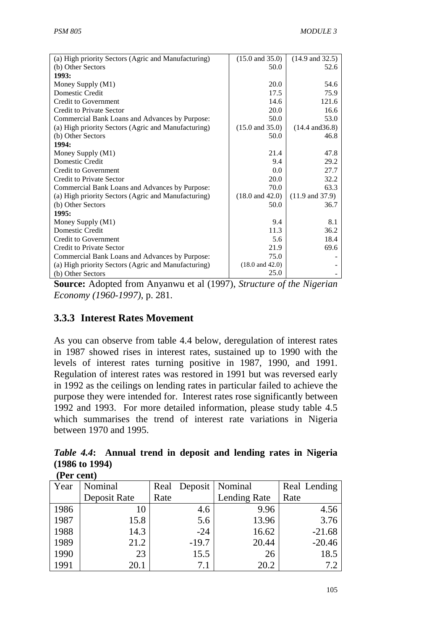| (a) High priority Sectors (Agric and Manufacturing) | $(15.0 \text{ and } 35.0)$ | $(14.9 \text{ and } 32.5)$ |
|-----------------------------------------------------|----------------------------|----------------------------|
| (b) Other Sectors                                   | 50.0                       | 52.6                       |
| 1993:                                               |                            |                            |
| Money Supply (M1)                                   | 20.0                       | 54.6                       |
| Domestic Credit                                     | 17.5                       | 75.9                       |
| <b>Credit to Government</b>                         | 14.6                       | 121.6                      |
| <b>Credit to Private Sector</b>                     | 20.0                       | 16.6                       |
| Commercial Bank Loans and Advances by Purpose:      | 50.0                       | 53.0                       |
| (a) High priority Sectors (Agric and Manufacturing) | $(15.0 \text{ and } 35.0)$ | $(14.4 \text{ and } 36.8)$ |
| (b) Other Sectors                                   | 50.0                       | 46.8                       |
| 1994:                                               |                            |                            |
| Money Supply (M1)                                   | 21.4                       | 47.8                       |
| Domestic Credit                                     | 9.4                        | 29.2                       |
| <b>Credit to Government</b>                         | 0.0                        | 27.7                       |
| <b>Credit to Private Sector</b>                     | 20.0                       | 32.2                       |
| Commercial Bank Loans and Advances by Purpose:      | 70.0                       | 63.3                       |
| (a) High priority Sectors (Agric and Manufacturing) | $(18.0 \text{ and } 42.0)$ | $(11.9 \text{ and } 37.9)$ |
| (b) Other Sectors                                   | 50.0                       | 36.7                       |
| 1995:                                               |                            |                            |
| Money Supply (M1)                                   | 9.4                        | 8.1                        |
| Domestic Credit                                     | 11.3                       | 36.2                       |
| <b>Credit to Government</b>                         | 5.6                        | 18.4                       |
| <b>Credit to Private Sector</b>                     | 21.9                       | 69.6                       |
| Commercial Bank Loans and Advances by Purpose:      | 75.0                       |                            |
| (a) High priority Sectors (Agric and Manufacturing) | $(18.0 \text{ and } 42.0)$ |                            |
| (b) Other Sectors                                   | 25.0                       |                            |

**Source:** Adopted from Anyanwu et al (1997), *Structure of the Nigerian Economy (1960-1997)*, p. 281.

### **3.3.3 Interest Rates Movement**

As you can observe from table 4.4 below, deregulation of interest rates in 1987 showed rises in interest rates, sustained up to 1990 with the levels of interest rates turning positive in 1987, 1990, and 1991. Regulation of interest rates was restored in 1991 but was reversed early in 1992 as the ceilings on lending rates in particular failed to achieve the purpose they were intended for. Interest rates rose significantly between 1992 and 1993. For more detailed information, please study table 4.5 which summarises the trend of interest rate variations in Nigeria between 1970 and 1995.

*Table 4.4***: Annual trend in deposit and lending rates in Nigeria (1986 to 1994) (Per cent)**

| Year | Nominal      |      |         | Real Deposit   Nominal | Real Lending |
|------|--------------|------|---------|------------------------|--------------|
|      | Deposit Rate | Rate |         | Lending Rate           | Rate         |
| 1986 | 10           |      | 4.6     | 9.96                   | 4.56         |
| 1987 | 15.8         |      | 5.6     | 13.96                  | 3.76         |
| 1988 | 14.3         |      | $-24$   | 16.62                  | $-21.68$     |
| 1989 | 21.2         |      | $-19.7$ | 20.44                  | $-20.46$     |
| 1990 | 23           |      | 15.5    | 26                     | 18.5         |
| 1991 | 20.1         |      | 7.1     | 20.2                   | 7.2          |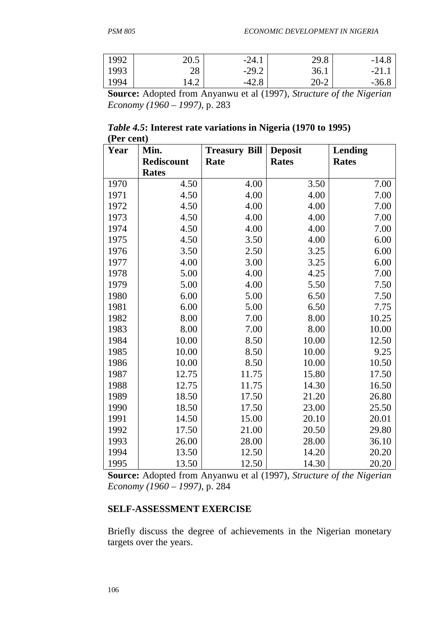| 1992 | ጎስ ድ<br>∠∪.       | $-24.1$ | 29.8     | -14.8   |
|------|-------------------|---------|----------|---------|
| 1993 | O C<br>$\angle$ O | $-29.2$ | 36.1     | $-21.$  |
| 1994 | 14.2              | $-42.8$ | $20 - 2$ | $-36.8$ |

**Source:** Adopted from Anyanwu et al (1997), *Structure of the Nigerian Economy (1960 – 1997)*, p. 283

|            | <i>Table 4.5</i> : Interest rate variations in Nigeria (1970 to 1995) |  |
|------------|-----------------------------------------------------------------------|--|
| (Per cent) |                                                                       |  |

| Year | Min.              | <b>Treasury Bill</b> | <b>Deposit</b> | <b>Lending</b> |  |
|------|-------------------|----------------------|----------------|----------------|--|
|      | <b>Rediscount</b> | Rate                 | <b>Rates</b>   | <b>Rates</b>   |  |
|      | <b>Rates</b>      |                      |                |                |  |
| 1970 | 4.50              | 4.00                 | 3.50           | 7.00           |  |
| 1971 | 4.50              | 4.00                 | 4.00           | 7.00           |  |
| 1972 | 4.50              | 4.00                 | 4.00           | 7.00           |  |
| 1973 | 4.50              | 4.00                 | 4.00           | 7.00           |  |
| 1974 | 4.50              | 4.00                 | 4.00           | 7.00           |  |
| 1975 | 4.50              | 3.50                 | 4.00           | 6.00           |  |
| 1976 | 3.50              | 2.50                 | 3.25           | 6.00           |  |
| 1977 | 4.00              | 3.00                 | 3.25           | 6.00           |  |
| 1978 | 5.00              | 4.00                 | 4.25           | 7.00           |  |
| 1979 | 5.00              | 4.00                 | 5.50           | 7.50           |  |
| 1980 | 6.00              | 5.00                 | 6.50           | 7.50           |  |
| 1981 | 6.00              | 5.00                 | 6.50           | 7.75           |  |
| 1982 | 8.00              | 7.00                 | 8.00           | 10.25          |  |
| 1983 | 8.00              | 7.00                 | 8.00           | 10.00          |  |
| 1984 | 10.00             | 8.50                 | 10.00          | 12.50          |  |
| 1985 | 10.00             | 8.50                 | 10.00          | 9.25           |  |
| 1986 | 10.00             | 8.50                 | 10.00          | 10.50          |  |
| 1987 | 12.75             | 11.75                | 15.80          | 17.50          |  |
| 1988 | 12.75             | 11.75                | 14.30          | 16.50          |  |
| 1989 | 18.50             | 17.50                | 21.20          | 26.80          |  |
| 1990 | 18.50             | 17.50                | 23.00          | 25.50          |  |
| 1991 | 14.50             | 15.00                | 20.10          | 20.01          |  |
| 1992 | 17.50             | 21.00                | 20.50          | 29.80          |  |
| 1993 | 26.00             | 28.00                | 28.00          | 36.10          |  |
| 1994 | 13.50             | 12.50                | 14.20          | 20.20          |  |
| 1995 | 13.50             | 12.50                | 14.30          | 20.20          |  |

**Source:** Adopted from Anyanwu et al (1997), *Structure of the Nigerian Economy (1960 – 1997)*, p. 284

#### **SELF-ASSESSMENT EXERCISE**

Briefly discuss the degree of achievements in the Nigerian monetary targets over the years.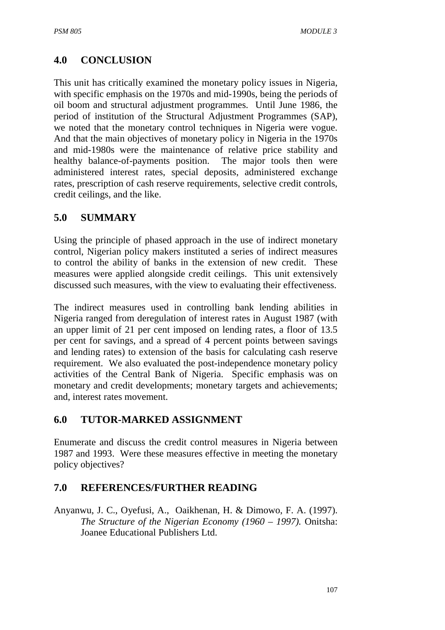# **4.0 CONCLUSION**

This unit has critically examined the monetary policy issues in Nigeria, with specific emphasis on the 1970s and mid-1990s, being the periods of oil boom and structural adjustment programmes. Until June 1986, the period of institution of the Structural Adjustment Programmes (SAP), we noted that the monetary control techniques in Nigeria were vogue. And that the main objectives of monetary policy in Nigeria in the 1970s and mid-1980s were the maintenance of relative price stability and healthy balance-of-payments position. The major tools then were administered interest rates, special deposits, administered exchange rates, prescription of cash reserve requirements, selective credit controls, credit ceilings, and the like.

#### **5.0 SUMMARY**

Using the principle of phased approach in the use of indirect monetary control, Nigerian policy makers instituted a series of indirect measures to control the ability of banks in the extension of new credit. These measures were applied alongside credit ceilings. This unit extensively discussed such measures, with the view to evaluating their effectiveness.

The indirect measures used in controlling bank lending abilities in Nigeria ranged from deregulation of interest rates in August 1987 (with an upper limit of 21 per cent imposed on lending rates, a floor of 13.5 per cent for savings, and a spread of 4 percent points between savings and lending rates) to extension of the basis for calculating cash reserve requirement. We also evaluated the post-independence monetary policy activities of the Central Bank of Nigeria. Specific emphasis was on monetary and credit developments; monetary targets and achievements; and, interest rates movement.

### **6.0 TUTOR-MARKED ASSIGNMENT**

Enumerate and discuss the credit control measures in Nigeria between 1987 and 1993. Were these measures effective in meeting the monetary policy objectives?

### **7.0 REFERENCES/FURTHER READING**

Anyanwu, J. C., Oyefusi, A., Oaikhenan, H. & Dimowo, F. A. (1997). *The Structure of the Nigerian Economy (1960 – 1997).* Onitsha: Joanee Educational Publishers Ltd.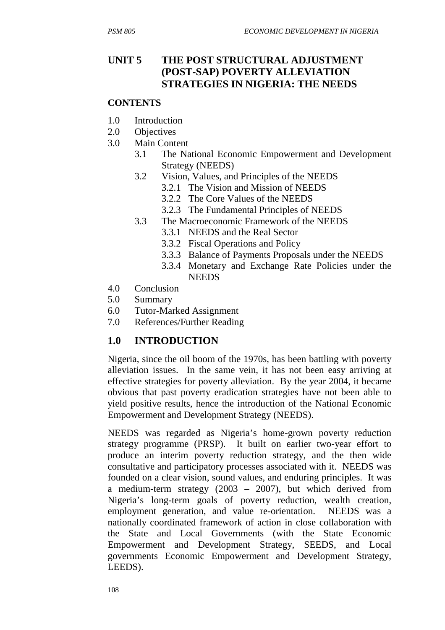# **UNIT 5 THE POST STRUCTURAL ADJUSTMENT (POST-SAP) POVERTY ALLEVIATION STRATEGIES IN NIGERIA: THE NEEDS**

#### **CONTENTS**

- 1.0 Introduction
- 2.0 Objectives
- 3.0 Main Content
	- 3.1 The National Economic Empowerment and Development Strategy (NEEDS)
		- 3.2 Vision, Values, and Principles of the NEEDS
			- 3.2.1 The Vision and Mission of NEEDS
			- 3.2.2 The Core Values of the NEEDS
			- 3.2.3 The Fundamental Principles of NEEDS
		- 3.3 The Macroeconomic Framework of the NEEDS
			- 3.3.1 NEEDS and the Real Sector
				- 3.3.2 Fiscal Operations and Policy
				- 3.3.3 Balance of Payments Proposals under the NEEDS
				- 3.3.4 Monetary and Exchange Rate Policies under the **NEEDS**
- 4.0 Conclusion
- 5.0 Summary
- 6.0 Tutor-Marked Assignment
- 7.0 References/Further Reading

### **1.0 INTRODUCTION**

Nigeria, since the oil boom of the 1970s, has been battling with poverty alleviation issues. In the same vein, it has not been easy arriving at effective strategies for poverty alleviation. By the year 2004, it became obvious that past poverty eradication strategies have not been able to yield positive results, hence the introduction of the National Economic Empowerment and Development Strategy (NEEDS).

NEEDS was regarded as Nigeria's home-grown poverty reduction strategy programme (PRSP). It built on earlier two-year effort to produce an interim poverty reduction strategy, and the then wide consultative and participatory processes associated with it. NEEDS was founded on a clear vision, sound values, and enduring principles. It was a medium-term strategy (2003 – 2007), but which derived from Nigeria's long-term goals of poverty reduction, wealth creation, employment generation, and value re-orientation. NEEDS was a nationally coordinated framework of action in close collaboration with the State and Local Governments (with the State Economic Empowerment and Development Strategy, SEEDS, and Local governments Economic Empowerment and Development Strategy, LEEDS).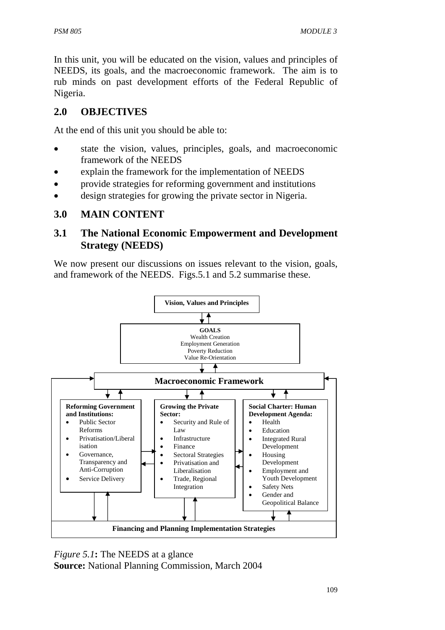In this unit, you will be educated on the vision, values and principles of NEEDS, its goals, and the macroeconomic framework. The aim is to rub minds on past development efforts of the Federal Republic of Nigeria.

# **2.0 OBJECTIVES**

At the end of this unit you should be able to:

- state the vision, values, principles, goals, and macroeconomic framework of the NEEDS
- explain the framework for the implementation of NEEDS
- provide strategies for reforming government and institutions
- design strategies for growing the private sector in Nigeria.

# **3.0 MAIN CONTENT**

### **3.1 The National Economic Empowerment and Development Strategy (NEEDS)**

We now present our discussions on issues relevant to the vision, goals, and framework of the NEEDS. Figs.5.1 and 5.2 summarise these.



*Figure 5.1***:** The NEEDS at a glance **Source:** National Planning Commission, March 2004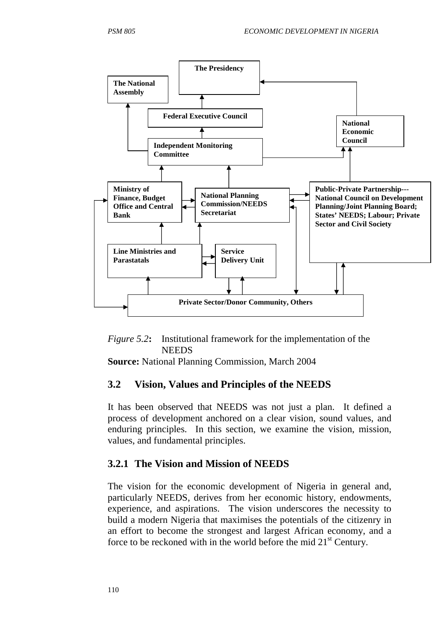



**Source:** National Planning Commission, March 2004

#### **3.2 Vision, Values and Principles of the NEEDS**

It has been observed that NEEDS was not just a plan. It defined a process of development anchored on a clear vision, sound values, and enduring principles. In this section, we examine the vision, mission, values, and fundamental principles.

### **3.2.1 The Vision and Mission of NEEDS**

The vision for the economic development of Nigeria in general and, particularly NEEDS, derives from her economic history, endowments, experience, and aspirations. The vision underscores the necessity to build a modern Nigeria that maximises the potentials of the citizenry in an effort to become the strongest and largest African economy, and a force to be reckoned with in the world before the mid  $21<sup>st</sup>$  Century.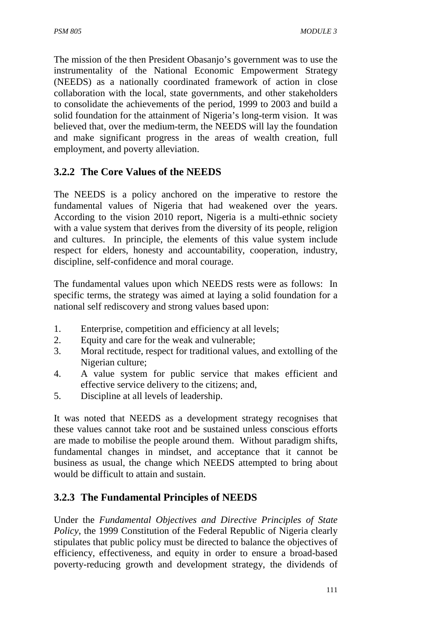The mission of the then President Obasanjo's government was to use the instrumentality of the National Economic Empowerment Strategy (NEEDS) as a nationally coordinated framework of action in close collaboration with the local, state governments, and other stakeholders to consolidate the achievements of the period, 1999 to 2003 and build a solid foundation for the attainment of Nigeria's long-term vision. It was believed that, over the medium-term, the NEEDS will lay the foundation and make significant progress in the areas of wealth creation, full employment, and poverty alleviation.

# **3.2.2 The Core Values of the NEEDS**

The NEEDS is a policy anchored on the imperative to restore the fundamental values of Nigeria that had weakened over the years. According to the vision 2010 report, Nigeria is a multi-ethnic society with a value system that derives from the diversity of its people, religion and cultures. In principle, the elements of this value system include respect for elders, honesty and accountability, cooperation, industry, discipline, self-confidence and moral courage.

The fundamental values upon which NEEDS rests were as follows: In specific terms, the strategy was aimed at laying a solid foundation for a national self rediscovery and strong values based upon:

- 1. Enterprise, competition and efficiency at all levels;
- 2. Equity and care for the weak and vulnerable;
- 3. Moral rectitude, respect for traditional values, and extolling of the Nigerian culture;
- 4. A value system for public service that makes efficient and effective service delivery to the citizens; and,
- 5. Discipline at all levels of leadership.

It was noted that NEEDS as a development strategy recognises that these values cannot take root and be sustained unless conscious efforts are made to mobilise the people around them. Without paradigm shifts, fundamental changes in mindset, and acceptance that it cannot be business as usual, the change which NEEDS attempted to bring about would be difficult to attain and sustain.

# **3.2.3 The Fundamental Principles of NEEDS**

Under the *Fundamental Objectives and Directive Principles of State Policy*, the 1999 Constitution of the Federal Republic of Nigeria clearly stipulates that public policy must be directed to balance the objectives of efficiency, effectiveness, and equity in order to ensure a broad-based poverty-reducing growth and development strategy, the dividends of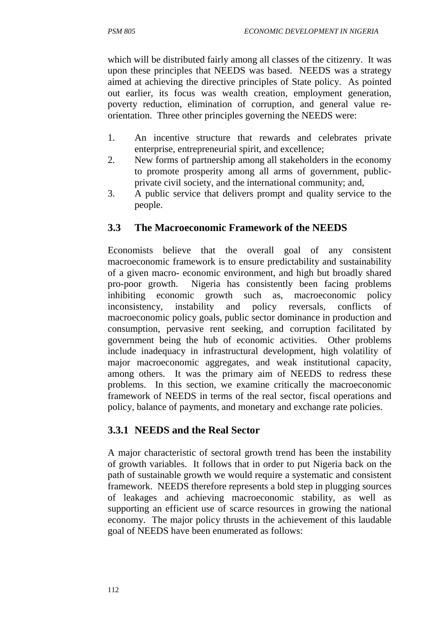which will be distributed fairly among all classes of the citizenry. It was upon these principles that NEEDS was based. NEEDS was a strategy aimed at achieving the directive principles of State policy. As pointed out earlier, its focus was wealth creation, employment generation, poverty reduction, elimination of corruption, and general value reorientation. Three other principles governing the NEEDS were:

- 1. An incentive structure that rewards and celebrates private enterprise, entrepreneurial spirit, and excellence;
- 2. New forms of partnership among all stakeholders in the economy to promote prosperity among all arms of government, publicprivate civil society, and the international community; and,
- 3. A public service that delivers prompt and quality service to the people.

# **3.3 The Macroeconomic Framework of the NEEDS**

Economists believe that the overall goal of any consistent macroeconomic framework is to ensure predictability and sustainability of a given macro- economic environment, and high but broadly shared pro-poor growth. Nigeria has consistently been facing problems inhibiting economic growth such as, macroeconomic policy inconsistency, instability and policy reversals, conflicts of macroeconomic policy goals, public sector dominance in production and consumption, pervasive rent seeking, and corruption facilitated by government being the hub of economic activities. Other problems include inadequacy in infrastructural development, high volatility of major macroeconomic aggregates, and weak institutional capacity, among others. It was the primary aim of NEEDS to redress these problems. In this section, we examine critically the macroeconomic framework of NEEDS in terms of the real sector, fiscal operations and policy, balance of payments, and monetary and exchange rate policies.

# **3.3.1 NEEDS and the Real Sector**

A major characteristic of sectoral growth trend has been the instability of growth variables. It follows that in order to put Nigeria back on the path of sustainable growth we would require a systematic and consistent framework. NEEDS therefore represents a bold step in plugging sources of leakages and achieving macroeconomic stability, as well as supporting an efficient use of scarce resources in growing the national economy. The major policy thrusts in the achievement of this laudable goal of NEEDS have been enumerated as follows: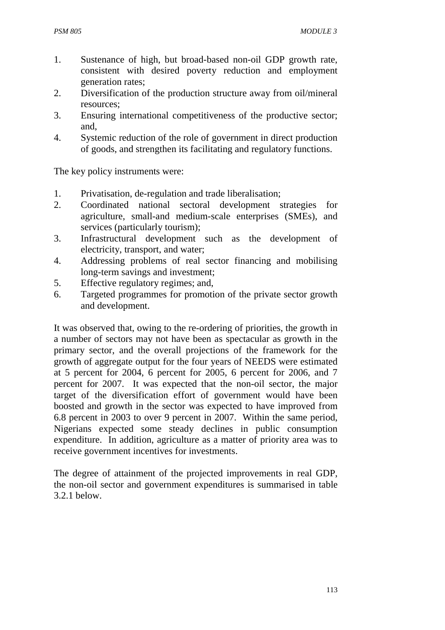- 1. Sustenance of high, but broad-based non-oil GDP growth rate, consistent with desired poverty reduction and employment generation rates;
- 2. Diversification of the production structure away from oil/mineral resources;
- 3. Ensuring international competitiveness of the productive sector; and,
- 4. Systemic reduction of the role of government in direct production of goods, and strengthen its facilitating and regulatory functions.

The key policy instruments were:

- 1. Privatisation, de-regulation and trade liberalisation;
- 2. Coordinated national sectoral development strategies for agriculture, small-and medium-scale enterprises (SMEs), and services (particularly tourism);
- 3. Infrastructural development such as the development of electricity, transport, and water;
- 4. Addressing problems of real sector financing and mobilising long-term savings and investment;
- 5. Effective regulatory regimes; and,
- 6. Targeted programmes for promotion of the private sector growth and development.

It was observed that, owing to the re-ordering of priorities, the growth in a number of sectors may not have been as spectacular as growth in the primary sector, and the overall projections of the framework for the growth of aggregate output for the four years of NEEDS were estimated at 5 percent for 2004, 6 percent for 2005, 6 percent for 2006, and 7 percent for 2007. It was expected that the non-oil sector, the major target of the diversification effort of government would have been boosted and growth in the sector was expected to have improved from 6.8 percent in 2003 to over 9 percent in 2007. Within the same period, Nigerians expected some steady declines in public consumption expenditure. In addition, agriculture as a matter of priority area was to receive government incentives for investments.

The degree of attainment of the projected improvements in real GDP, the non-oil sector and government expenditures is summarised in table 3.2.1 below.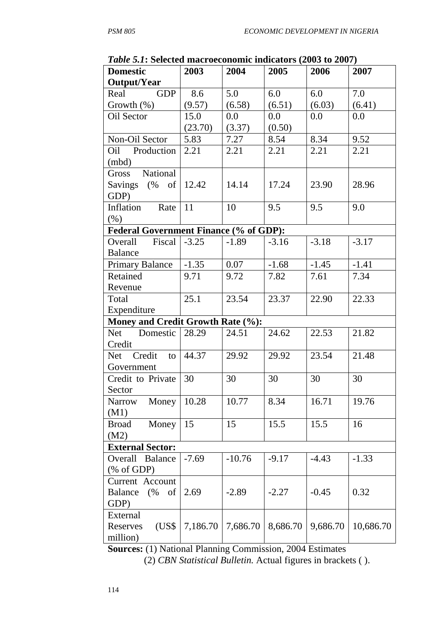| <i>Lable 9.1</i> . Defected macroceonomic muicators (2005 to 2007) |                 |          |          |          |           |  |
|--------------------------------------------------------------------|-----------------|----------|----------|----------|-----------|--|
| <b>Domestic</b>                                                    | 2003            | 2004     | 2005     | 2006     | 2007      |  |
| <b>Output/Year</b>                                                 |                 |          |          |          |           |  |
| GDP<br>Real                                                        | 8.6             | 5.0      | 6.0      | 6.0      | 7.0       |  |
| Growth $(\%)$                                                      | (9.57)          | (6.58)   | (6.51)   | (6.03)   | (6.41)    |  |
| Oil Sector                                                         | 15.0            | 0.0      | $0.0\,$  | 0.0      | 0.0       |  |
|                                                                    | (23.70)         | (3.37)   | (0.50)   |          |           |  |
| Non-Oil Sector                                                     | 5.83            | 7.27     | 8.54     | 8.34     | 9.52      |  |
| Oil Production                                                     | 2.21            | 2.21     | 2.21     | 2.21     | 2.21      |  |
| (mbd)                                                              |                 |          |          |          |           |  |
| Gross National                                                     |                 |          |          |          |           |  |
| Savings $(\% \text{ of } 12.42)$                                   |                 | 14.14    | 17.24    | 23.90    | 28.96     |  |
| GDP)                                                               |                 |          |          |          |           |  |
| Inflation Rate                                                     | $\vert$ 11      | 10       | 9.5      | 9.5      | 9.0       |  |
| $(\% )$                                                            |                 |          |          |          |           |  |
| <b>Federal Government Finance (% of GDP):</b>                      |                 |          |          |          |           |  |
| Overall Fiscal                                                     | $-3.25$         | $-1.89$  | $-3.16$  | $-3.18$  | $-3.17$   |  |
|                                                                    |                 |          |          |          |           |  |
| <b>Balance</b>                                                     |                 |          |          |          |           |  |
| Primary Balance   -1.35                                            |                 | 0.07     | $-1.68$  | $-1.45$  | $-1.41$   |  |
| Retained                                                           | 9.71            | 9.72     | 7.82     | 7.61     | 7.34      |  |
| Revenue                                                            |                 |          |          |          |           |  |
| Total                                                              | 25.1            | 23.54    | 23.37    | 22.90    | 22.33     |  |
| Expenditure                                                        |                 |          |          |          |           |  |
| Money and Credit Growth Rate (%):                                  |                 |          |          |          |           |  |
| Net Domestic                                                       | 28.29           | 24.51    | 24.62    | 22.53    | 21.82     |  |
| Credit                                                             |                 |          |          |          |           |  |
| Net Credit to $ 44.37 $                                            |                 | 29.92    | 29.92    | 23.54    | 21.48     |  |
| Government                                                         |                 |          |          |          |           |  |
| Credit to Private                                                  | $\overline{30}$ | 30       | 30       | 30       | 30        |  |
| Sector                                                             |                 |          |          |          |           |  |
| Money<br>Narrow                                                    | 10.28           | 10.77    | 8.34     | 16.71    | 19.76     |  |
| (M1)                                                               |                 |          |          |          |           |  |
| Money<br><b>Broad</b>                                              | 15              | 15       | 15.5     | 15.5     | 16        |  |
| (M2)                                                               |                 |          |          |          |           |  |
| <b>External Sector:</b>                                            |                 |          |          |          |           |  |
| Overall<br><b>Balance</b>                                          | $-7.69$         | $-10.76$ | $-9.17$  | $-4.43$  | $-1.33$   |  |
| % of GDP                                                           |                 |          |          |          |           |  |
| Current Account                                                    |                 |          |          |          |           |  |
| <b>Balance</b><br>(%<br>of                                         | 2.69            | $-2.89$  | $-2.27$  | $-0.45$  | 0.32      |  |
| GDP)                                                               |                 |          |          |          |           |  |
| External                                                           |                 |          |          |          |           |  |
| (US\$<br>Reserves                                                  | 7,186.70        | 7,686.70 | 8,686.70 | 9,686.70 | 10,686.70 |  |
| million)                                                           |                 |          |          |          |           |  |

*Table 5.1***: Selected macroeconomic indicators (2003 to 2007)**

**Sources:** (1) National Planning Commission, 2004 Estimates

 <sup>(2)</sup> *CBN Statistical Bulletin.* Actual figures in brackets ( ).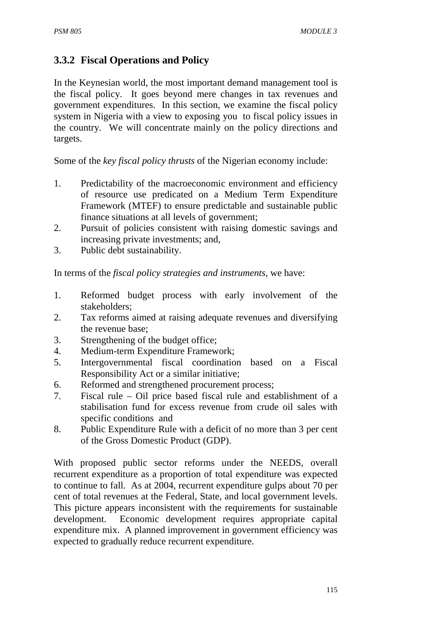# **3.3.2 Fiscal Operations and Policy**

In the Keynesian world, the most important demand management tool is the fiscal policy. It goes beyond mere changes in tax revenues and government expenditures. In this section, we examine the fiscal policy system in Nigeria with a view to exposing you to fiscal policy issues in the country. We will concentrate mainly on the policy directions and targets.

Some of the *key fiscal policy thrusts* of the Nigerian economy include:

- 1. Predictability of the macroeconomic environment and efficiency of resource use predicated on a Medium Term Expenditure Framework (MTEF) to ensure predictable and sustainable public finance situations at all levels of government;
- 2. Pursuit of policies consistent with raising domestic savings and increasing private investments; and,
- 3. Public debt sustainability.

In terms of the *fiscal policy strategies and instruments*, we have:

- 1. Reformed budget process with early involvement of the stakeholders;
- 2. Tax reforms aimed at raising adequate revenues and diversifying the revenue base;
- 3. Strengthening of the budget office;
- 4. Medium-term Expenditure Framework;
- 5. Intergovernmental fiscal coordination based on a Fiscal Responsibility Act or a similar initiative;
- 6. Reformed and strengthened procurement process;
- 7. Fiscal rule Oil price based fiscal rule and establishment of a stabilisation fund for excess revenue from crude oil sales with specific conditions and
- 8. Public Expenditure Rule with a deficit of no more than 3 per cent of the Gross Domestic Product (GDP).

With proposed public sector reforms under the NEEDS, overall recurrent expenditure as a proportion of total expenditure was expected to continue to fall. As at 2004, recurrent expenditure gulps about 70 per cent of total revenues at the Federal, State, and local government levels. This picture appears inconsistent with the requirements for sustainable development. Economic development requires appropriate capital expenditure mix. A planned improvement in government efficiency was expected to gradually reduce recurrent expenditure.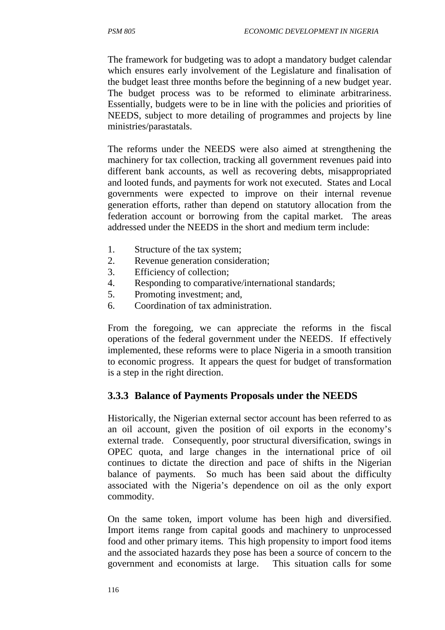The framework for budgeting was to adopt a mandatory budget calendar which ensures early involvement of the Legislature and finalisation of the budget least three months before the beginning of a new budget year. The budget process was to be reformed to eliminate arbitrariness. Essentially, budgets were to be in line with the policies and priorities of NEEDS, subject to more detailing of programmes and projects by line ministries/parastatals.

The reforms under the NEEDS were also aimed at strengthening the machinery for tax collection, tracking all government revenues paid into different bank accounts, as well as recovering debts, misappropriated and looted funds, and payments for work not executed. States and Local governments were expected to improve on their internal revenue generation efforts, rather than depend on statutory allocation from the federation account or borrowing from the capital market. The areas addressed under the NEEDS in the short and medium term include:

- 1. Structure of the tax system;
- 2. Revenue generation consideration;
- 3. Efficiency of collection;
- 4. Responding to comparative/international standards;
- 5. Promoting investment; and,
- 6. Coordination of tax administration.

From the foregoing, we can appreciate the reforms in the fiscal operations of the federal government under the NEEDS. If effectively implemented, these reforms were to place Nigeria in a smooth transition to economic progress. It appears the quest for budget of transformation is a step in the right direction.

# **3.3.3 Balance of Payments Proposals under the NEEDS**

Historically, the Nigerian external sector account has been referred to as an oil account, given the position of oil exports in the economy's external trade. Consequently, poor structural diversification, swings in OPEC quota, and large changes in the international price of oil continues to dictate the direction and pace of shifts in the Nigerian balance of payments. So much has been said about the difficulty associated with the Nigeria's dependence on oil as the only export commodity.

On the same token, import volume has been high and diversified. Import items range from capital goods and machinery to unprocessed food and other primary items. This high propensity to import food items and the associated hazards they pose has been a source of concern to the government and economists at large. This situation calls for some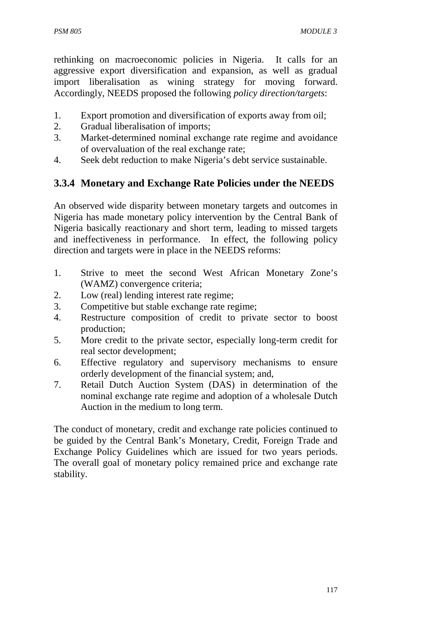rethinking on macroeconomic policies in Nigeria. It calls for an aggressive export diversification and expansion, as well as gradual import liberalisation as wining strategy for moving forward. Accordingly, NEEDS proposed the following *policy direction/targets*:

- 1. Export promotion and diversification of exports away from oil;
- 2. Gradual liberalisation of imports;
- 3. Market-determined nominal exchange rate regime and avoidance of overvaluation of the real exchange rate;
- 4. Seek debt reduction to make Nigeria's debt service sustainable.

# **3.3.4 Monetary and Exchange Rate Policies under the NEEDS**

An observed wide disparity between monetary targets and outcomes in Nigeria has made monetary policy intervention by the Central Bank of Nigeria basically reactionary and short term, leading to missed targets and ineffectiveness in performance. In effect, the following policy direction and targets were in place in the NEEDS reforms:

- 1. Strive to meet the second West African Monetary Zone's (WAMZ) convergence criteria;
- 2. Low (real) lending interest rate regime;
- 3. Competitive but stable exchange rate regime;
- 4. Restructure composition of credit to private sector to boost production;
- 5. More credit to the private sector, especially long-term credit for real sector development;
- 6. Effective regulatory and supervisory mechanisms to ensure orderly development of the financial system; and,
- 7. Retail Dutch Auction System (DAS) in determination of the nominal exchange rate regime and adoption of a wholesale Dutch Auction in the medium to long term.

The conduct of monetary, credit and exchange rate policies continued to be guided by the Central Bank's Monetary, Credit, Foreign Trade and Exchange Policy Guidelines which are issued for two years periods. The overall goal of monetary policy remained price and exchange rate stability.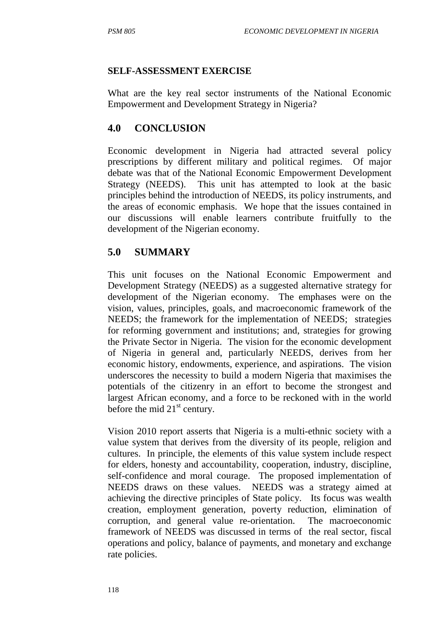#### **SELF-ASSESSMENT EXERCISE**

What are the key real sector instruments of the National Economic Empowerment and Development Strategy in Nigeria?

# **4.0 CONCLUSION**

Economic development in Nigeria had attracted several policy prescriptions by different military and political regimes. Of major debate was that of the National Economic Empowerment Development Strategy (NEEDS). This unit has attempted to look at the basic principles behind the introduction of NEEDS, its policy instruments, and the areas of economic emphasis. We hope that the issues contained in our discussions will enable learners contribute fruitfully to the development of the Nigerian economy.

# **5.0 SUMMARY**

This unit focuses on the National Economic Empowerment and Development Strategy (NEEDS) as a suggested alternative strategy for development of the Nigerian economy. The emphases were on the vision, values, principles, goals, and macroeconomic framework of the NEEDS; the framework for the implementation of NEEDS; strategies for reforming government and institutions; and, strategies for growing the Private Sector in Nigeria. The vision for the economic development of Nigeria in general and, particularly NEEDS, derives from her economic history, endowments, experience, and aspirations. The vision underscores the necessity to build a modern Nigeria that maximises the potentials of the citizenry in an effort to become the strongest and largest African economy, and a force to be reckoned with in the world before the mid  $21<sup>st</sup>$  century.

Vision 2010 report asserts that Nigeria is a multi-ethnic society with a value system that derives from the diversity of its people, religion and cultures. In principle, the elements of this value system include respect for elders, honesty and accountability, cooperation, industry, discipline, self-confidence and moral courage. The proposed implementation of NEEDS draws on these values. NEEDS was a strategy aimed at achieving the directive principles of State policy. Its focus was wealth creation, employment generation, poverty reduction, elimination of corruption, and general value re-orientation. The macroeconomic framework of NEEDS was discussed in terms of the real sector, fiscal operations and policy, balance of payments, and monetary and exchange rate policies.